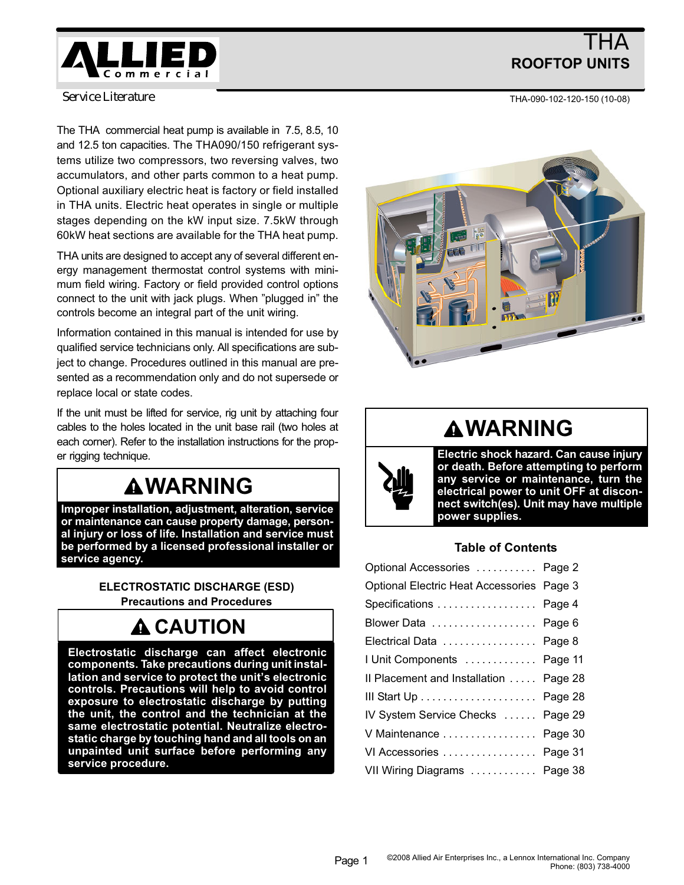

# THA ROOFTOP UNITS

THA−090−102−120−150 (10−08)

*Service Literature*

The THA commercial heat pump is available in 7.5, 8.5, 10 and 12.5 ton capacities. The THA090/150 refrigerant systems utilize two compressors, two reversing valves, two accumulators, and other parts common to a heat pump. Optional auxiliary electric heat is factory or field installed in THA units. Electric heat operates in single or multiple stages depending on the kW input size. 7.5kW through 60kW heat sections are available for the THA heat pump.

THA units are designed to accept any of several different energy management thermostat control systems with minimum field wiring. Factory or field provided control options connect to the unit with jack plugs. When "plugged in" the controls become an integral part of the unit wiring.

Information contained in this manual is intended for use by qualified service technicians only. All specifications are subject to change. Procedures outlined in this manual are presented as a recommendation only and do not supersede or replace local or state codes.

If the unit must be lifted for service, rig unit by attaching four cables to the holes located in the unit base rail (two holes at each corner). Refer to the installation instructions for the proper rigging technique.

# **AWARNING**

Improper installation, adjustment, alteration, service or maintenance can cause property damage, personal injury or loss of life. Installation and service must be performed by a licensed professional installer or service agency.

> ELECTROSTATIC DISCHARGE (ESD) Precautions and Procedures

# **A CAUTION**

Electrostatic discharge can affect electronic components. Take precautions during unit installation and service to protect the unit's electronic controls. Precautions will help to avoid control exposure to electrostatic discharge by putting the unit, the control and the technician at the same electrostatic potential. Neutralize electrostatic charge by touching hand and all tools on an unpainted unit surface before performing any service procedure.



# WARNING

Electric shock hazard. Can cause injury or death. Before attempting to perform any service or maintenance, turn the electrical power to unit OFF at disconnect switch(es). Unit may have multiple power supplies.

## Table of Contents

| Optional Accessories  Page 2              |  |
|-------------------------------------------|--|
| Optional Electric Heat Accessories Page 3 |  |
| Specifications  Page 4                    |  |
| Blower Data Page 6                        |  |
| Electrical Data Page 8                    |  |
| I Unit Components  Page 11                |  |
| Il Placement and Installation  Page 28    |  |
|                                           |  |
| IV System Service Checks  Page 29         |  |
| V Maintenance  Page 30                    |  |
| VI Accessories  Page 31                   |  |
| VII Wiring Diagrams  Page 38              |  |
|                                           |  |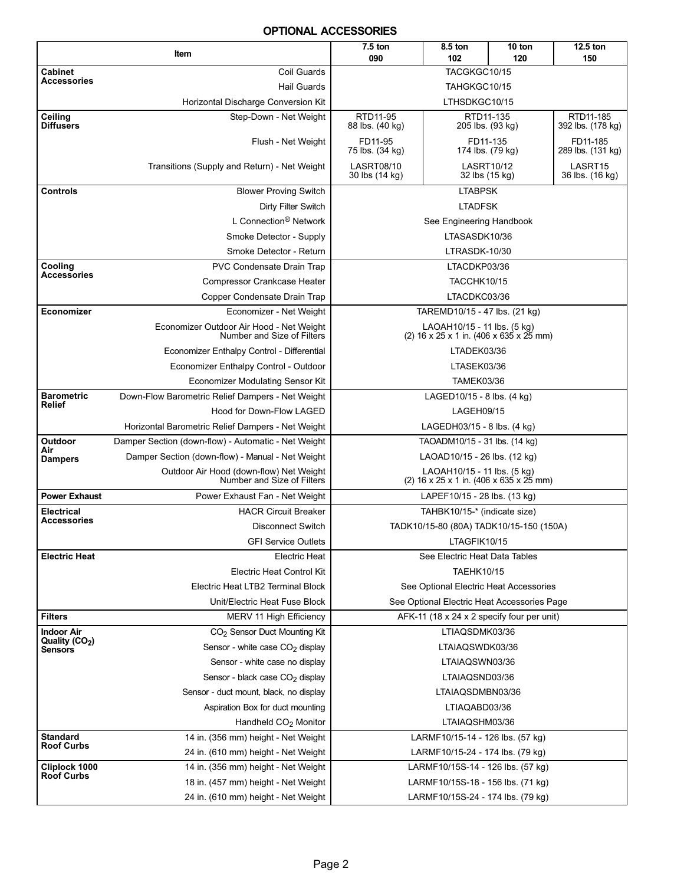#### OPTIONAL ACCESSORIES

<span id="page-1-0"></span>

|                                         | Item                                                                   | 7.5 ton<br>090                                             | 8.5 ton<br>102                                                                        | 10 ton<br>120 | 12.5 ton<br>150                |  |  |  |
|-----------------------------------------|------------------------------------------------------------------------|------------------------------------------------------------|---------------------------------------------------------------------------------------|---------------|--------------------------------|--|--|--|
| Cabinet                                 | Coil Guards                                                            |                                                            | TACGKGC10/15                                                                          |               |                                |  |  |  |
| Accessories                             | <b>Hail Guards</b>                                                     |                                                            | TAHGKGC10/15                                                                          |               |                                |  |  |  |
|                                         | Horizontal Discharge Conversion Kit                                    |                                                            | LTHSDKGC10/15                                                                         |               |                                |  |  |  |
| Ceiling<br><b>Diffusers</b>             | Step-Down - Net Weight                                                 | RTD11-95<br>88 lbs. (40 kg)                                | RTD11-135<br>205 lbs. (93 kg)                                                         |               | RTD11-185<br>392 lbs. (178 kg) |  |  |  |
|                                         | Flush - Net Weight                                                     | FD11-95<br>75 lbs. (34 kg)                                 | FD11-135<br>174 lbs. (79 kg)                                                          |               | FD11-185<br>289 lbs. (131 kg)  |  |  |  |
|                                         | Transitions (Supply and Return) - Net Weight                           | <b>LASRT08/10</b><br>30 lbs (14 kg)                        | <b>LASRT10/12</b><br>32 lbs (15 kg)                                                   |               | LASRT15<br>36 lbs. (16 kg)     |  |  |  |
| <b>Controls</b>                         | <b>Blower Proving Switch</b>                                           |                                                            | <b>LTABPSK</b>                                                                        |               |                                |  |  |  |
|                                         | Dirty Filter Switch                                                    |                                                            | <b>LTADFSK</b>                                                                        |               |                                |  |  |  |
|                                         | L Connection <sup>®</sup> Network                                      |                                                            | See Engineering Handbook                                                              |               |                                |  |  |  |
|                                         | Smoke Detector - Supply                                                |                                                            | LTASASDK10/36                                                                         |               |                                |  |  |  |
|                                         | Smoke Detector - Return                                                |                                                            | LTRASDK-10/30                                                                         |               |                                |  |  |  |
| Cooling                                 | <b>PVC Condensate Drain Trap</b>                                       |                                                            | LTACDKP03/36                                                                          |               |                                |  |  |  |
| Accessories                             | <b>Compressor Crankcase Heater</b>                                     |                                                            | TACCHK10/15                                                                           |               |                                |  |  |  |
|                                         | Copper Condensate Drain Trap                                           |                                                            | LTACDKC03/36                                                                          |               |                                |  |  |  |
| Economizer                              | Economizer - Net Weight                                                |                                                            | TAREMD10/15 - 47 lbs. (21 kg)                                                         |               |                                |  |  |  |
|                                         | Economizer Outdoor Air Hood - Net Weight<br>Number and Size of Filters |                                                            | LAOAH10/15 - 11 lbs. (5 kg)<br>(2) $16 \times 25 \times 1$ in. (406 x 635 x 25 mm)    |               |                                |  |  |  |
|                                         | Economizer Enthalpy Control - Differential                             |                                                            | LTADEK03/36                                                                           |               |                                |  |  |  |
|                                         | Economizer Enthalpy Control - Outdoor                                  |                                                            | LTASEK03/36                                                                           |               |                                |  |  |  |
|                                         | Economizer Modulating Sensor Kit                                       |                                                            | <b>TAMEK03/36</b>                                                                     |               |                                |  |  |  |
| <b>Barometric</b><br>Relief             | Down-Flow Barometric Relief Dampers - Net Weight                       |                                                            | LAGED10/15 - 8 lbs. (4 kg)                                                            |               |                                |  |  |  |
|                                         | Hood for Down-Flow LAGED                                               |                                                            | LAGEH09/15                                                                            |               |                                |  |  |  |
|                                         | Horizontal Barometric Relief Dampers - Net Weight                      |                                                            | LAGEDH03/15 - 8 lbs. (4 kg)                                                           |               |                                |  |  |  |
| Outdoor<br>Air                          | Damper Section (down-flow) - Automatic - Net Weight                    |                                                            | TAOADM10/15 - 31 lbs. (14 kg)                                                         |               |                                |  |  |  |
| <b>Dampers</b>                          | Damper Section (down-flow) - Manual - Net Weight                       |                                                            | LAOAD10/15 - 26 lbs. (12 kg)                                                          |               |                                |  |  |  |
|                                         | Outdoor Air Hood (down-flow) Net Weight<br>Number and Size of Filters  |                                                            | LAOAH10/15 - 11 lbs. (5 kg)<br>(2) $16 \times 25 \times 1$ in. (406 x 635 x 25 mm)    |               |                                |  |  |  |
| <b>Power Exhaust</b>                    | Power Exhaust Fan - Net Weight                                         |                                                            | LAPEF10/15 - 28 lbs. (13 kg)                                                          |               |                                |  |  |  |
| <b>Electrical</b><br><b>Accessories</b> | <b>HACR Circuit Breaker</b>                                            |                                                            | TAHBK10/15-* (indicate size)                                                          |               |                                |  |  |  |
|                                         | <b>Disconnect Switch</b>                                               |                                                            | TADK10/15-80 (80A) TADK10/15-150 (150A)                                               |               |                                |  |  |  |
|                                         | <b>GFI Service Outlets</b>                                             |                                                            | LTAGFIK10/15                                                                          |               |                                |  |  |  |
| <b>Electric Heat</b>                    | <b>Electric Heat</b>                                                   |                                                            | See Electric Heat Data Tables                                                         |               |                                |  |  |  |
|                                         | <b>Electric Heat Control Kit</b><br>Electric Heat LTB2 Terminal Block  |                                                            | <b>TAEHK10/15</b>                                                                     |               |                                |  |  |  |
|                                         | Unit/Electric Heat Fuse Block                                          |                                                            | See Optional Electric Heat Accessories<br>See Optional Electric Heat Accessories Page |               |                                |  |  |  |
| <b>Filters</b>                          | MERV 11 High Efficiency                                                |                                                            | AFK-11 (18 x 24 x 2 specify four per unit)                                            |               |                                |  |  |  |
| <b>Indoor Air</b>                       | CO <sub>2</sub> Sensor Duct Mounting Kit                               |                                                            | LTIAQSDMK03/36                                                                        |               |                                |  |  |  |
| Quality (CO <sub>2</sub> )<br>Sensors   | Sensor - white case CO <sub>2</sub> display                            |                                                            | LTAIAQSWDK03/36                                                                       |               |                                |  |  |  |
|                                         | Sensor - white case no display                                         |                                                            |                                                                                       |               |                                |  |  |  |
|                                         | LTAIAQSWN03/36<br>LTAIAQSND03/36<br>Sensor - black case $CO2$ display  |                                                            |                                                                                       |               |                                |  |  |  |
|                                         |                                                                        | LTAIAQSDMBN03/36<br>Sensor - duct mount, black, no display |                                                                                       |               |                                |  |  |  |
|                                         | Aspiration Box for duct mounting                                       |                                                            | LTIAQABD03/36                                                                         |               |                                |  |  |  |
|                                         | Handheld CO <sub>2</sub> Monitor                                       |                                                            | LTAIAQSHM03/36                                                                        |               |                                |  |  |  |
| <b>Standard</b>                         | 14 in. (356 mm) height - Net Weight                                    |                                                            | LARMF10/15-14 - 126 lbs. (57 kg)                                                      |               |                                |  |  |  |
| <b>Roof Curbs</b>                       | 24 in. (610 mm) height - Net Weight                                    |                                                            | LARMF10/15-24 - 174 lbs. (79 kg)                                                      |               |                                |  |  |  |
| Cliplock 1000                           | 14 in. (356 mm) height - Net Weight                                    |                                                            | LARMF10/15S-14 - 126 lbs. (57 kg)                                                     |               |                                |  |  |  |
| <b>Roof Curbs</b>                       | 18 in. (457 mm) height - Net Weight                                    |                                                            | LARMF10/15S-18 - 156 lbs. (71 kg)                                                     |               |                                |  |  |  |
|                                         | 24 in. (610 mm) height - Net Weight                                    |                                                            | LARMF10/15S-24 - 174 lbs. (79 kg)                                                     |               |                                |  |  |  |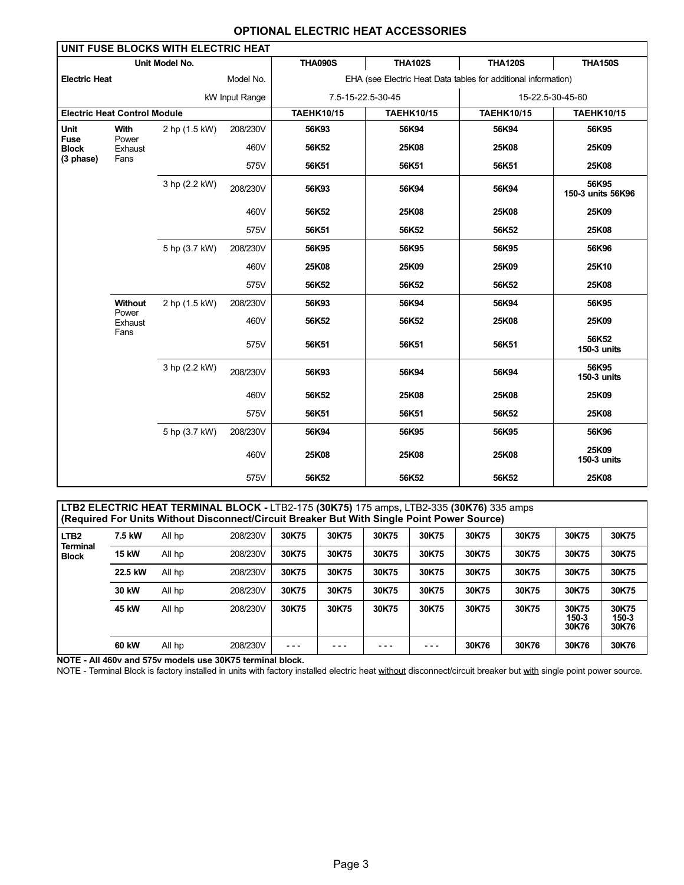| <b>OPTIONAL ELECTRIC HEAT ACCESSORIES</b> |  |
|-------------------------------------------|--|
|-------------------------------------------|--|

<span id="page-2-0"></span>

|                      |                                     | UNIT FUSE BLOCKS WITH ELECTRIC HEAT |                |                   |                                                                |                   |                            |  |
|----------------------|-------------------------------------|-------------------------------------|----------------|-------------------|----------------------------------------------------------------|-------------------|----------------------------|--|
|                      |                                     | Unit Model No.                      |                | <b>THA090S</b>    | <b>THA102S</b>                                                 | <b>THA120S</b>    | <b>THA150S</b>             |  |
| <b>Electric Heat</b> |                                     |                                     | Model No.      |                   | EHA (see Electric Heat Data tables for additional information) |                   |                            |  |
|                      |                                     |                                     | kW Input Range | 7.5-15-22.5-30-45 |                                                                | 15-22.5-30-45-60  |                            |  |
|                      | <b>Electric Heat Control Module</b> |                                     |                | <b>TAEHK10/15</b> | <b>TAEHK10/15</b>                                              | <b>TAEHK10/15</b> | <b>TAEHK10/15</b>          |  |
| Unit<br><b>Fuse</b>  | With<br>Power                       | 2 hp (1.5 kW)                       | 208/230V       | 56K93             | 56K94                                                          | 56K94             | 56K95                      |  |
| <b>Block</b>         | Exhaust                             |                                     | 460V           | 56K52             | 25K08                                                          | 25K08             | 25K09                      |  |
| (3 phase)            | Fans                                |                                     | 575V           | 56K51             | 56K51                                                          | 56K51             | 25K08                      |  |
|                      |                                     | 3 hp (2.2 kW)                       | 208/230V       | 56K93             | 56K94                                                          | 56K94             | 56K95<br>150-3 units 56K96 |  |
|                      |                                     |                                     | 460V           | 56K52             | 25K08                                                          | 25K08             | 25K09                      |  |
|                      |                                     |                                     | 575V           | 56K51             | 56K52                                                          | 56K52             | 25K08                      |  |
|                      |                                     | 5 hp (3.7 kW)                       | 208/230V       | 56K95             | 56K95                                                          | 56K95             | 56K96                      |  |
|                      |                                     |                                     | 460V           | 25K08             | 25K09                                                          | 25K09             | 25K10                      |  |
|                      |                                     |                                     | 575V           | 56K52             | 56K52                                                          | 56K52             | 25K08                      |  |
|                      | Without<br>Power                    | 2 hp (1.5 kW)                       | 208/230V       | 56K93             | 56K94                                                          | 56K94             | 56K95                      |  |
|                      | Exhaust                             |                                     | 460V           | 56K52             | 56K52                                                          | 25K08             | 25K09                      |  |
|                      | Fans                                |                                     | 575V           | 56K51             | 56K51                                                          | 56K51             | 56K52<br>150-3 units       |  |
|                      |                                     | 3 hp (2.2 kW)                       | 208/230V       | 56K93             | 56K94                                                          | 56K94             | 56K95<br>150-3 units       |  |
|                      |                                     |                                     | 460V           | 56K52             | 25K08                                                          | 25K08             | 25K09                      |  |
|                      | 5 hp (3.7 kW)                       |                                     | 575V           | 56K51             | 56K51                                                          | 56K52             | 25K08                      |  |
|                      |                                     |                                     | 208/230V       | 56K94             | 56K95                                                          | 56K95             | 56K96                      |  |
|                      |                                     |                                     | 460V           | 25K08             | 25K08                                                          | 25K08             | 25K09<br>150-3 units       |  |
|                      |                                     |                                     | 575V           | 56K52             | 56K52                                                          | 56K52             | 25K08                      |  |

|                  | LTB2 ELECTRIC HEAT TERMINAL BLOCK - LTB2-175 (30K75) 175 amps, LTB2-335 (30K76) 335 amps<br>(Required For Units Without Disconnect/Circuit Breaker But With Single Point Power Source) |        |          |       |       |       |       |       |       |                         |                         |  |  |  |  |
|------------------|----------------------------------------------------------------------------------------------------------------------------------------------------------------------------------------|--------|----------|-------|-------|-------|-------|-------|-------|-------------------------|-------------------------|--|--|--|--|
| LTB <sub>2</sub> | 30K75<br>30K75<br>208/230V<br>30K75<br>30K75<br>30K75<br>30K75<br>30K75<br>30K75<br>7.5 kW<br>All hp<br><b>Terminal</b>                                                                |        |          |       |       |       |       |       |       |                         |                         |  |  |  |  |
| <b>Block</b>     | <b>15 kW</b>                                                                                                                                                                           | All hp | 208/230V | 30K75 | 30K75 | 30K75 | 30K75 | 30K75 | 30K75 | 30K75                   | 30K75                   |  |  |  |  |
|                  | 22.5 kW                                                                                                                                                                                | All hp | 208/230V | 30K75 | 30K75 | 30K75 | 30K75 | 30K75 | 30K75 | 30K75                   | 30K75                   |  |  |  |  |
|                  | 30 kW                                                                                                                                                                                  | All hp | 208/230V | 30K75 | 30K75 | 30K75 | 30K75 | 30K75 | 30K75 | 30K75                   | 30K75                   |  |  |  |  |
|                  | 45 kW                                                                                                                                                                                  | All hp | 208/230V | 30K75 | 30K75 | 30K75 | 30K75 | 30K75 | 30K75 | 30K75<br>150-3<br>30K76 | 30K75<br>150-3<br>30K76 |  |  |  |  |
|                  | 60 kW                                                                                                                                                                                  | All hp | 208/230V |       |       |       |       | 30K76 | 30K76 | 30K76                   | 30K76                   |  |  |  |  |

NOTE − All 460v and 575v models use 30K75 terminal block.

NOTE - Terminal Block is factory installed in units with factory installed electric heat <u>without</u> disconnect/circuit breaker but <u>with</u> single point power source.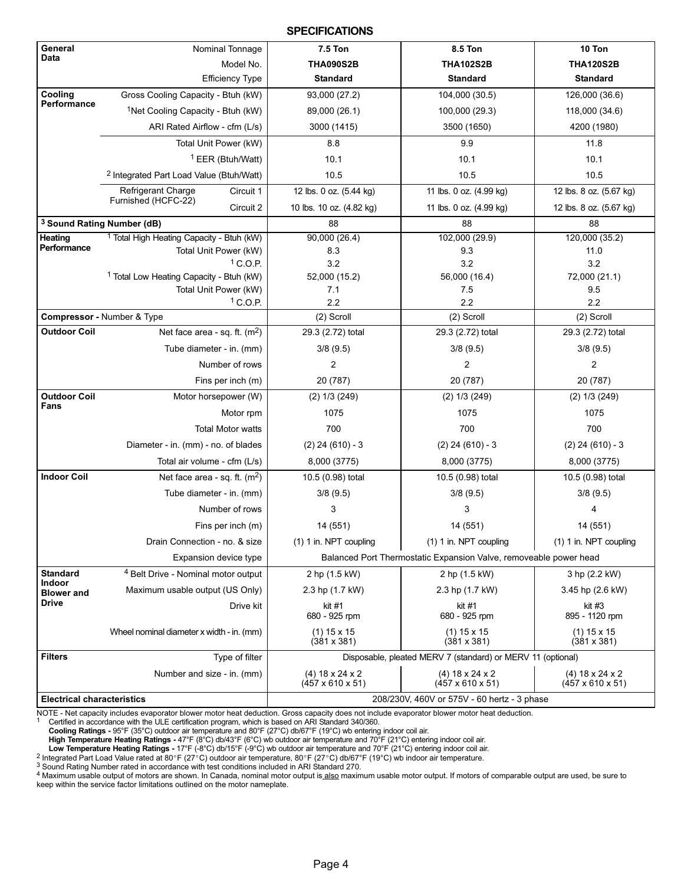#### **SPECIFICATIONS**

<span id="page-3-0"></span>

| General<br>Data                    | Nominal Tonnage                                      | <b>7.5 Ton</b>                                    | 8.5 Ton                                                           | 10 Ton                                            |
|------------------------------------|------------------------------------------------------|---------------------------------------------------|-------------------------------------------------------------------|---------------------------------------------------|
|                                    | Model No.                                            | <b>THA090S2B</b>                                  | <b>THA102S2B</b>                                                  | <b>THA120S2B</b>                                  |
|                                    | <b>Efficiency Type</b>                               | <b>Standard</b>                                   | <b>Standard</b>                                                   | <b>Standard</b>                                   |
| Cooling                            | Gross Cooling Capacity - Btuh (kW)                   | 93,000 (27.2)                                     | 104,000 (30.5)                                                    | 126,000 (36.6)                                    |
| Performance                        | <sup>1</sup> Net Cooling Capacity - Btuh (kW)        | 89,000 (26.1)                                     | 100,000 (29.3)                                                    | 118,000 (34.6)                                    |
|                                    | ARI Rated Airflow - cfm (L/s)                        | 3000 (1415)                                       | 3500 (1650)                                                       | 4200 (1980)                                       |
|                                    | Total Unit Power (kW)                                | 8.8                                               | 9.9                                                               | 11.8                                              |
|                                    | <sup>1</sup> EER (Btuh/Watt)                         | 10.1                                              | 10.1                                                              | 10.1                                              |
|                                    | <sup>2</sup> Integrated Part Load Value (Btuh/Watt)  | 10.5                                              | 10.5                                                              | 10.5                                              |
|                                    | Refrigerant Charge<br>Circuit 1                      | 12 lbs. 0 oz. (5.44 kg)                           | 11 lbs. 0 oz. (4.99 kg)                                           | 12 lbs. 8 oz. (5.67 kg)                           |
|                                    | Furnished (HCFC-22)<br>Circuit 2                     | 10 lbs. 10 oz. (4.82 kg)                          | 11 lbs. 0 oz. (4.99 kg)                                           | 12 lbs. 8 oz. (5.67 kg)                           |
|                                    | <sup>3</sup> Sound Rating Number (dB)                | 88                                                | 88                                                                | 88                                                |
| <b>Heating</b>                     | <sup>1</sup> Total High Heating Capacity - Btuh (kW) | 90,000(26.4)                                      | 102,000 (29.9)                                                    | 120,000 (35.2)                                    |
| Performance                        | Total Unit Power (kW)                                | 8.3                                               | 9.3                                                               | 11.0                                              |
|                                    | $1$ C.O.P.                                           | 3.2                                               | 3.2                                                               | 3.2                                               |
|                                    | <sup>1</sup> Total Low Heating Capacity - Btuh (kW)  | 52,000 (15.2)                                     | 56,000 (16.4)                                                     | 72,000 (21.1)                                     |
|                                    | Total Unit Power (kW)<br>$1$ C.O.P.                  | 7.1<br>2.2                                        | 7.5<br>2.2                                                        | 9.5<br>2.2                                        |
|                                    | Compressor - Number & Type                           | (2) Scroll                                        | (2) Scroll                                                        | (2) Scroll                                        |
| <b>Outdoor Coil</b>                | Net face area - sq. ft. $(m2)$                       | 29.3 (2.72) total                                 | 29.3 (2.72) total                                                 | 29.3 (2.72) total                                 |
|                                    | Tube diameter - in. (mm)                             | 3/8(9.5)                                          | 3/8(9.5)                                                          | 3/8(9.5)                                          |
|                                    | Number of rows                                       | $\overline{2}$                                    | 2                                                                 | 2                                                 |
|                                    |                                                      |                                                   |                                                                   |                                                   |
|                                    | Fins per inch (m)                                    | 20 (787)                                          | 20 (787)                                                          | 20 (787)                                          |
| <b>Outdoor Coil</b><br>Fans        | Motor horsepower (W)                                 | $(2)$ 1/3 $(249)$                                 | $(2)$ 1/3 $(249)$                                                 | $(2)$ 1/3 $(249)$                                 |
|                                    | Motor rpm                                            | 1075                                              | 1075                                                              | 1075                                              |
|                                    | <b>Total Motor watts</b>                             | 700                                               | 700                                                               | 700                                               |
|                                    | Diameter - in. (mm) - no. of blades                  | $(2)$ 24 $(610) - 3$                              | $(2)$ 24 $(610) - 3$                                              | $(2)$ 24 $(610) - 3$                              |
|                                    | Total air volume - cfm (L/s)                         | 8,000 (3775)                                      | 8,000 (3775)                                                      | 8,000 (3775)                                      |
| <b>Indoor Coil</b>                 | Net face area - sq. ft. $(m2)$                       | 10.5 (0.98) total                                 | 10.5 (0.98) total                                                 | 10.5 (0.98) total                                 |
|                                    | Tube diameter - in. (mm)                             | 3/8(9.5)                                          | 3/8(9.5)                                                          | 3/8(9.5)                                          |
|                                    | Number of rows                                       | 3                                                 | 3                                                                 | 4                                                 |
|                                    | Fins per inch (m)                                    | 14 (551)                                          | 14 (551)                                                          | 14 (551)                                          |
|                                    | Drain Connection - no. & size                        | (1) 1 in. NPT coupling                            | (1) 1 in. NPT coupling                                            | (1) 1 in. NPT coupling                            |
|                                    | Expansion device type                                |                                                   | Balanced Port Thermostatic Expansion Valve, removeable power head |                                                   |
| <b>Standard</b>                    | <sup>4</sup> Belt Drive - Nominal motor output       | 2 hp (1.5 kW)                                     | 2 hp (1.5 kW)                                                     | 3 hp (2.2 kW)                                     |
| <b>Indoor</b><br><b>Blower and</b> | Maximum usable output (US Only)                      | 2.3 hp (1.7 kW)                                   | 2.3 hp (1.7 kW)                                                   | 3.45 hp (2.6 kW)                                  |
| <b>Drive</b>                       | Drive kit                                            | kit #1                                            | kit #1                                                            | kit #3                                            |
|                                    |                                                      | 680 - 925 rpm                                     | 680 - 925 rpm                                                     | 895 - 1120 rpm                                    |
|                                    | Wheel nominal diameter x width - in. (mm)            | $(1)$ 15 x 15<br>$(381 \times 381)$               | $(1)$ 15 x 15<br>(381 x 381)                                      | $(1)$ 15 x 15<br>$(381 \times 381)$               |
| <b>Filters</b>                     | Type of filter                                       |                                                   | Disposable, pleated MERV 7 (standard) or MERV 11 (optional)       |                                                   |
|                                    | Number and size - in. (mm)                           | $(4)$ 18 x 24 x 2<br>$(457 \times 610 \times 51)$ | $(4)$ 18 x 24 x 2<br>(457 x 610 x 51)                             | $(4)$ 18 x 24 x 2<br>$(457 \times 610 \times 51)$ |
| <b>Electrical characteristics</b>  |                                                      |                                                   | 208/230V, 460V or 575V - 60 hertz - 3 phase                       |                                                   |

NOTE − Net capacity includes evaporator blower motor heat deduction. Gross capacity does not include evaporator blower motor heat deduction.

1 Certified in accordance with the ULE certification program, which is based on ARI Standard 340/360.<br>Cooling Ratings - 95°F (35°C) outdoor air temperature and 80°F (27°C) db/67°F (19°C) wb entering indoor coil air.

High Temperature Heating Ratings − 47°F (8°C) db/43°F (6°C) wb outdoor air temperature and 70°F (21°C) entering indoor coil air.

**Low Temperature Heating Ratings -** 17°F (-8°C) db/15°F (-9°C) wb outdoor air temperature and 70°F (21°C) entering indoor coil air.<br>^ Integrated Part Load Value rated at 80°F (27°C) outdoor air temperature, 80°F (27°C) db

3 Sound Rating Number rated in accordance with test conditions included in ARI Standard 270.

4 Maximum usable output of motors are shown. In Canada, nominal motor output is also maximum usable motor output. If motors of comparable output are used, be sure to keep within the service factor limitations outlined on the motor nameplate.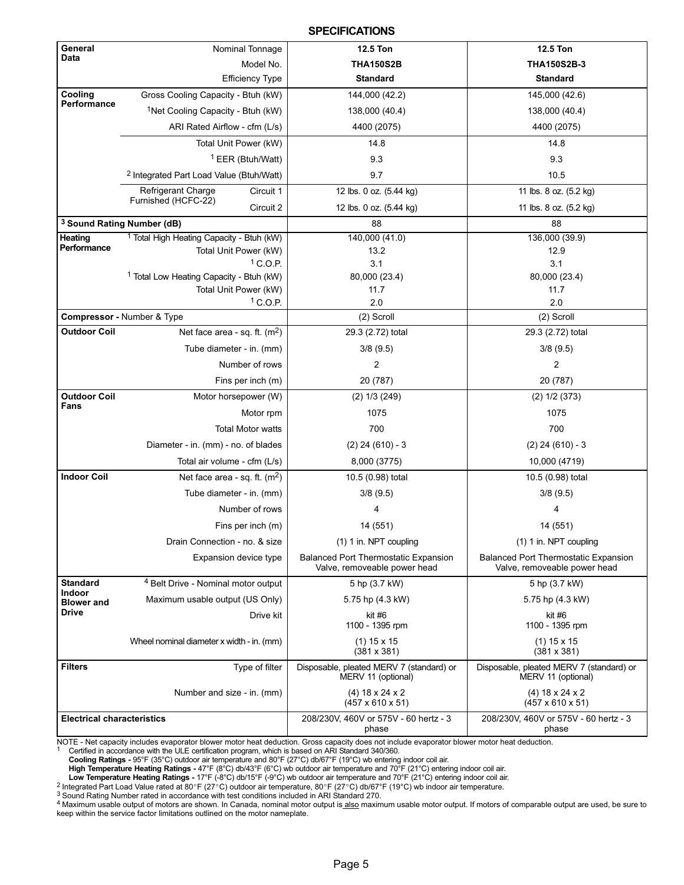#### **SPECIFICATIONS**

| General                            | Nominal Tonnage                                      | <b>12.5 Ton</b>                                                             | <b>12.5 Ton</b>                                                             |
|------------------------------------|------------------------------------------------------|-----------------------------------------------------------------------------|-----------------------------------------------------------------------------|
| Data                               | Model No.                                            | <b>THA150S2B</b>                                                            | THA150S2B-3                                                                 |
|                                    | <b>Efficiency Type</b>                               | <b>Standard</b>                                                             | <b>Standard</b>                                                             |
| Cooling                            | Gross Cooling Capacity - Btuh (kW)                   | 144,000 (42.2)                                                              | 145,000 (42.6)                                                              |
| Performance                        | <sup>1</sup> Net Cooling Capacity - Btuh (kW)        | 138,000 (40.4)                                                              | 138,000 (40.4)                                                              |
|                                    | ARI Rated Airflow - cfm (L/s)                        | 4400 (2075)                                                                 | 4400 (2075)                                                                 |
|                                    | Total Unit Power (kW)                                | 14.8                                                                        | 14.8                                                                        |
|                                    | <sup>1</sup> EER (Btuh/Watt)                         | 9.3                                                                         | 9.3                                                                         |
|                                    | <sup>2</sup> Integrated Part Load Value (Btuh/Watt)  | 9.7                                                                         | 10.5                                                                        |
|                                    | <b>Refrigerant Charge</b><br>Circuit 1               | 12 lbs. 0 oz. (5.44 kg)                                                     | 11 lbs. 8 oz. (5.2 kg)                                                      |
|                                    | Furnished (HCFC-22)<br>Circuit 2                     | 12 lbs. 0 oz. (5.44 kg)                                                     | 11 lbs. 8 oz. (5.2 kg)                                                      |
|                                    | <sup>3</sup> Sound Rating Number (dB)                | 88                                                                          | 88                                                                          |
| Heating                            | <sup>1</sup> Total High Heating Capacity - Btuh (kW) | 140,000(41.0)                                                               | 136,000 (39.9)                                                              |
| Performance                        | Total Unit Power (kW)                                | 13.2                                                                        | 12.9                                                                        |
|                                    | $1$ C.O.P.                                           | 3.1                                                                         | 3.1                                                                         |
|                                    | <sup>1</sup> Total Low Heating Capacity - Btuh (kW)  | 80,000 (23.4)                                                               | 80,000 (23.4)                                                               |
|                                    | Total Unit Power (kW)                                | 11.7                                                                        | 11.7                                                                        |
|                                    | $1$ C.O.P.                                           | 2.0                                                                         | 2.0                                                                         |
|                                    | Compressor - Number & Type                           | (2) Scroll                                                                  | (2) Scroll                                                                  |
| <b>Outdoor Coil</b>                | Net face area - sq. ft. $(m2)$                       | 29.3 (2.72) total                                                           | 29.3 (2.72) total                                                           |
|                                    | Tube diameter - in. (mm)                             | 3/8(9.5)                                                                    | 3/8(9.5)                                                                    |
|                                    | Number of rows                                       | 2                                                                           | 2                                                                           |
|                                    | Fins per inch (m)                                    | 20 (787)                                                                    | 20 (787)                                                                    |
| <b>Outdoor Coil</b><br>Fans        | Motor horsepower (W)                                 | $(2)$ 1/3 $(249)$                                                           | $(2)$ 1/2 $(373)$                                                           |
|                                    | Motor rpm                                            | 1075                                                                        | 1075                                                                        |
|                                    | <b>Total Motor watts</b>                             | 700                                                                         | 700                                                                         |
|                                    | Diameter - in. (mm) - no. of blades                  | $(2)$ 24 $(610) - 3$                                                        | $(2)$ 24 $(610) - 3$                                                        |
|                                    | Total air volume - cfm (L/s)                         | 8,000 (3775)                                                                | 10,000 (4719)                                                               |
| <b>Indoor Coil</b>                 | Net face area - sq. ft. $(m2)$                       | 10.5 (0.98) total                                                           | 10.5 (0.98) total                                                           |
|                                    | Tube diameter - in. (mm)                             | 3/8(9.5)                                                                    | 3/8(9.5)                                                                    |
|                                    | Number of rows                                       | 4                                                                           | 4                                                                           |
|                                    | Fins per inch (m)                                    | 14 (551)                                                                    | 14 (551)                                                                    |
|                                    | Drain Connection - no. & size                        | (1) 1 in. NPT coupling                                                      | (1) 1 in. NPT coupling                                                      |
|                                    | Expansion device type                                | <b>Balanced Port Thermostatic Expansion</b><br>Valve, removeable power head | <b>Balanced Port Thermostatic Expansion</b><br>Valve, removeable power head |
| <b>Standard</b>                    | <sup>4</sup> Belt Drive - Nominal motor output       | 5 hp (3.7 kW)                                                               | 5 hp (3.7 kW)                                                               |
| <b>Indoor</b><br><b>Blower</b> and | Maximum usable output (US Only)                      | 5.75 hp (4.3 kW)                                                            | 5.75 hp (4.3 kW)                                                            |
| <b>Drive</b>                       | Drive kit                                            | kit #6<br>1100 - 1395 rpm                                                   | kit #6<br>1100 - 1395 rpm                                                   |
|                                    | Wheel nominal diameter x width - in. (mm)            | $(1)$ 15 x 15<br>$(381 \times 381)$                                         | $(1)$ 15 x 15<br>$(381 \times 381)$                                         |
| <b>Filters</b>                     | Type of filter                                       | Disposable, pleated MERV 7 (standard) or<br>MERV 11 (optional)              | Disposable, pleated MERV 7 (standard) or<br>MERV 11 (optional)              |
|                                    | Number and size - in. (mm)                           | $(4)$ 18 x 24 x 2<br>$(457 \times 610 \times 51)$                           | $(4)$ 18 x 24 x 2<br>$(457 \times 610 \times 51)$                           |
| <b>Electrical characteristics</b>  |                                                      | 208/230V, 460V or 575V - 60 hertz - 3<br>phase                              | 208/230V, 460V or 575V - 60 hertz - 3<br>phase                              |

NOTE - Net capacity includes evaporator blower motor heat deduction. Gross capacity does not include evaporator blower motor heat deduction.<br><sup>1</sup> Certified in accordance with the ULE certification program, which is based

**Cooling Ratings -** 95°F (35°C) outdoor air temperature and 80°F (27°C) db/67°F (19°C) wb entering indoor coil air.<br>**High Temperature Heating Ratings -** 47°F (8°C) db/43°F (6°C) wb outdoor air temperature and 70°F (21°C) e

**Low Temperature Heating Ratings -** 17°F (-8°C) db/15°F (-9°C) wb outdoor air temperature and 70°F (21°C) entering indoor coil air.<br>^ Integrated Part Load Value rated at 80°F (27°C) outdoor air temperature, 80°F (27°C) db

3 Sound Rating Number rated in accordance with test conditions included in ARI Standard 270.

4 Maximum usable output of motors are shown. In Canada, nominal motor output is also maximum usable motor output. If motors of comparable output are used, be sure to keep within the service factor limitations outlined on the motor nameplate.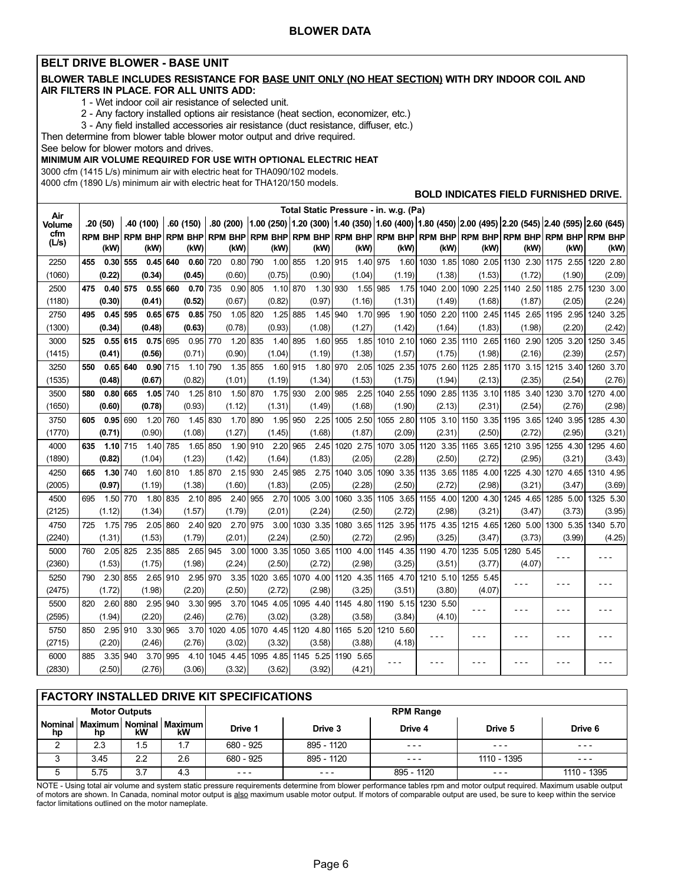#### <span id="page-5-0"></span>BELT DRIVE BLOWER - BASE UNIT

#### BLOWER TABLE INCLUDES RESISTANCE FOR BASE UNIT ONLY (NO HEAT SECTION) WITH DRY INDOOR COIL AND AIR FILTERS IN PLACE. FOR ALL UNITS ADD:

1 − Wet indoor coil air resistance of selected unit.

2 − Any factory installed options air resistance (heat section, economizer, etc.)

3 − Any field installed accessories air resistance (duct resistance, diffuser, etc.)

Then determine from blower table blower motor output and drive required.

See below for blower motors and drives.

#### MINIMUM AIR VOLUME REQUIRED FOR USE WITH OPTIONAL ELECTRIC HEAT

3000 cfm (1415 L/s) minimum air with electric heat for THA090/102 models.

4000 cfm (1890 L/s) minimum air with electric heat for THA120/150 models.

#### BOLD INDICATES FIELD FURNISHED DRIVE.

| Air           |     |                |     |                |     |                |          |                     |     |                |     |           |     |           | Total Static Pressure - in. w.g. (Pa) |           |                         |           |           |        |                                                                                                              |
|---------------|-----|----------------|-----|----------------|-----|----------------|----------|---------------------|-----|----------------|-----|-----------|-----|-----------|---------------------------------------|-----------|-------------------------|-----------|-----------|--------|--------------------------------------------------------------------------------------------------------------|
| <b>Volume</b> |     | .20(50)        |     | .40 (100)      |     | .60(150)       |          |                     |     |                |     |           |     |           |                                       |           |                         |           |           |        | .80 (200) 1.00 (250) 1.20 (300) 1.40 (350) 1.60 (400) 1.80 (450) 2.00 (495) 2.20 (545) 2.40 (595) 2.60 (645) |
| cfm<br>(L/s)  |     | <b>RPM BHP</b> |     | <b>RPM BHP</b> |     | <b>RPM BHP</b> |          | <b>RPM BHP</b>      |     | <b>RPM BHP</b> |     |           |     |           | rpm BHP RPM BHP RPM BHP RPM BHP       |           | RPM BHP RPM BHP RPM BHP |           |           |        | <b>RPM BHP</b>                                                                                               |
|               |     | (kW)           |     | (kW)           |     | (kW)           |          | (kW)                |     | (kW)           |     | (kW)      |     | (kW)      | (kW)                                  | (kW)      | (kW)                    | (kW)      |           | (kW)   | (kW)                                                                                                         |
| 2250          | 455 | $0.30$ 555     |     | 0.45           | 640 | 0.60           | 720      | 0.80                | 790 | 1.00 855       |     | 1.20 915  |     | 1.40 975  | 1.60                                  | 1030 1.85 | 1080 2.05               | 1130 2.30 | 1175 2.55 |        | 1220 2.80                                                                                                    |
| (1060)        |     | (0.22)         |     | (0.34)         |     | (0.45)         |          | (0.60)              |     | (0.75)         |     | (0.90)    |     | (1.04)    | (1.19)                                | (1.38)    | (1.53)                  | (1.72)    |           | (1.90) | (2.09)                                                                                                       |
| 2500          | 475 | $0.40$ 575     |     | 0.55           | 660 | 0.70           | 735      | 0.90                | 805 | 1.10           | 870 | 1.30      | 930 | 1.55      | 985<br>1.75                           | 1040 2.00 | 1090 2.25               | 1140 2.50 | 1185 2.75 |        | 1230 3.00                                                                                                    |
| (1180)        |     | (0.30)         |     | (0.41)         |     | (0.52)         |          | (0.67)              |     | (0.82)         |     | (0.97)    |     | (1.16)    | (1.31)                                | (1.49)    | (1.68)                  | (1.87)    |           | (2.05) | (2.24)                                                                                                       |
| 2750          | 495 | $0.45$ 595     |     | 0.65           | 675 | 0.85           | 750      | 1.05 820            |     | 1.25           | 885 | 1.45      | 940 | 1.70      | 995<br>1.90                           | 1050 2.20 | 1100 2.45               | 1145 2.65 | 1195 2.95 |        | 1240 3.25                                                                                                    |
| (1300)        |     | (0.34)         |     | (0.48)         |     | (0.63)         |          | (0.78)              |     | (0.93)         |     | (1.08)    |     | (1.27)    | (1.42)                                | (1.64)    | (1.83)                  | (1.98)    |           | (2.20) | (2.42)                                                                                                       |
| 3000          | 525 | $0.55$ 615     |     | 0.75           | 695 | 0.95           | 770      | 1.20                | 835 | 1.40           | 895 | 1.60 955  |     | 1.85      | 1010 2.10                             | 1060 2.35 | 1110 2.65               | 1160 2.90 | 1205 3.20 |        | 1250 3.45                                                                                                    |
| (1415)        |     | (0.41)         |     | (0.56)         |     | (0.71)         |          | (0.90)              |     | (1.04)         |     | (1.19)    |     | (1.38)    | (1.57)                                | (1.75)    | (1.98)                  | (2.16)    |           | (2.39) | (2.57)                                                                                                       |
| 3250          | 550 | 0.65           | 640 | 0.90           | 715 | 1.10           | 790      | 1.35                | 855 | 1.60           | 915 | 1.80 970  |     | 2.05      | 1025 2.35                             | 1075 2.60 | 1125 2.85               | 1170 3.15 | 1215 3.40 |        | 1260 3.70                                                                                                    |
| (1535)        |     | (0.48)         |     | (0.67)         |     | (0.82)         |          | (1.01)              |     | (1.19)         |     | (1.34)    |     | (1.53)    | (1.75)                                | (1.94)    | (2.13)                  | (2.35)    |           | (2.54) | (2.76)                                                                                                       |
| 3500          | 580 | 0.80           | 665 | 1.05           | 740 | 1.25 810       |          | 1.50                | 870 | 1.75           | 930 | 2.00      | 985 | 2.25      | 1040 2.55                             | 1090 2.85 | 1135 3.10               | 1185 3.40 | 1230 3.70 |        | 1270 4.00                                                                                                    |
| (1650)        |     | (0.60)         |     | (0.78)         |     | (0.93)         |          | (1.12)              |     | (1.31)         |     | (1.49)    |     | (1.68)    | (1.90)                                | (2.13)    | (2.31)                  | (2.54)    |           | (2.76) | (2.98)                                                                                                       |
| 3750          | 605 | 0.95           | 690 | 1.20           | 760 | 1.45           | 830      | 1.70                | 890 | 1.95           | 950 | 2.25      |     | 1005 2.50 | 1055 2.80                             | 1105 3.10 | 1150 3.35               | 1195 3.65 | 1240 3.95 |        | 1285 4.30                                                                                                    |
| (1770)        |     | (0.71)         |     | (0.90)         |     | (1.08)         |          | (1.27)              |     | (1.45)         |     | (1.68)    |     | (1.87)    | (2.09)                                | (2.31)    | (2.50)                  | (2.72)    |           | (2.95) | (3.21)                                                                                                       |
| 4000          | 635 | $1.10$ 715     |     | 1.40           | 785 | 1.65           | 850      | 1.90                | 910 | 2.20           | 965 | 2.45      |     | 1020 2.75 | 1070 3.05                             | 1120 3.35 | 1165 3.65               | 1210 3.95 | 1255 4.30 |        | 1295 4.60                                                                                                    |
| (1890)        |     | (0.82)         |     | (1.04)         |     | (1.23)         |          | (1.42)              |     | (1.64)         |     | (1.83)    |     | (2.05)    | (2.28)                                | (2.50)    | (2.72)                  | (2.95)    |           | (3.21) | (3.43)                                                                                                       |
| 4250          | 665 | 1.30 740       |     | 1.60           | 810 | 1.85 870       |          | 2.15 930            |     | 2.45           | 985 | 2.75      |     | 1040 3.05 | 1090 3.35                             | 1135 3.65 | 1185 4.00               | 1225 4.30 | 1270 4.65 |        | 1310 4.95                                                                                                    |
| (2005)        |     | (0.97)         |     | (1.19)         |     | (1.38)         |          | (1.60)              |     | (1.83)         |     | (2.05)    |     | (2.28)    | (2.50)                                | (2.72)    | (2.98)                  | (3.21)    |           | (3.47) | (3.69)                                                                                                       |
| 4500          | 695 | 1.50 770       |     | 1.80           | 835 | 2.10 895       |          | 2.40                | 955 | 2.70           |     | 1005 3.00 |     | 1060 3.35 | 1105 3.65                             | 1155 4.00 | 1200 4.30               | 1245 4.65 | 1285 5.00 |        | 1325 5.30                                                                                                    |
| (2125)        |     | (1.12)         |     | (1.34)         |     | (1.57)         |          | (1.79)              |     | (2.01)         |     | (2.24)    |     | (2.50)    | (2.72)                                | (2.98)    | (3.21)                  | (3.47)    |           | (3.73) | (3.95)                                                                                                       |
| 4750          | 725 | 1.75 795       |     | 2.05 860       |     | 2.40 920       |          | 2.70                | 975 | 3.00           |     | 1030 3.35 |     | 1080 3.65 | 1125 3.95                             | 1175 4.35 | 1215 4.65               | 1260 5.00 | 1300 5.35 |        | 1340 5.70                                                                                                    |
| (2240)        |     | (1.31)         |     | (1.53)         |     | (1.79)         |          | (2.01)              |     | (2.24)         |     | (2.50)    |     | (2.72)    | (2.95)                                | (3.25)    | (3.47)                  | (3.73)    |           | (3.99) | (4.25)                                                                                                       |
| 5000          | 760 | 2.05           | 825 | 2.35 885       |     | 2.65           | 945      | 3.00                |     | 1000 3.35      |     | 1050 3.65 |     | 1100 4.00 | 1145 4.35                             | 1190 4.70 | 1235 5.05               | 1280 5.45 |           |        |                                                                                                              |
| (2360)        |     | (1.53)         |     | (1.75)         |     | (1.98)         |          | (2.24)              |     | (2.50)         |     | (2.72)    |     | (2.98)    | (3.25)                                | (3.51)    | (3.77)                  | (4.07)    |           |        |                                                                                                              |
| 5250          | 790 | 2.30           | 855 | 2.65 910       |     | 2.95 970       |          | 3.35                |     | 1020 3.65      |     | 1070 4.00 |     | 1120 4.35 | 1165 4.70                             | 1210 5.10 | 1255 5.45               | $- - -$   |           |        |                                                                                                              |
| (2475)        |     | (1.72)         |     | (1.98)         |     | (2.20)         |          | (2.50)              |     | (2.72)         |     | (2.98)    |     | (3.25)    | (3.51)                                | (3.80)    | (4.07)                  |           |           |        |                                                                                                              |
| 5500          | 820 | 2.60           | 880 | 2.95           | 940 |                | 3.30 995 | 3.70                |     | 1045 4.05      |     | 1095 4.40 |     | 1145 4.80 | 1190 5.15                             | 1230 5.50 | - - -                   | $- - -$   | - - -     |        |                                                                                                              |
| (2595)        |     | (1.94)         |     | (2.20)         |     | (2.46)         |          | (2.76)              |     | (3.02)         |     | (3.28)    |     | (3.58)    | (3.84)                                | (4.10)    |                         |           |           |        |                                                                                                              |
| 5750          | 850 | 2.95           | 910 | 3.30           | 965 | 3.70           |          | 1020 4.05 1070 4.45 |     |                |     | 1120 4.80 |     | 1165 5.20 | 1210 5.60                             | ---       | - - -                   | ---       |           |        |                                                                                                              |
| (2715)        |     | (2.20)         |     | (2.46)         |     | (2.76)         |          | (3.02)              |     | (3.32)         |     | (3.58)    |     | (3.88)    | (4.18)                                |           |                         |           |           |        |                                                                                                              |
| 6000          | 885 | 3.35           | 940 | 3.70           | 995 | 4.10           |          | 1045 4.45           |     | 1095 4.85      |     | 1145 5.25 |     | 1190 5.65 | - - -                                 |           |                         |           |           |        |                                                                                                              |
| (2830)        |     | (2.50)         |     | (2.76)         |     | (3.06)         |          | (3.32)              |     | (3.62)         |     | (3.92)    |     | (4.21)    |                                       |           |                         |           |           |        |                                                                                                              |

#### FACTORY INSTALLED DRIVE KIT SPECIFICATIONS

|             |      | <b>Motor Outputs</b> |                                               | <b>RPM Range</b> |            |            |             |             |  |  |  |  |
|-------------|------|----------------------|-----------------------------------------------|------------------|------------|------------|-------------|-------------|--|--|--|--|
| hp          | hp   | kW                   | Nominal   Maximum   Nominal   Maximum  <br>kW | Drive 1          | Drive 3    | Drive 4    | Drive 5     | Drive 6     |  |  |  |  |
|             | 2.3  | 1.5                  |                                               | 680 - 925        | 895 - 1120 | $- - -$    | $- - -$     | $- - -$     |  |  |  |  |
| $\sim$<br>J | 3.45 | 2.2                  | 2.6                                           | 680 - 925        | 895 - 1120 | $- - -$    | 1110 - 1395 | $- - -$     |  |  |  |  |
|             | 5.75 | 3.7                  | 4.3                                           | $- - -$          | $- - -$    | 895 - 1120 | $- - -$     | 1110 - 1395 |  |  |  |  |

NOTE − Using total air volume and system static pressure requirements determine from blower performance tables rpm and motor output required. Maximum usable output of motors are shown. In Canada, nominal motor output is <u>also</u> maximum usable motor output. If motors of comparable output are used, be sure to keep within the service factor limitations outlined on the motor nameplate.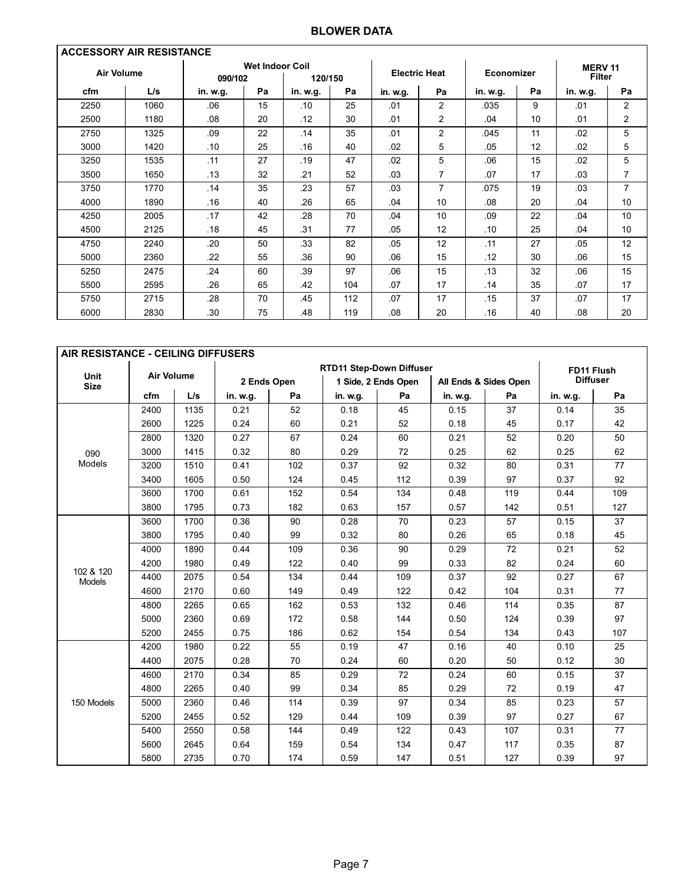### BLOWER DATA

| <b>ACCESSORY AIR RESISTANCE</b> |      |          |                        |          |     |          |                      |                   |    |                                |                |  |  |
|---------------------------------|------|----------|------------------------|----------|-----|----------|----------------------|-------------------|----|--------------------------------|----------------|--|--|
| <b>Air Volume</b>               |      | 090/102  | <b>Wet Indoor Coil</b> | 120/150  |     |          | <b>Electric Heat</b> | <b>Economizer</b> |    | <b>MERV11</b><br><b>Filter</b> |                |  |  |
| cfm                             | L/s  | in. w.g. | Pa                     | in. w.g. | Pa  | in. w.g. | Pa                   | in. w.g.          | Pa | in. w.g.                       | Pa             |  |  |
| 2250                            | 1060 | .06      | 15                     | .10      | 25  | .01      | 2                    | .035              | 9  | .01                            | 2              |  |  |
| 2500                            | 1180 | .08      | 20                     | .12      | 30  | .01      | 2                    | .04               | 10 | .01                            | 2              |  |  |
| 2750                            | 1325 | .09      | 22                     | .14      | 35  | .01      | 2                    | .045              | 11 | .02                            | 5              |  |  |
| 3000                            | 1420 | .10      | 25                     | .16      | 40  | .02      | 5                    | .05               | 12 | .02                            | 5              |  |  |
| 3250                            | 1535 | .11      | 27                     | .19      | 47  | .02      | 5                    | .06               | 15 | .02                            | 5              |  |  |
| 3500                            | 1650 | .13      | 32                     | .21      | 52  | .03      | $\overline{7}$       | .07               | 17 | .03                            | 7              |  |  |
| 3750                            | 1770 | .14      | 35                     | .23      | 57  | .03      | $\overline{7}$       | .075              | 19 | .03                            | $\overline{7}$ |  |  |
| 4000                            | 1890 | .16      | 40                     | .26      | 65  | .04      | 10                   | .08               | 20 | .04                            | 10             |  |  |
| 4250                            | 2005 | .17      | 42                     | .28      | 70  | .04      | 10                   | .09               | 22 | .04                            | 10             |  |  |
| 4500                            | 2125 | .18      | 45                     | .31      | 77  | .05      | 12                   | .10               | 25 | .04                            | 10             |  |  |
| 4750                            | 2240 | .20      | 50                     | .33      | 82  | .05      | 12                   | .11               | 27 | .05                            | 12             |  |  |
| 5000                            | 2360 | .22      | 55                     | .36      | 90  | .06      | 15                   | .12               | 30 | .06                            | 15             |  |  |
| 5250                            | 2475 | .24      | 60                     | .39      | 97  | .06      | 15                   | .13               | 32 | .06                            | 15             |  |  |
| 5500                            | 2595 | .26      | 65                     | .42      | 104 | .07      | 17                   | .14               | 35 | .07                            | 17             |  |  |
| 5750                            | 2715 | .28      | 70                     | .45      | 112 | .07      | 17                   | .15               | 37 | .07                            | 17             |  |  |
| 6000                            | 2830 | .30      | 75                     | .48      | 119 | .08      | 20                   | .16               | 40 | .08                            | 20             |  |  |

| AIR RESISTANCE - CEILING DIFFUSERS<br><b>RTD11 Step-Down Diffuser</b> |                   |      |          |             |          |                     |                       |     |                 |     |  |  |
|-----------------------------------------------------------------------|-------------------|------|----------|-------------|----------|---------------------|-----------------------|-----|-----------------|-----|--|--|
|                                                                       |                   |      |          |             |          | FD11 Flush          |                       |     |                 |     |  |  |
| <b>Unit</b><br><b>Size</b>                                            | <b>Air Volume</b> |      |          | 2 Ends Open |          | 1 Side, 2 Ends Open | All Ends & Sides Open |     | <b>Diffuser</b> |     |  |  |
|                                                                       | cfm               | L/s  | in. w.g. | Pa          | in. w.g. | Pa                  | in. w.g.              | Pa  | in. w.g.        | Pa  |  |  |
|                                                                       | 2400              | 1135 | 0.21     | 52          | 0.18     | 45                  | 0.15                  | 37  | 0.14            | 35  |  |  |
|                                                                       | 2600              | 1225 | 0.24     | 60          | 0.21     | 52                  | 45<br>0.18            |     | 0.17            | 42  |  |  |
|                                                                       | 2800              | 1320 | 0.27     | 67          | 0.24     | 60                  | 0.21                  | 52  | 0.20            | 50  |  |  |
| 090                                                                   | 3000              | 1415 | 0.32     | 80          | 0.29     | 72                  | 0.25                  | 62  | 0.25            | 62  |  |  |
| Models                                                                | 3200              | 1510 | 0.41     | 102         | 0.37     | 92                  | 0.32                  | 80  | 0.31            | 77  |  |  |
|                                                                       | 3400              | 1605 | 0.50     | 124         | 0.45     | 112                 | 0.39                  | 97  | 0.37            | 92  |  |  |
|                                                                       | 3600              | 1700 | 0.61     | 152         | 0.54     | 134                 | 0.48                  | 119 | 0.44            | 109 |  |  |
|                                                                       | 3800              | 1795 | 0.73     | 182         | 0.63     | 157                 | 0.57                  | 142 | 0.51            | 127 |  |  |
|                                                                       | 3600              | 1700 | 0.36     | 90          | 0.28     | 70                  | 0.23                  | 57  | 0.15            | 37  |  |  |
|                                                                       | 3800              | 1795 | 0.40     | 99          | 0.32     | 80                  | 0.26                  | 65  | 0.18            | 45  |  |  |
|                                                                       | 4000              | 1890 | 0.44     | 109         | 0.36     | 90                  | 0.29                  | 72  | 0.21            | 52  |  |  |
|                                                                       | 4200              | 1980 | 0.49     | 122         | 0.40     | 99                  | 0.33                  | 82  | 0.24            | 60  |  |  |
| 102 & 120<br>Models                                                   | 4400              | 2075 | 0.54     | 134         | 0.44     | 109                 | 0.37                  | 92  | 0.27            | 67  |  |  |
|                                                                       | 4600              | 2170 | 0.60     | 149         | 0.49     | 122                 | 0.42                  | 104 | 0.31            | 77  |  |  |
|                                                                       | 4800              | 2265 | 0.65     | 162         | 0.53     | 132                 | 0.46                  | 114 | 0.35            | 87  |  |  |
|                                                                       | 5000              | 2360 | 0.69     | 172         | 0.58     | 144                 | 0.50                  | 124 | 0.39            | 97  |  |  |
|                                                                       | 5200              | 2455 | 0.75     | 186         | 0.62     | 154                 | 0.54                  | 134 | 0.43            | 107 |  |  |
|                                                                       | 4200              | 1980 | 0.22     | 55          | 0.19     | 47                  | 0.16                  | 40  | 0.10            | 25  |  |  |
|                                                                       | 4400              | 2075 | 0.28     | 70          | 0.24     | 60                  | 0.20                  | 50  | 0.12            | 30  |  |  |
|                                                                       | 4600              | 2170 | 0.34     | 85          | 0.29     | 72                  | 0.24                  | 60  | 0.15            | 37  |  |  |
|                                                                       | 4800              | 2265 | 0.40     | 99          | 0.34     | 85                  | 0.29                  | 72  | 0.19            | 47  |  |  |
| 150 Models                                                            | 5000              | 2360 | 0.46     | 114         | 0.39     | 97                  | 0.34                  | 85  | 0.23            | 57  |  |  |
|                                                                       | 5200              | 2455 | 0.52     | 129         | 0.44     | 109                 | 0.39                  | 97  | 0.27            | 67  |  |  |
|                                                                       | 5400              | 2550 | 0.58     | 144         | 0.49     | 122                 | 0.43                  | 107 | 0.31            | 77  |  |  |
|                                                                       | 5600              | 2645 | 0.64     | 159         | 0.54     | 134                 | 0.47                  | 117 | 0.35            | 87  |  |  |
|                                                                       | 5800              | 2735 | 0.70     | 174         | 0.59     | 147                 | 0.51                  | 127 | 0.39            | 97  |  |  |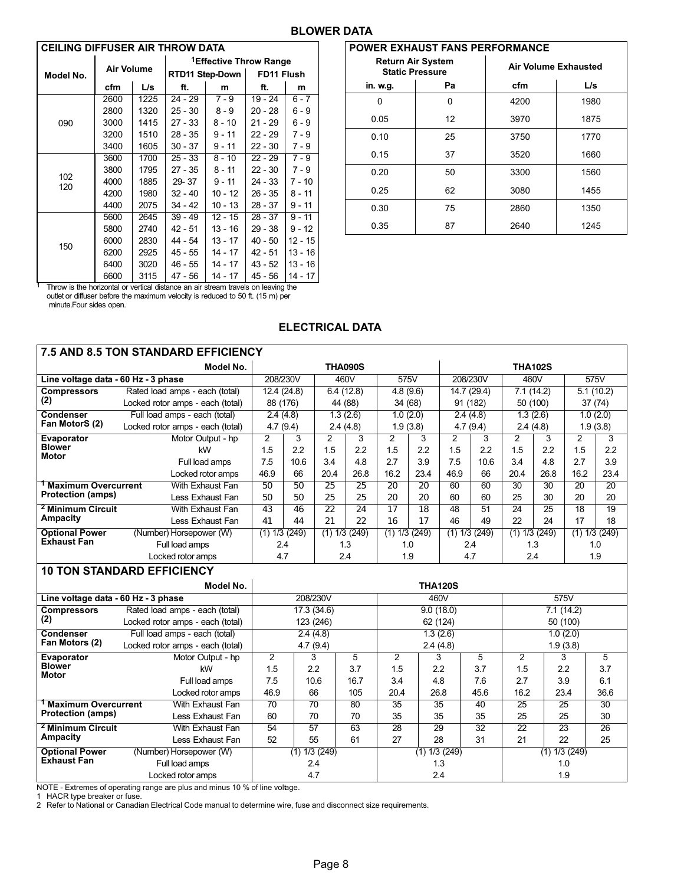#### BLOWER DATA

<span id="page-7-0"></span>

| <b>CEILING DIFFUSER AIR THROW DATA</b> |                   |      |                                    |                 |            |           |  |  |  |  |  |  |
|----------------------------------------|-------------------|------|------------------------------------|-----------------|------------|-----------|--|--|--|--|--|--|
|                                        |                   |      | <sup>1</sup> Effective Throw Range |                 |            |           |  |  |  |  |  |  |
| Model No.                              | <b>Air Volume</b> |      |                                    | RTD11 Step-Down | FD11 Flush |           |  |  |  |  |  |  |
|                                        | cfm               | L/s  | ft.                                | m               | ft.        | m         |  |  |  |  |  |  |
|                                        | 2600              | 1225 | $24 - 29$                          | $7 - 9$         | $19 - 24$  | $6 - 7$   |  |  |  |  |  |  |
|                                        | 2800              | 1320 | $25 - 30$                          | $8 - 9$         | $20 - 28$  | $6 - 9$   |  |  |  |  |  |  |
| 090                                    | 3000              | 1415 | 27 - 33                            | $8 - 10$        | $21 - 29$  | $6 - 9$   |  |  |  |  |  |  |
|                                        | 3200              | 1510 | 28 - 35                            | $9 - 11$        | 22 - 29    | 7 - 9     |  |  |  |  |  |  |
|                                        | 3400              | 1605 | $30 - 37$                          | $9 - 11$        | $22 - 30$  | $7 - 9$   |  |  |  |  |  |  |
|                                        | 3600              | 1700 | $25 - 33$                          | $8 - 10$        | $22 - 29$  | $7 - 9$   |  |  |  |  |  |  |
|                                        | 3800              | 1795 | $27 - 35$                          | 8 - 11          | 22 - 30    | 7 - 9     |  |  |  |  |  |  |
| 102<br>120                             | 4000              | 1885 | 29-37                              | $9 - 11$        | 24 - 33    | $7 - 10$  |  |  |  |  |  |  |
|                                        | 4200              | 1980 | $32 - 40$                          | $10 - 12$       | 26 - 35    | 8 - 11    |  |  |  |  |  |  |
|                                        | 4400              | 2075 | $34 - 42$                          | 10 - 13         | 28 - 37    | $9 - 11$  |  |  |  |  |  |  |
|                                        | 5600              | 2645 | $39 - 49$                          | 12 - 15         | $28 - 37$  | $9 - 11$  |  |  |  |  |  |  |
|                                        | 5800              | 2740 | 42 - 51                            | 13 - 16         | 29 - 38    | $9 - 12$  |  |  |  |  |  |  |
| 150                                    | 6000              | 2830 | 44 - 54                            | $13 - 17$       | $40 - 50$  | $12 - 15$ |  |  |  |  |  |  |
|                                        | 6200              | 2925 | 45 - 55                            | 14 - 17         | $42 - 51$  | 13 - 16   |  |  |  |  |  |  |
|                                        | 6400              | 3020 | 46 - 55                            | 14 - 17         | 43 - 52    | $13 - 16$ |  |  |  |  |  |  |
|                                        | 6600              | 3115 | 47 - 56                            | 14 - 17         | 45 - 56    | 14 - 17   |  |  |  |  |  |  |

| <b>POWER EXHAUST FANS PERFORMANCE</b>              |    |                             |      |  |
|----------------------------------------------------|----|-----------------------------|------|--|
| <b>Return Air System</b><br><b>Static Pressure</b> |    | <b>Air Volume Exhausted</b> |      |  |
| in. w.g.                                           | Pa | cfm                         | L/s  |  |
| n                                                  | 0  | 4200                        | 1980 |  |
| 0.05                                               | 12 | 3970                        | 1875 |  |
| 0.10                                               | 25 | 3750                        | 1770 |  |
| 0.15                                               | 37 | 3520                        | 1660 |  |
| 0.20                                               | 50 | 3300                        | 1560 |  |
| 0.25                                               | 62 | 3080                        | 1455 |  |
| 0.30                                               | 75 | 2860                        | 1350 |  |
| 0.35                                               | 87 | 2640                        | 1245 |  |

<sup>1</sup> Throw is the horizontal or vertical distance an air stream travels on leaving the outlet-or diffuser before the maximum velocity is reduced to 50 ft. (15 m) per minute.Four sides open.

#### ELECTRICAL DATA

| <b>7.5 AND 8.5 TON STANDARD EFFICIENCY</b>                                       |                                   |                   |                   |                |                   |                   |                       |                   |            |                   |                   |                       |                       |  |
|----------------------------------------------------------------------------------|-----------------------------------|-------------------|-------------------|----------------|-------------------|-------------------|-----------------------|-------------------|------------|-------------------|-------------------|-----------------------|-----------------------|--|
| Model No.                                                                        |                                   |                   | <b>THA090S</b>    |                |                   |                   |                       | <b>THA102S</b>    |            |                   |                   |                       |                       |  |
| Line voltage data - 60 Hz - 3 phase                                              |                                   | 208/230V          |                   |                | 460V              |                   | 575V                  |                   | 208/230V   |                   | 460V              |                       | 575V                  |  |
| <b>Compressors</b>                                                               | Rated load amps - each (total)    | 12.4(24.8)        |                   |                | 6.4(12.8)         |                   | 4.8(9.6)              |                   | 14.7(29.4) |                   | 7.1(14.2)         |                       | 5.1(10.2)             |  |
| (2)                                                                              | Locked rotor amps - each (total)  | 88 (176)          |                   |                | 44 (88)           |                   | 34 (68)               |                   | 91 (182)   |                   | 50 (100)          | 37 (74)               |                       |  |
| Condenser                                                                        | Full load amps - each (total)     | 2.4(4.8)          |                   |                | 1.3(2.6)          | 1.0(2.0)          |                       | 2.4(4.8)          |            | 1.3(2.6)          |                   | 1.0(2.0)              |                       |  |
| Fan MotorS (2)                                                                   | Locked rotor amps - each (total)  | 4.7(9.4)          |                   |                | 2.4(4.8)          |                   | 1.9(3.8)              |                   | 4.7(9.4)   | 2.4(4.8)          |                   |                       | 1.9(3.8)              |  |
| Evaporator<br><b>Blower</b>                                                      | Motor Output - hp                 | $\overline{2}$    | 3                 | $\overline{2}$ | 3                 | 2                 | 3                     | $\mathcal{P}$     | 3          | 2                 | 3                 | $\overline{2}$        | 3                     |  |
| <b>Motor</b>                                                                     | kW                                | 1.5               | 2.2               | 1.5            | 2.2               | 1.5               | 2.2                   | 1.5               | 2.2        | 1.5               | 2.2               | 1.5                   | 2.2                   |  |
|                                                                                  | Full load amps                    | 7.5               | 10.6              | 3.4            | 4.8               | 2.7               | 3.9                   | 7.5               | 10.6       | 3.4               | 4.8               | 2.7                   | 3.9                   |  |
|                                                                                  | Locked rotor amps                 | 46.9              | 66                | 20.4           | 26.8              | 16.2              | 23.4                  | 46.9              | 66         | 20.4              | 26.8              | 16.2                  | 23.4                  |  |
| <sup>1</sup> Maximum Overcurrent<br><b>Protection (amps)</b>                     | With Exhaust Fan                  | 50                | 50                | 25             | $\overline{25}$   | $\overline{20}$   | $\overline{20}$       | 60                | 60         | 30                | 30                | 20                    | 20                    |  |
|                                                                                  | Less Exhaust Fan                  | 50                | 50                | 25             | 25                | 20                | 20                    | 60                | 60         | 25                | 30                | 20                    | 20                    |  |
| <sup>2</sup> Minimum Circuit<br><b>Ampacity</b>                                  | With Exhaust Fan                  | 43                | 46                | 22             | 24                | $\overline{17}$   | $\overline{18}$       | 48                | 51         | 24                | 25                | 18                    | 19                    |  |
| <b>Optional Power</b>                                                            | Less Exhaust Fan                  | 41                | 44                | 21             | 22                | 16                | 17                    | 46                | 49         | 22                | 24                | 17                    | 18                    |  |
| <b>Exhaust Fan</b>                                                               | (Number) Horsepower (W)           | $(1)$ 1/3 $(249)$ |                   |                | $(1)$ 1/3 $(249)$ | $(1)$ 1/3 $(249)$ |                       | $(1)$ 1/3 $(249)$ |            | $(1)$ 1/3 $(249)$ |                   | $(1)$ 1/3 $(249)$     |                       |  |
|                                                                                  | Full load amps                    | 2.4<br>4.7        |                   |                | 1.3<br>1.0        |                   |                       | 2.4               |            | 1.3<br>2.4        |                   | 1.0<br>1.9            |                       |  |
| Locked rotor amps                                                                |                                   | 2.4               |                   |                |                   | 1.9<br>4.7        |                       |                   |            |                   |                   |                       |                       |  |
|                                                                                  | <b>10 TON STANDARD EFFICIENCY</b> |                   |                   |                |                   |                   |                       |                   |            |                   |                   |                       |                       |  |
| Model No.                                                                        |                                   |                   |                   |                |                   |                   | <b>THA120S</b>        |                   |            |                   |                   |                       |                       |  |
| Line voltage data - 60 Hz - 3 phase                                              |                                   |                   | 208/230V          |                |                   |                   | 460V                  |                   |            |                   |                   | 575V                  |                       |  |
| <b>Compressors</b>                                                               | Rated load amps - each (total)    | 17.3(34.6)        |                   |                | 9.0(18.0)         |                   |                       |                   | 7.1(14.2)  |                   |                   |                       |                       |  |
| (2)                                                                              | Locked rotor amps - each (total)  | 123 (246)         |                   |                |                   | 62 (124)          |                       |                   | 50 (100)   |                   |                   |                       |                       |  |
| Condenser<br>Fan Motors (2)                                                      | Full load amps - each (total)     | 2.4(4.8)          |                   |                | 1.3(2.6)          |                   |                       | 1.0(2.0)          |            |                   |                   |                       |                       |  |
|                                                                                  | Locked rotor amps - each (total)  |                   | 4.7(9.4)          |                |                   | 2.4(4.8)          |                       |                   | 1.9(3.8)   |                   |                   |                       |                       |  |
| Evaporator<br><b>Blower</b>                                                      | Motor Output - hp                 | $\overline{2}$    |                   | 3              | 5                 | $\overline{2}$    |                       | 3                 | 5          | $\overline{2}$    |                   | 3                     | 5                     |  |
| Motor                                                                            | kW                                | 1.5               | 2.2               |                | 3.7               | 1.5               | 2.2                   |                   | 3.7        | 1.5               |                   | 2.2                   | 3.7                   |  |
|                                                                                  | Full load amps                    | 7.5               |                   | 10.6           | 16.7              | 3.4               | 4.8                   |                   | 7.6        | 2.7               |                   | 3.9                   | 6.1                   |  |
| Locked rotor amps                                                                |                                   | 46.9<br>70        | 66<br>70          |                | 105               | 20.4<br>35        | 26.8                  |                   | 45.6       | 16.2<br>25        |                   | 23.4                  | 36.6                  |  |
| <sup>1</sup> Maximum Overcurrent<br>With Exhaust Fan<br><b>Protection (amps)</b> |                                   | 60                | 70                |                | 80<br>70          | 35                | $\overline{35}$<br>35 |                   | 40<br>35   | 25                |                   | $\overline{25}$<br>25 | $\overline{30}$<br>30 |  |
| Less Exhaust Fan<br><sup>2</sup> Minimum Circuit<br>With Exhaust Fan             |                                   | 54                | 57                |                | 63                | 28                | 29                    |                   | 32         | $\overline{22}$   | 23                |                       | 26                    |  |
| <b>Ampacity</b>                                                                  | Less Exhaust Fan                  | 52                | 55                |                | 61                | 27                | 28                    |                   | 31         | 21                |                   | 22                    | 25                    |  |
| <b>Optional Power</b>                                                            | (Number) Horsepower (W)           |                   | $(1)$ 1/3 $(249)$ |                |                   |                   | $(1)$ 1/3 $(249)$     |                   |            |                   | $(1)$ 1/3 $(249)$ |                       |                       |  |
| <b>Exhaust Fan</b>                                                               | Full load amps                    |                   |                   |                |                   |                   |                       | 1.3               |            |                   |                   |                       |                       |  |
|                                                                                  | Locked rotor amps                 | 2.4<br>4.7        |                   |                | 2.4               |                   |                       | 1.0<br>1.9        |            |                   |                   |                       |                       |  |
|                                                                                  |                                   |                   |                   |                |                   |                   |                       |                   |            |                   |                   |                       |                       |  |

NOTE - Extremes of operating range are plus and minus 10 % of line voltage.

1 HACR type breaker or fuse.

2 Refer to National or Canadian Electrical Code manual to determine wire, fuse and disconnect size requirements.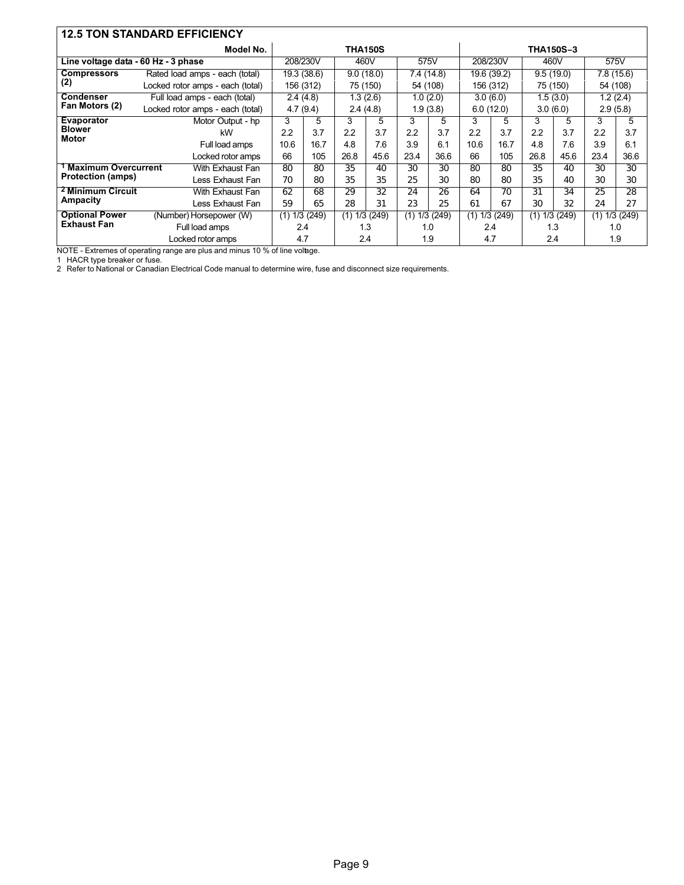| <b>12.5 TON STANDARD EFFICIENCY</b>            |                                  |                  |             |           |                   |            |           |             |          |                   |           |            |          |
|------------------------------------------------|----------------------------------|------------------|-------------|-----------|-------------------|------------|-----------|-------------|----------|-------------------|-----------|------------|----------|
|                                                | Model No.                        |                  |             |           | <b>THA150S</b>    |            |           |             |          | <b>THA150S-3</b>  |           |            |          |
| Line voltage data - 60 Hz - 3 phase            |                                  | 208/230V         |             | 460V      |                   | 575V       |           | 208/230V    |          | 460V              |           | 575V       |          |
| <b>Compressors</b>                             | Rated load amps - each (total)   |                  | 19.3 (38.6) | 9.0(18.0) |                   | 7.4 (14.8) |           | 19.6 (39.2) |          | 9.5(19.0)         |           | 7.8 (15.6) |          |
| (2)                                            | Locked rotor amps - each (total) |                  | 156 (312)   |           | 75 (150)          | 54 (108)   |           | 156 (312)   |          | 75 (150)          |           | 54 (108)   |          |
| Condenser                                      | Full load amps - each (total)    |                  | 2.4(4.8)    |           | 1.3 (2.6)         |            | 1.0(2.0)  |             | 3.0(6.0) |                   | 1.5 (3.0) | 1.2 (2.4)  |          |
| Fan Motors (2)                                 | Locked rotor amps - each (total) |                  | 4.7(9.4)    |           | 2.4(4.8)          |            | 1.9(3.8)  | 6.0(12.0)   |          | 3.0(6.0)          |           | 2.9(5.8)   |          |
| <b>Evaporator</b>                              | Motor Output - hp                | 3                | 5           | 3         | 5                 | 3          | 5         | 3           | 5        | 3                 | 5         | 3          | 5        |
| <b>Blower</b><br><b>Motor</b>                  | kW                               | 2.2              | 3.7         | 2.2       | 3.7               | 2.2        | 3.7       | 2.2         | 3.7      | 2.2               | 3.7       | 2.2        | 3.7      |
|                                                | Full load amps                   | 10.6             | 16.7        | 4.8       | 7.6               | 3.9        | 6.1       | 10.6        | 16.7     | 4.8               | 7.6       | 3.9        | 6.1      |
| Locked rotor amps                              |                                  | 66               | 105         | 26.8      | 45.6              | 23.4       | 36.6      | 66          | 105      | 26.8              | 45.6      | 23.4       | 36.6     |
| <b>Maximum Overcurrent</b><br>With Exhaust Fan |                                  | 80               | 80          | 35        | 40                | 30         | 30        | 80          | 80       | 35                | 40        | 30         | 30       |
| <b>Protection (amps)</b>                       | Less Exhaust Fan                 | 70               | 80          | 35        | 35                | 25         | 30        | 80          | 80       | 35                | 40        | 30         | 30       |
| <sup>2</sup> Minimum Circuit                   | With Exhaust Fan                 | 62               | 68          | 29        | 32                | 24         | 26        | 64          | 70       | 31                | 34        | 25         | 28       |
| Ampacity                                       | Less Exhaust Fan                 | 59               | 65          | 28        | 31                | 23         | 25        | 61          | 67       | 30                | 32        | 24         | 27       |
| <b>Optional Power</b>                          | (Number) Horsepower (W)          | 1/3 (249)<br>(1) |             |           | $(1)$ 1/3 $(249)$ | (1)        | 1/3 (249) | (1)         | 1/3(249) | $(1)$ 1/3 $(249)$ |           | (1)        | 1/3(249) |
| <b>Exhaust Fan</b><br>Full load amps           |                                  |                  | 2.4         | 1.3       |                   | 1.0        |           | 2.4         |          | 1.3               |           | 1.0        |          |
| Locked rotor amps                              |                                  |                  | 4.7         |           | 2.4               |            | 1.9       | 4.7         |          | 2.4               |           | 1.9        |          |

NOTE - Extremes of operating range are plus and minus 10 % of line voltage.

1 HACR type breaker or fuse.<br>2 Refer to National or Canadian Electrical Code manual to determine wire, fuse and disconnect size requirements.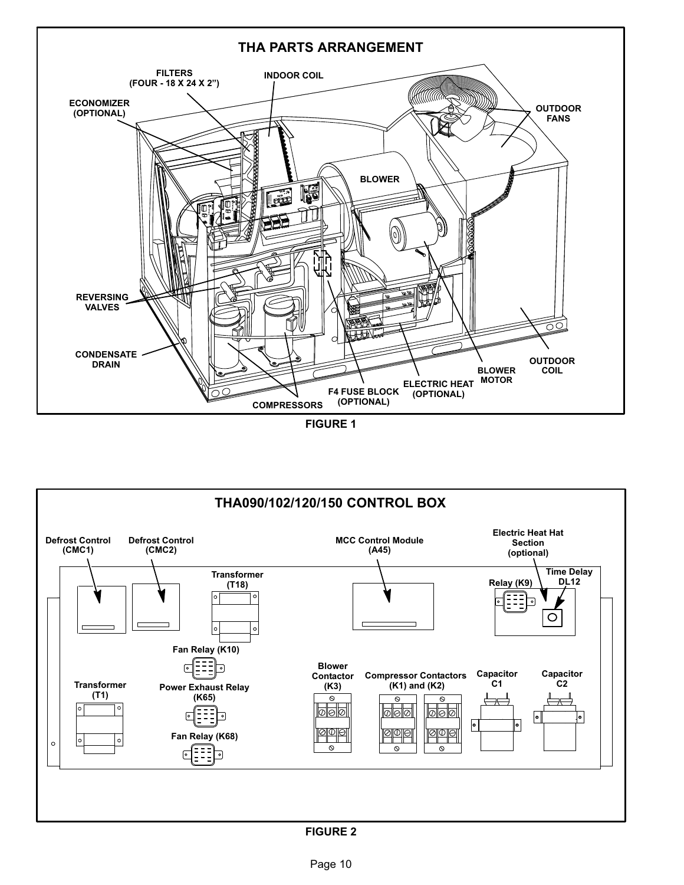<span id="page-9-0"></span>

FIGURE 1



#### FIGURE 2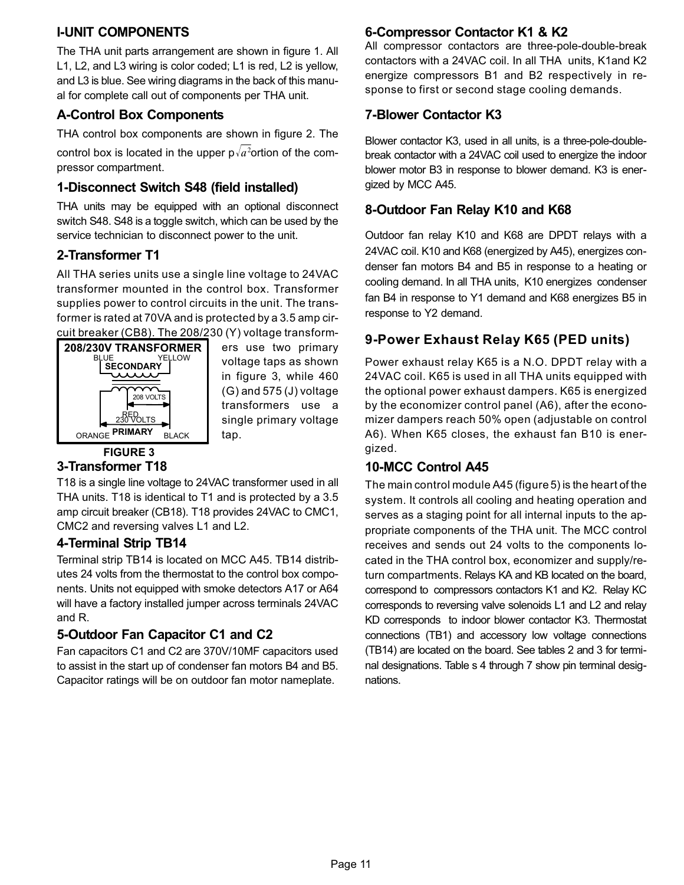## <span id="page-10-0"></span>I−UNIT COMPONENTS

The THA unit parts arrangement are shown in figure [1.](#page-9-0) All L1, L2, and L3 wiring is color coded; L1 is red, L2 is yellow, and L3 is blue. See wiring diagrams in the back of this manual for complete call out of components per THA unit.

## A−Control Box Components

THA control box components are shown in figure [2.](#page-9-0) The control box is located in the upper p $\sqrt{a^2}$ ortion of the compressor compartment.

## 1−Disconnect Switch S48 (field installed)

THA units may be equipped with an optional disconnect switch S48. S48 is a toggle switch, which can be used by the service technician to disconnect power to the unit.

## 2−Transformer T1

All THA series units use a single line voltage to 24VAC transformer mounted in the control box. Transformer supplies power to control circuits in the unit. The transformer is rated at 70VA and is protected by a 3.5 amp circuit breaker (CB8). The 208/230 (Y) voltage transform-



ers use two primary voltage taps as shown in figure 3, while 460 (G) and 575 (J) voltage transformers use a single primary voltage tap.

## FIGURE 3

## 3−Transformer T18

T18 is a single line voltage to 24VAC transformer used in all THA units. T18 is identical to T1 and is protected by a 3.5 amp circuit breaker (CB18). T18 provides 24VAC to CMC1, CMC2 and reversing valves L1 and L2.

## 4−Terminal Strip TB14

Terminal strip TB14 is located on MCC A45. TB14 distributes 24 volts from the thermostat to the control box components. Units not equipped with smoke detectors A17 or A64 will have a factory installed jumper across terminals 24VAC and R.

## 5−Outdoor Fan Capacitor C1 and C2

Fan capacitors C1 and C2 are 370V/10MF capacitors used to assist in the start up of condenser fan motors B4 and B5. Capacitor ratings will be on outdoor fan motor nameplate.

## 6−Compressor Contactor K1 & K2

All compressor contactors are three-pole-double-break contactors with a 24VAC coil. In all THA units, K1and K2 energize compressors B1 and B2 respectively in response to first or second stage cooling demands.

## 7−Blower Contactor K3

Blower contactor K3, used in all units, is a three-pole-doublebreak contactor with a 24VAC coil used to energize the indoor blower motor B3 in response to blower demand. K3 is energized by MCC A45.

## 8−Outdoor Fan Relay K10 and K68

Outdoor fan relay K10 and K68 are DPDT relays with a 24VAC coil. K10 and K68 (energized by A45), energizes condenser fan motors B4 and B5 in response to a heating or cooling demand. In all THA units, K10 energizes condenser fan B4 in response to Y1 demand and K68 energizes B5 in response to Y2 demand.

## 9−Power Exhaust Relay K65 (PED units)

Power exhaust relay K65 is a N.O. DPDT relay with a 24VAC coil. K65 is used in all THA units equipped with the optional power exhaust dampers. K65 is energized by the economizer control panel (A6), after the economizer dampers reach 50% open (adjustable on control A6). When K65 closes, the exhaust fan B10 is energized.

## 10−MCC Control A45

The main control module A45 (figure [5\)](#page-13-0) is the heart of the system. It controls all cooling and heating operation and serves as a staging point for all internal inputs to the appropriate components of the THA unit. The MCC control receives and sends out 24 volts to the components located in the THA control box, economizer and supply/return compartments. Relays KA and KB located on the board, correspond to compressors contactors K1 and K2. Relay KC corresponds to reversing valve solenoids L1 and L2 and relay KD corresponds to indoor blower contactor K3. Thermostat connections (TB1) and accessory low voltage connections (TB14) are located on the board. See tables [2](#page-11-0) and [3](#page-11-0) for terminal designations. Table s [4](#page-11-0) through [7](#page-12-0) show pin terminal designations.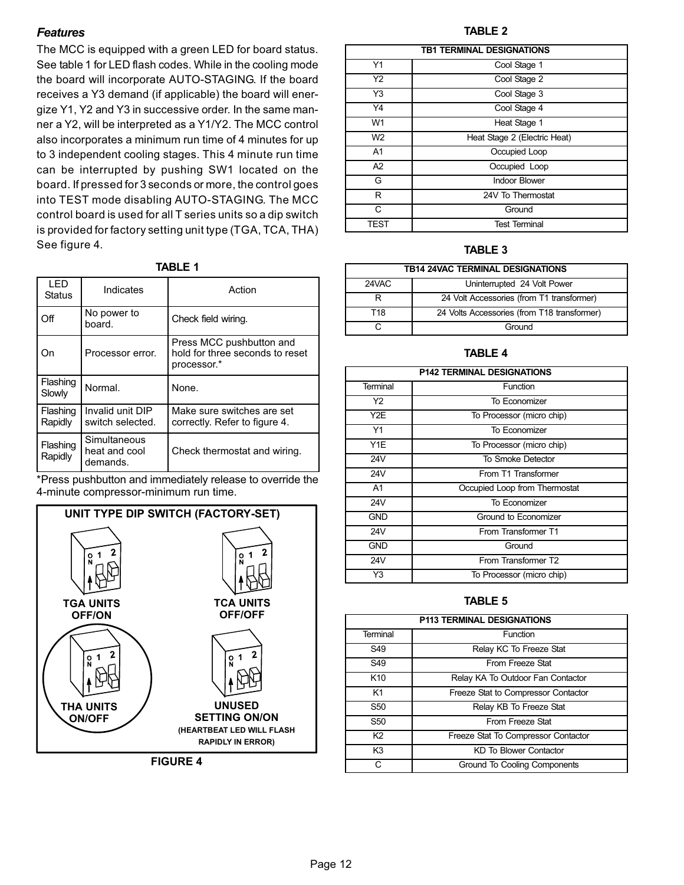#### <span id="page-11-0"></span>Features

The MCC is equipped with a green LED for board status. See table 1 for LED flash codes. While in the cooling mode the board will incorporate AUTO−STAGING. If the board receives a Y3 demand (if applicable) the board will energize Y1, Y2 and Y3 in successive order. In the same manner a Y2, will be interpreted as a Y1/Y2. The MCC control also incorporates a minimum run time of 4 minutes for up to 3 independent cooling stages. This 4 minute run time can be interrupted by pushing SW1 located on the board. If pressed for 3 seconds or more, the control goes into TEST mode disabling AUTO−STAGING. The MCC control board is used for all T series units so a dip switch is provided for factory setting unit type (TGA, TCA, THA) See figure 4.

|--|--|

| I FD<br><b>Status</b> | Indicates                                 | Action                                                                     |
|-----------------------|-------------------------------------------|----------------------------------------------------------------------------|
| Off                   | No power to<br>board.                     | Check field wiring.                                                        |
| On                    | Processor error.                          | Press MCC pushbutton and<br>hold for three seconds to reset<br>processor.* |
| Flashing<br>Slowly    | Normal.                                   | None.                                                                      |
| Flashing<br>Rapidly   | Invalid unit DIP<br>switch selected.      | Make sure switches are set<br>correctly. Refer to figure 4.                |
| Flashing<br>Rapidly   | Simultaneous<br>heat and cool<br>demands. | Check thermostat and wiring.                                               |

\*Press pushbutton and immediately release to override the 4−minute compressor−minimum run time.



FIGURE 4

#### TABLE 2

|                | <b>TB1 TERMINAL DESIGNATIONS</b> |  |  |  |  |
|----------------|----------------------------------|--|--|--|--|
| Y1             | Cool Stage 1                     |  |  |  |  |
| Y2             | Cool Stage 2                     |  |  |  |  |
| Y3             | Cool Stage 3                     |  |  |  |  |
| Y4             | Cool Stage 4                     |  |  |  |  |
| W1             | Heat Stage 1                     |  |  |  |  |
| W <sub>2</sub> | Heat Stage 2 (Electric Heat)     |  |  |  |  |
| A <sub>1</sub> | Occupied Loop                    |  |  |  |  |
| A2             | Occupied Loop                    |  |  |  |  |
| G              | <b>Indoor Blower</b>             |  |  |  |  |
| R              | 24V To Thermostat                |  |  |  |  |
| C              | Ground                           |  |  |  |  |
| TEST           | <b>Test Terminal</b>             |  |  |  |  |

#### TABLE 3

| TB14 24VAC TERMINAL DESIGNATIONS |                                             |  |  |  |
|----------------------------------|---------------------------------------------|--|--|--|
| 24VAC                            | Uninterrupted 24 Volt Power                 |  |  |  |
|                                  | 24 Volt Accessories (from T1 transformer)   |  |  |  |
| T18                              | 24 Volts Accessories (from T18 transformer) |  |  |  |
|                                  | Ground                                      |  |  |  |

#### TABLE 4

| <b>P142 TERMINAL DESIGNATIONS</b> |                               |  |  |  |
|-----------------------------------|-------------------------------|--|--|--|
| Terminal                          | Function                      |  |  |  |
| Y2                                | To Economizer                 |  |  |  |
| Y2E                               | To Processor (micro chip)     |  |  |  |
| Y1                                | To Economizer                 |  |  |  |
| Y1E                               | To Processor (micro chip)     |  |  |  |
| <b>24V</b>                        | To Smoke Detector             |  |  |  |
| <b>24V</b>                        | From T1 Transformer           |  |  |  |
| A <sub>1</sub>                    | Occupied Loop from Thermostat |  |  |  |
| <b>24V</b>                        | To Economizer                 |  |  |  |
| <b>GND</b>                        | Ground to Economizer          |  |  |  |
| <b>24V</b>                        | From Transformer T1           |  |  |  |
| <b>GND</b>                        | Ground                        |  |  |  |
| <b>24V</b>                        | From Transformer T2           |  |  |  |
| Y3                                | To Processor (micro chip)     |  |  |  |

#### TABLE 5

| <b>P113 TERMINAL DESIGNATIONS</b> |                                     |  |  |  |
|-----------------------------------|-------------------------------------|--|--|--|
| Terminal                          | Function                            |  |  |  |
| S <sub>49</sub>                   | Relay KC To Freeze Stat             |  |  |  |
| S49                               | From Freeze Stat                    |  |  |  |
| K <sub>10</sub>                   | Relay KA To Outdoor Fan Contactor   |  |  |  |
| K1                                | Freeze Stat to Compressor Contactor |  |  |  |
| S <sub>50</sub>                   | Relay KB To Freeze Stat             |  |  |  |
| S <sub>50</sub>                   | From Freeze Stat                    |  |  |  |
| K2                                | Freeze Stat To Compressor Contactor |  |  |  |
| K <sub>3</sub>                    | KD To Blower Contactor              |  |  |  |
|                                   | Ground To Cooling Components        |  |  |  |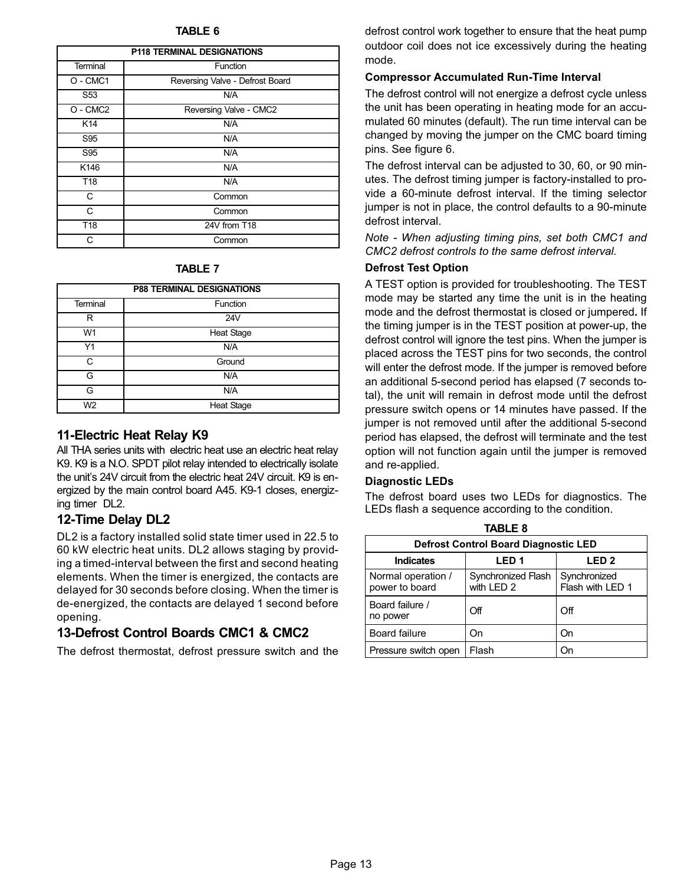<span id="page-12-0"></span>

| <b>P118 TERMINAL DESIGNATIONS</b> |                                 |  |  |  |
|-----------------------------------|---------------------------------|--|--|--|
| Terminal                          | Function                        |  |  |  |
| O - CMC1                          | Reversing Valve - Defrost Board |  |  |  |
| S <sub>53</sub>                   | N/A                             |  |  |  |
| $O - CMC2$                        | Reversing Valve - CMC2          |  |  |  |
| K14                               | N/A                             |  |  |  |
| S95                               | N/A                             |  |  |  |
| S95                               | N/A                             |  |  |  |
| K146                              | N/A                             |  |  |  |
| T <sub>18</sub>                   | N/A                             |  |  |  |
| C                                 | Common                          |  |  |  |
| C                                 | Common                          |  |  |  |
| T <sub>18</sub>                   | 24V from T18                    |  |  |  |
|                                   | Common                          |  |  |  |

#### TABLE 7

|                | <b>P88 TERMINAL DESIGNATIONS</b> |  |  |  |  |
|----------------|----------------------------------|--|--|--|--|
| Terminal       | Function                         |  |  |  |  |
| R              | 24V                              |  |  |  |  |
| W <sub>1</sub> | <b>Heat Stage</b>                |  |  |  |  |
| Y1             | N/A                              |  |  |  |  |
| $\cap$         | Ground                           |  |  |  |  |
| G              | N/A                              |  |  |  |  |
| G              | N/A                              |  |  |  |  |
| W <sub>2</sub> | <b>Heat Stage</b>                |  |  |  |  |

#### 11−Electric Heat Relay K9

All THA series units with electric heat use an electric heat relay K9. K9 is a N.O. SPDT pilot relay intended to electrically isolate the unit's 24V circuit from the electric heat 24V circuit. K9 is energized by the main control board A45. K9−1 closes, energizing timer DL2.

## 12−Time Delay DL2

DL2 is a factory installed solid state timer used in 22.5 to 60 kW electric heat units. DL2 allows staging by providing a timed−interval between the first and second heating elements. When the timer is energized, the contacts are delayed for 30 seconds before closing. When the timer is de−energized, the contacts are delayed 1 second before opening.

## 13−Defrost Control Boards CMC1 & CMC2

The defrost thermostat, defrost pressure switch and the

defrost control work together to ensure that the heat pump outdoor coil does not ice excessively during the heating mode.

#### Compressor Accumulated Run−Time Interval

The defrost control will not energize a defrost cycle unless the unit has been operating in heating mode for an accumulated 60 minutes (default). The run time interval can be changed by moving the jumper on the CMC board timing pins. See figure [6.](#page-13-0)

The defrost interval can be adjusted to 30, 60, or 90 minutes. The defrost timing jumper is factory−installed to provide a 60−minute defrost interval. If the timing selector jumper is not in place, the control defaults to a 90−minute defrost interval.

Note − When adjusting timing pins, set both CMC1 and CMC2 defrost controls to the same defrost interval.

#### Defrost Test Option

A TEST option is provided for troubleshooting. The TEST mode may be started any time the unit is in the heating mode and the defrost thermostat is closed or jumpered. If the timing jumper is in the TEST position at power-up, the defrost control will ignore the test pins. When the jumper is placed across the TEST pins for two seconds, the control will enter the defrost mode. If the jumper is removed before an additional 5−second period has elapsed (7 seconds total), the unit will remain in defrost mode until the defrost pressure switch opens or 14 minutes have passed. If the jumper is not removed until after the additional 5−second period has elapsed, the defrost will terminate and the test option will not function again until the jumper is removed and re−applied.

#### Diagnostic LEDs

The defrost board uses two LEDs for diagnostics. The LEDs flash a sequence according to the condition.

| <b>TABLE 8</b>                              |                                  |                                  |  |  |  |  |
|---------------------------------------------|----------------------------------|----------------------------------|--|--|--|--|
| <b>Defrost Control Board Diagnostic LED</b> |                                  |                                  |  |  |  |  |
| <b>Indicates</b>                            | LED <sub>1</sub>                 | LED <sub>2</sub>                 |  |  |  |  |
| Normal operation /<br>power to board        | Synchronized Flash<br>with LED 2 | Synchronized<br>Flash with LED 1 |  |  |  |  |
| Board failure /<br>no power                 | Off                              | Off                              |  |  |  |  |
| <b>Board failure</b>                        | On                               | On                               |  |  |  |  |
| Pressure switch open                        | Flash                            | On                               |  |  |  |  |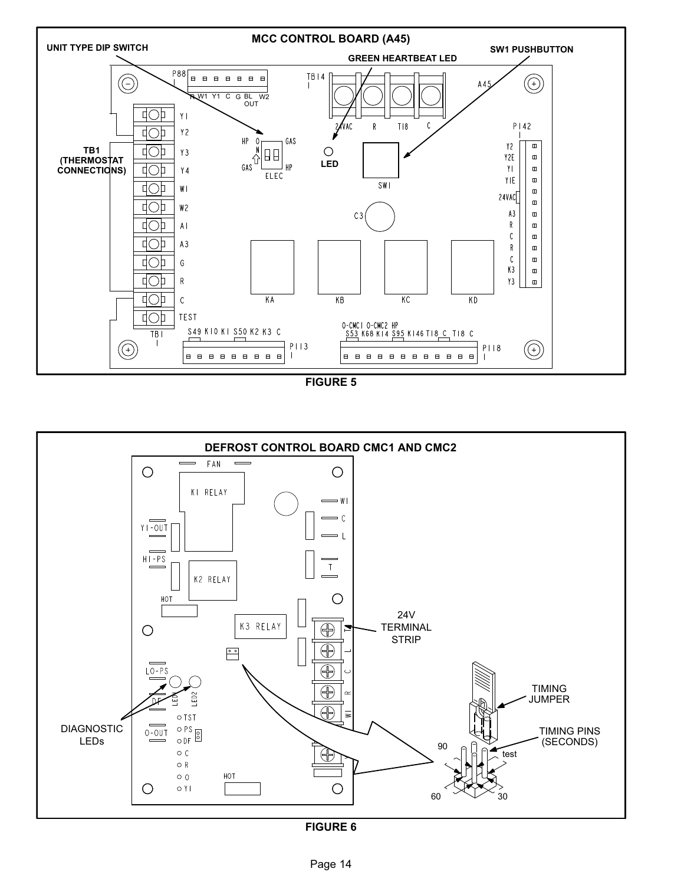<span id="page-13-0"></span>

FIGURE 5



FIGURE 6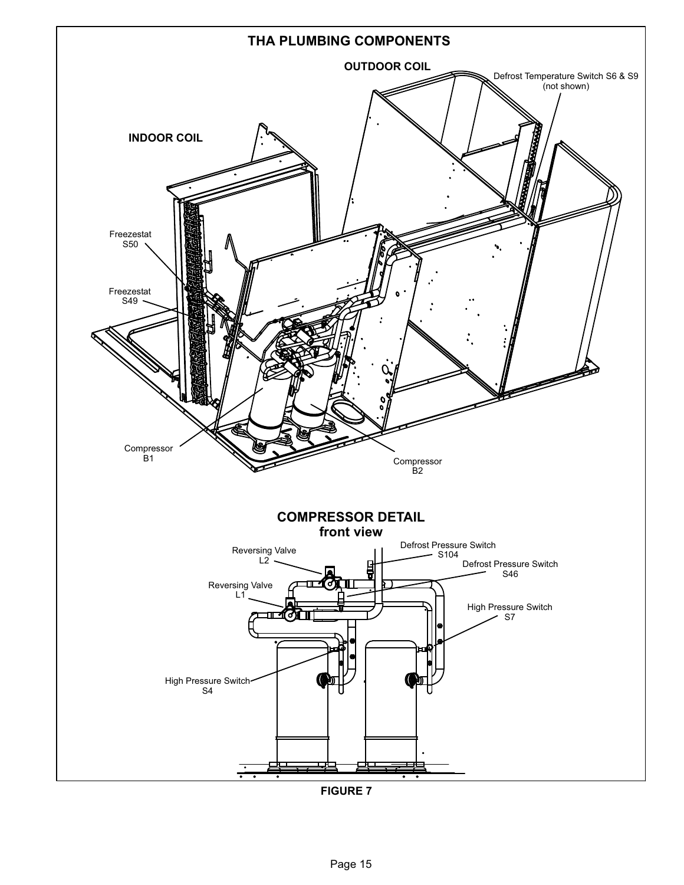<span id="page-14-0"></span>

FIGURE 7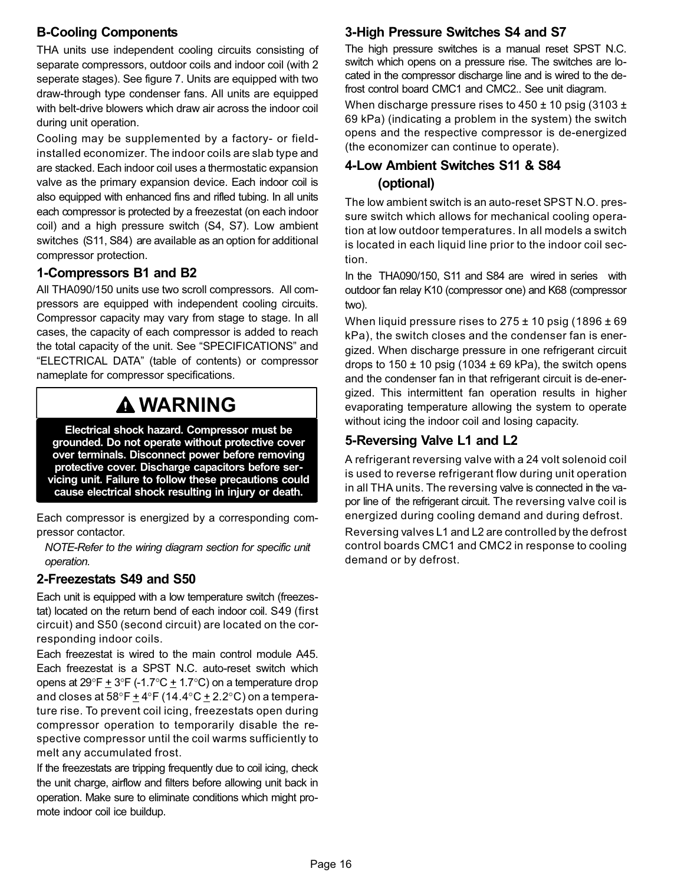## B−Cooling Components

THA units use independent cooling circuits consisting of separate compressors, outdoor coils and indoor coil (with 2 seperate stages). See figure [7.](#page-14-0) Units are equipped with two draw−through type condenser fans. All units are equipped with belt-drive blowers which draw air across the indoor coil during unit operation.

Cooling may be supplemented by a factory- or fieldinstalled economizer. The indoor coils are slab type and are stacked. Each indoor coil uses a thermostatic expansion valve as the primary expansion device. Each indoor coil is also equipped with enhanced fins and rifled tubing. In all units each compressor is protected by a freezestat (on each indoor coil) and a high pressure switch (S4, S7). Low ambient switches (S11, S84) are available as an option for additional compressor protection.

## 1−Compressors B1 and B2

All THA090/150 units use two scroll compressors. All compressors are equipped with independent cooling circuits. Compressor capacity may vary from stage to stage. In all cases, the capacity of each compressor is added to reach the total capacity of the unit. See "SPECIFICATIONS" and ELECTRICAL DATA" (table of contents) or compressor nameplate for compressor specifications.

# WARNING

Electrical shock hazard. Compressor must be grounded. Do not operate without protective cover over terminals. Disconnect power before removing protective cover. Discharge capacitors before servicing unit. Failure to follow these precautions could cause electrical shock resulting in injury or death.

Each compressor is energized by a corresponding compressor contactor.

NOTE−Refer to the wiring diagram section for specific unit operation.

## 2−Freezestats S49 and S50

Each unit is equipped with a low temperature switch (freezestat) located on the return bend of each indoor coil. S49 (first circuit) and S50 (second circuit) are located on the corresponding indoor coils.

Each freezestat is wired to the main control module A45. Each freezestat is a SPST N.C. auto−reset switch which opens at 29°F  $\pm$  3°F (-1.7°C  $\pm$  1.7°C) on a temperature drop and closes at 58°F  $\pm$  4°F (14.4°C  $\pm$  2.2°C) on a temperature rise. To prevent coil icing, freezestats open during compressor operation to temporarily disable the respective compressor until the coil warms sufficiently to melt any accumulated frost.

If the freezestats are tripping frequently due to coil icing, check the unit charge, airflow and filters before allowing unit back in operation. Make sure to eliminate conditions which might promote indoor coil ice buildup.

## 3−High Pressure Switches S4 and S7

The high pressure switches is a manual reset SPST N.C. switch which opens on a pressure rise. The switches are located in the compressor discharge line and is wired to the defrost control board CMC1 and CMC2.. See unit diagram.

When discharge pressure rises to  $450 \pm 10$  psig (3103  $\pm$ 69 kPa) (indicating a problem in the system) the switch opens and the respective compressor is de−energized (the economizer can continue to operate).

## 4−Low Ambient Switches S11 & S84 (optional)

The low ambient switch is an auto-reset SPST N.O. pressure switch which allows for mechanical cooling operation at low outdoor temperatures. In all models a switch is located in each liquid line prior to the indoor coil section.

In the THA090/150, S11 and S84 are wired in series with outdoor fan relay K10 (compressor one) and K68 (compressor two).

When liquid pressure rises to  $275 \pm 10$  psig (1896  $\pm 69$ kPa), the switch closes and the condenser fan is energized. When discharge pressure in one refrigerant circuit drops to  $150 \pm 10$  psig (1034  $\pm$  69 kPa), the switch opens and the condenser fan in that refrigerant circuit is de−energized. This intermittent fan operation results in higher evaporating temperature allowing the system to operate without icing the indoor coil and losing capacity.

## 5−Reversing Valve L1 and L2

A refrigerant reversing valve with a 24 volt solenoid coil is used to reverse refrigerant flow during unit operation in all THA units. The reversing valve is connected in the vapor line of the refrigerant circuit. The reversing valve coil is energized during cooling demand and during defrost.

Reversing valves L1 and L2 are controlled by the defrost control boards CMC1 and CMC2 in response to cooling demand or by defrost.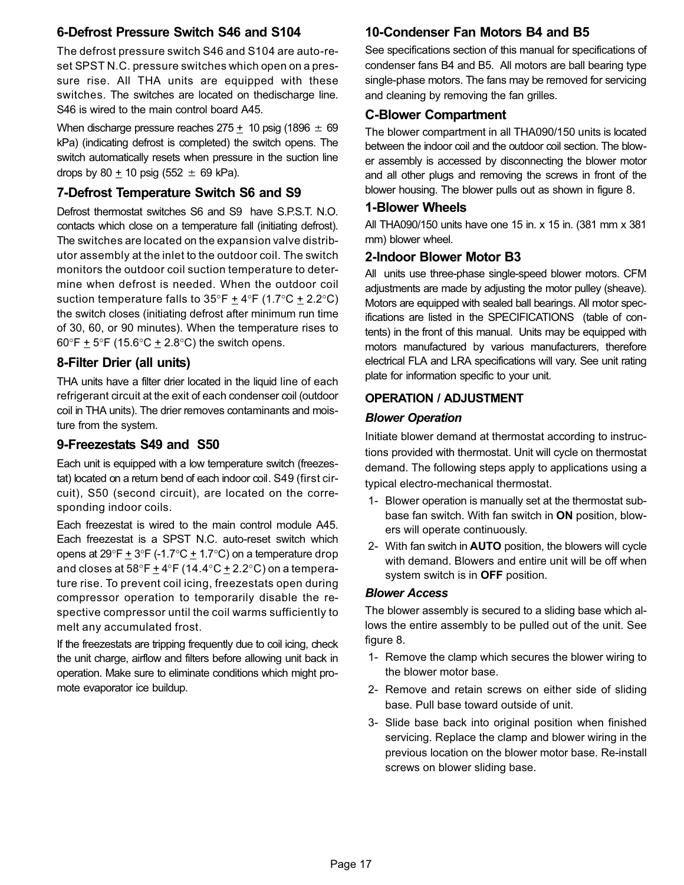## 6−Defrost Pressure Switch S46 and S104

The defrost pressure switch S46 and S104 are auto-reset SPST N.C. pressure switches which open on a pressure rise. All THA units are equipped with these switches. The switches are located on thedischarge line. S46 is wired to the main control board A45.

When discharge pressure reaches  $275 \pm 10$  psig (1896  $\pm 69$ kPa) (indicating defrost is completed) the switch opens. The switch automatically resets when pressure in the suction line drops by 80  $\pm$  10 psig (552  $\pm$  69 kPa).

## 7−Defrost Temperature Switch S6 and S9

Defrost thermostat switches S6 and S9 have S.P.S.T. N.O. contacts which close on a temperature fall (initiating defrost). The switches are located on the expansion valve distributor assembly at the inlet to the outdoor coil. The switch monitors the outdoor coil suction temperature to determine when defrost is needed. When the outdoor coil suction temperature falls to  $35^{\circ}F + 4^{\circ}F$  (1.7 $^{\circ}C + 2.2^{\circ}C$ ) the switch closes (initiating defrost after minimum run time of 30, 60, or 90 minutes). When the temperature rises to 60°F  $\pm$  5°F (15.6°C  $\pm$  2.8°C) the switch opens.

## 8−Filter Drier (all units)

THA units have a filter drier located in the liquid line of each refrigerant circuit at the exit of each condenser coil (outdoor coil in THA units). The drier removes contaminants and moisture from the system.

## 9−Freezestats S49 and S50

Each unit is equipped with a low temperature switch (freezestat) located on a return bend of each indoor coil. S49 (first circuit), S50 (second circuit), are located on the corresponding indoor coils.

Each freezestat is wired to the main control module A45. Each freezestat is a SPST N.C. auto−reset switch which opens at  $29^{\circ}F + 3^{\circ}F$  (-1.7 $^{\circ}C + 1.7^{\circ}C$ ) on a temperature drop and closes at 58°F  $\pm$  4°F (14.4°C  $\pm$  2.2°C) on a temperature rise. To prevent coil icing, freezestats open during compressor operation to temporarily disable the respective compressor until the coil warms sufficiently to melt any accumulated frost.

If the freezestats are tripping frequently due to coil icing, check the unit charge, airflow and filters before allowing unit back in operation. Make sure to eliminate conditions which might promote evaporator ice buildup.

## 10−Condenser Fan Motors B4 and B5

See specifications section of this manual for specifications of condenser fans B4 and B5. All motors are ball bearing type single−phase motors. The fans may be removed for servicing and cleaning by removing the fan grilles.

## C−Blower Compartment

The blower compartment in all THA090/150 units is located between the indoor coil and the outdoor coil section. The blower assembly is accessed by disconnecting the blower motor and all other plugs and removing the screws in front of the blower housing. The blower pulls out as shown in figure [8.](#page-17-0)

#### 1−Blower Wheels

All THA090/150 units have one 15 in. x 15 in. (381 mm x 381 mm) blower wheel.

## 2−Indoor Blower Motor B3

All units use three-phase single-speed blower motors. CFM adjustments are made by adjusting the motor pulley (sheave). Motors are equipped with sealed ball bearings. All motor specifications are listed in the SPECIFICATIONS (table of contents) in the front of this manual. Units may be equipped with motors manufactured by various manufacturers, therefore electrical FLA and LRA specifications will vary. See unit rating plate for information specific to your unit.

### OPERATION / ADJUSTMENT

#### Blower Operation

Initiate blower demand at thermostat according to instructions provided with thermostat. Unit will cycle on thermostat demand. The following steps apply to applications using a typical electro−mechanical thermostat.

- 1− Blower operation is manually set at the thermostat subbase fan switch. With fan switch in ON position, blowers will operate continuously.
- 2− With fan switch in AUTO position, the blowers will cycle with demand. Blowers and entire unit will be off when system switch is in OFF position.

#### Blower Access

The blower assembly is secured to a sliding base which allows the entire assembly to be pulled out of the unit. See figure [8](#page-17-0).

- 1− Remove the clamp which secures the blower wiring to the blower motor base.
- 2− Remove and retain screws on either side of sliding base. Pull base toward outside of unit.
- 3− Slide base back into original position when finished servicing. Replace the clamp and blower wiring in the previous location on the blower motor base. Re−install screws on blower sliding base.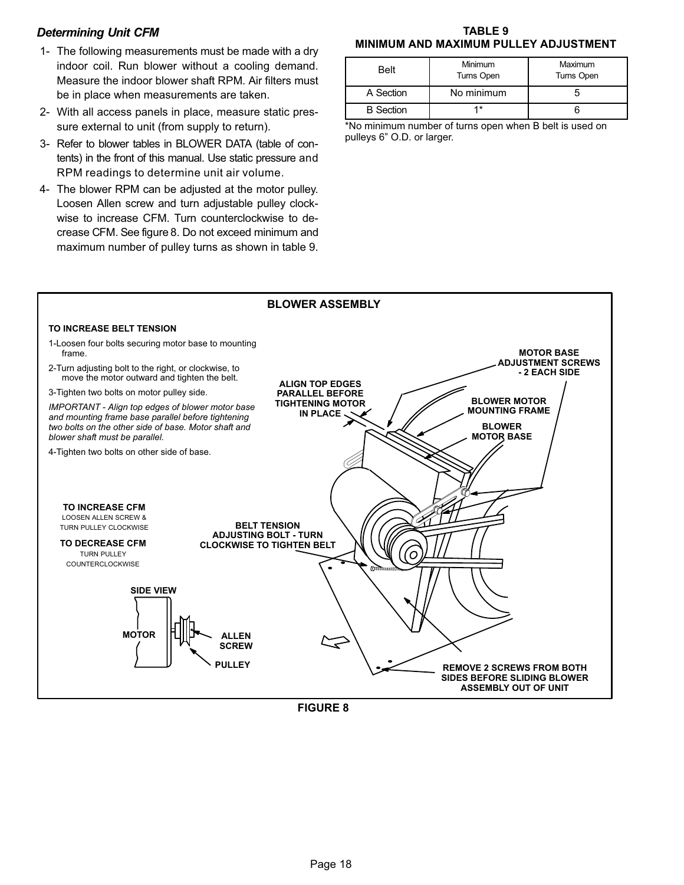#### <span id="page-17-0"></span>Determining Unit CFM

- 1− The following measurements must be made with a dry indoor coil. Run blower without a cooling demand. Measure the indoor blower shaft RPM. Air filters must be in place when measurements are taken.
- 2− With all access panels in place, measure static pressure external to unit (from supply to return).
- 3− Refer to blower tables in BLOWER DATA (table of contents) in the front of this manual. Use static pressure and RPM readings to determine unit air volume.
- 4− The blower RPM can be adjusted at the motor pulley. Loosen Allen screw and turn adjustable pulley clockwise to increase CFM. Turn counterclockwise to decrease CFM. See figure 8. Do not exceed minimum and maximum number of pulley turns as shown in table 9.

#### TABLE 9 MINIMUM AND MAXIMUM PULLEY ADJUSTMENT

| Belt             | Minimum<br>Turns Open | Maximum<br>Turns Open |
|------------------|-----------------------|-----------------------|
| A Section        | No minimum            |                       |
| <b>B</b> Section |                       |                       |

\*No minimum number of turns open when B belt is used on pulleys 6" O.D. or larger.

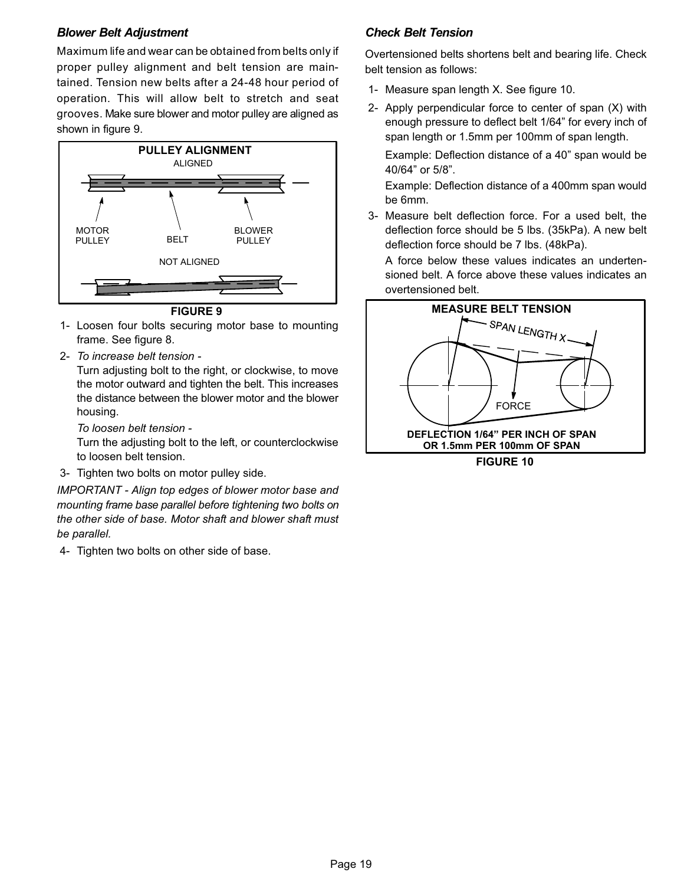#### Blower Belt Adjustment

Maximum life and wear can be obtained from belts only if proper pulley alignment and belt tension are maintained. Tension new belts after a 24−48 hour period of operation. This will allow belt to stretch and seat grooves. Make sure blower and motor pulley are aligned as shown in figure 9.



FIGURE 9

- 1− Loosen four bolts securing motor base to mounting frame. See figure [8.](#page-17-0)
- 2− To increase belt tension −

Turn adjusting bolt to the right, or clockwise, to move the motor outward and tighten the belt. This increases the distance between the blower motor and the blower housing.

To loosen belt tension −

Turn the adjusting bolt to the left, or counterclockwise to loosen belt tension.

3− Tighten two bolts on motor pulley side.

IMPORTANT − Align top edges of blower motor base and mounting frame base parallel before tightening two bolts on the other side of base. Motor shaft and blower shaft must be parallel.

4− Tighten two bolts on other side of base.

### Check Belt Tension

Overtensioned belts shortens belt and bearing life. Check belt tension as follows:

- 1− Measure span length X. See figure 10.
- 2− Apply perpendicular force to center of span (X) with enough pressure to deflect belt 1/64" for every inch of span length or 1.5mm per 100mm of span length.

Example: Deflection distance of a 40" span would be 40/64" or 5/8".

Example: Deflection distance of a 400mm span would be 6mm.

 3− Measure belt deflection force. For a used belt, the deflection force should be 5 lbs. (35kPa). A new belt deflection force should be 7 lbs. (48kPa).

A force below these values indicates an undertensioned belt. A force above these values indicates an overtensioned belt.



FIGURE 10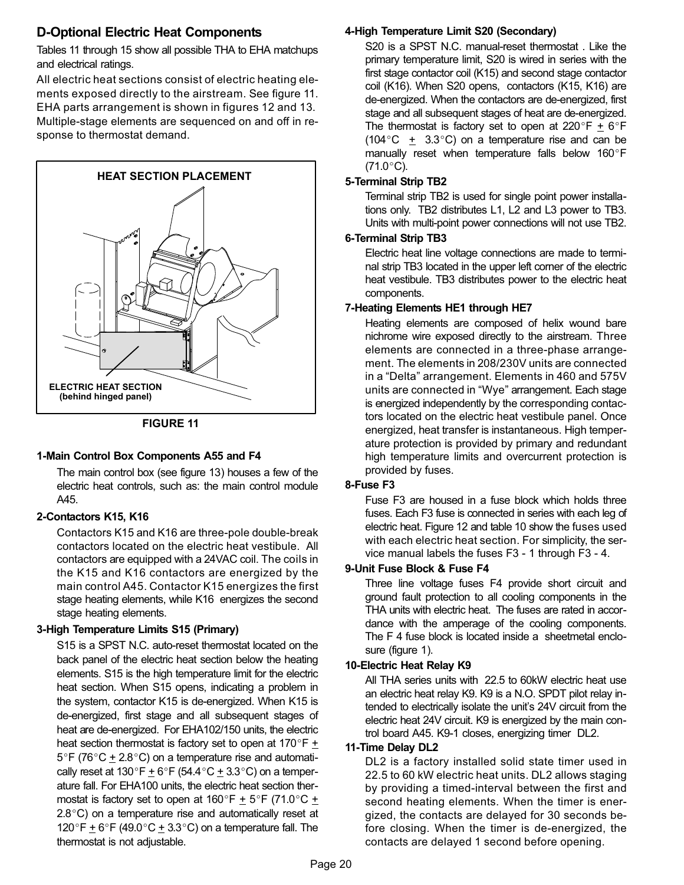## D−Optional Electric Heat Components

Tables [11](#page-22-0) through [15](#page-26-0) show all possible THA to EHA matchups and electrical ratings.

All electric heat sections consist of electric heating elements exposed directly to the airstream. See figure 11. EHA parts arrangement is shown in figures [12](#page-21-0) and [13.](#page-21-0) Multiple-stage elements are sequenced on and off in response to thermostat demand.



FIGURE 11

#### 1−Main Control Box Components A55 and F4

The main control box (see figure [13\)](#page-21-0) houses a few of the electric heat controls, such as: the main control module A45.

#### 2−Contactors K15, K16

Contactors K15 and K16 are three−pole double−break contactors located on the electric heat vestibule. All contactors are equipped with a 24VAC coil. The coils in the K15 and K16 contactors are energized by the main control A45. Contactor K15 energizes the first stage heating elements, while K16 energizes the second stage heating elements.

#### 3−High Temperature Limits S15 (Primary)

S15 is a SPST N.C. auto-reset thermostat located on the back panel of the electric heat section below the heating elements. S15 is the high temperature limit for the electric heat section. When S15 opens, indicating a problem in the system, contactor K15 is de-energized. When K15 is de-energized, first stage and all subsequent stages of heat are de-energized. For EHA102/150 units, the electric heat section thermostat is factory set to open at 170 $\degree$ F  $\pm$  $5^{\circ}$ F (76 $^{\circ}$ C + 2.8 $^{\circ}$ C) on a temperature rise and automatically reset at 130°F  $\pm$  6°F (54.4°C  $\pm$  3.3°C) on a temperature fall. For EHA100 units, the electric heat section thermostat is factory set to open at  $160^{\circ}F \pm 5^{\circ}F$  (71.0 $^{\circ}C \pm$ 2.8°C) on a temperature rise and automatically reset at 120°F  $\pm$  6°F (49.0°C  $\pm$  3.3°C) on a temperature fall. The thermostat is not adjustable.

#### 4−High Temperature Limit S20 (Secondary)

S20 is a SPST N.C. manual-reset thermostat . Like the primary temperature limit, S20 is wired in series with the first stage contactor coil (K15) and second stage contactor coil (K16). When S20 opens, contactors (K15, K16) are de-energized. When the contactors are de-energized, first stage and all subsequent stages of heat are de-energized. The thermostat is factory set to open at 220°F  $\pm$  6°F  $(104\degree C \pm 3.3\degree C)$  on a temperature rise and can be manually reset when temperature falls below 160°F  $(71.0 °C)$ .

#### 5−Terminal Strip TB2

Terminal strip TB2 is used for single point power installations only. TB2 distributes L1, L2 and L3 power to TB3. Units with multi−point power connections will not use TB2.

#### 6−Terminal Strip TB3

Electric heat line voltage connections are made to terminal strip TB3 located in the upper left corner of the electric heat vestibule. TB3 distributes power to the electric heat components.

#### 7−Heating Elements HE1 through HE7

Heating elements are composed of helix wound bare nichrome wire exposed directly to the airstream. Three elements are connected in a three-phase arrangement. The elements in 208/230V units are connected in a "Delta" arrangement. Elements in 460 and 575V units are connected in "Wye" arrangement. Each stage is energized independently by the corresponding contactors located on the electric heat vestibule panel. Once energized, heat transfer is instantaneous. High temperature protection is provided by primary and redundant high temperature limits and overcurrent protection is provided by fuses.

#### 8−Fuse F3

Fuse F3 are housed in a fuse block which holds three fuses. Each F3 fuse is connected in series with each leg of electric heat. Figure [12](#page-21-0) and table [10](#page-20-0) show the fuses used with each electric heat section. For simplicity, the service manual labels the fuses F3 − 1 through F3 − 4.

#### 9−Unit Fuse Block & Fuse F4

Three line voltage fuses F4 provide short circuit and ground fault protection to all cooling components in the THA units with electric heat. The fuses are rated in accordance with the amperage of the cooling components. The F 4 fuse block is located inside a sheetmetal enclosure (figure [1\)](#page-9-0).

#### 10−Electric Heat Relay K9

All THA series units with 22.5 to 60kW electric heat use an electric heat relay K9. K9 is a N.O. SPDT pilot relay intended to electrically isolate the unit's 24V circuit from the electric heat 24V circuit. K9 is energized by the main control board A45. K9−1 closes, energizing timer DL2.

#### 11−Time Delay DL2

DL2 is a factory installed solid state timer used in 22.5 to 60 kW electric heat units. DL2 allows staging by providing a timed−interval between the first and second heating elements. When the timer is energized, the contacts are delayed for 30 seconds before closing. When the timer is de−energized, the contacts are delayed 1 second before opening.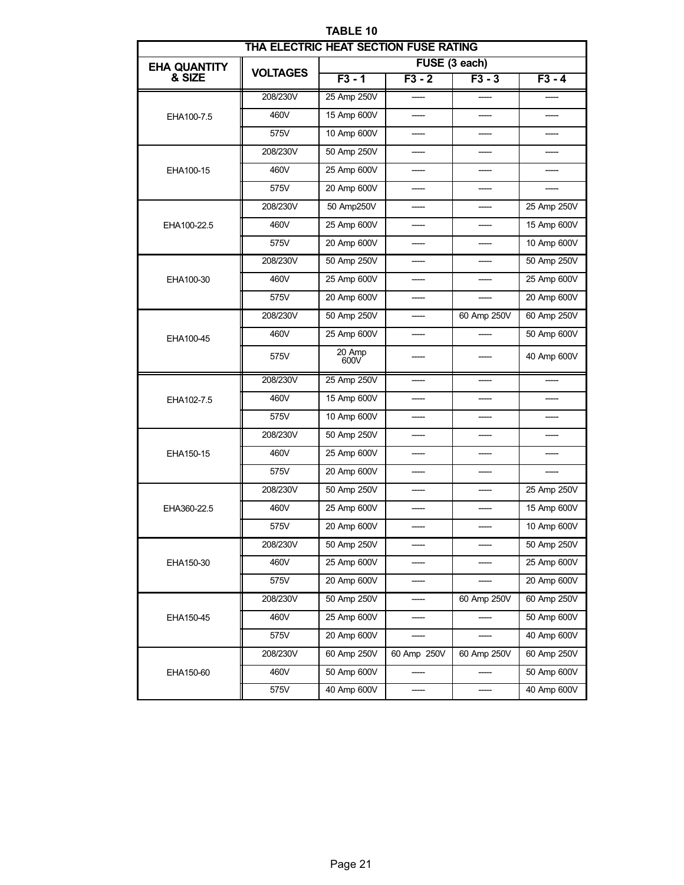<span id="page-20-0"></span>

| THA ELECTRIC HEAT SECTION FUSE RATING |                 |                |               |             |             |  |  |  |
|---------------------------------------|-----------------|----------------|---------------|-------------|-------------|--|--|--|
| <b>EHA QUANTITY</b>                   | <b>VOLTAGES</b> |                | FUSE (3 each) |             |             |  |  |  |
| & SIZE                                |                 | $F3 - 1$       | $F3 - 2$      | $F3 - 3$    | $F3 - 4$    |  |  |  |
|                                       | 208/230V        | 25 Amp 250V    |               |             |             |  |  |  |
| EHA100-7.5                            | 460V            | 15 Amp 600V    |               |             |             |  |  |  |
|                                       | 575V            | 10 Amp 600V    |               |             |             |  |  |  |
|                                       | 208/230V        | 50 Amp 250V    |               |             |             |  |  |  |
| EHA100-15                             | 460V            | 25 Amp 600V    |               |             |             |  |  |  |
|                                       | 575V            | 20 Amp 600V    |               |             |             |  |  |  |
|                                       | 208/230V        | 50 Amp250V     |               |             | 25 Amp 250V |  |  |  |
| EHA100-22.5                           | 460V            | 25 Amp 600V    |               |             | 15 Amp 600V |  |  |  |
|                                       | 575V            | 20 Amp 600V    |               |             | 10 Amp 600V |  |  |  |
|                                       | 208/230V        | 50 Amp 250V    |               |             | 50 Amp 250V |  |  |  |
| EHA100-30                             | 460V            | 25 Amp 600V    |               |             | 25 Amp 600V |  |  |  |
|                                       | 575V            | 20 Amp 600V    |               |             | 20 Amp 600V |  |  |  |
|                                       | 208/230V        | 50 Amp 250V    |               | 60 Amp 250V | 60 Amp 250V |  |  |  |
| EHA100-45                             | 460V            | 25 Amp 600V    |               |             | 50 Amp 600V |  |  |  |
|                                       | 575V            | 20 Amp<br>600V |               |             | 40 Amp 600V |  |  |  |
|                                       | 208/230V        | 25 Amp 250V    |               |             |             |  |  |  |
| EHA102-7.5                            | 460V            | 15 Amp 600V    |               |             |             |  |  |  |
|                                       | 575V            | 10 Amp 600V    | -----         |             | -----       |  |  |  |
|                                       | 208/230V        | 50 Amp 250V    |               | -----       |             |  |  |  |
| EHA150-15                             | 460V            | 25 Amp 600V    |               |             |             |  |  |  |
|                                       | 575V            | 20 Amp 600V    |               |             |             |  |  |  |
|                                       | 208/230V        | 50 Amp 250V    |               |             | 25 Amp 250V |  |  |  |
| EHA360-22.5                           | 460V            | 25 Amp 600V    |               |             | 15 Amp 600V |  |  |  |
|                                       | 575V            | 20 Amp 600V    |               |             | 10 Amp 600V |  |  |  |
|                                       | 208/230V        | 50 Amp 250V    |               |             | 50 Amp 250V |  |  |  |
| EHA150-30                             | 460V            | 25 Amp 600V    |               |             | 25 Amp 600V |  |  |  |
|                                       | 575V            | 20 Amp 600V    |               |             | 20 Amp 600V |  |  |  |
|                                       | 208/230V        | 50 Amp 250V    |               | 60 Amp 250V | 60 Amp 250V |  |  |  |
| EHA150-45                             | 460V            | 25 Amp 600V    |               |             | 50 Amp 600V |  |  |  |
|                                       | 575V            | 20 Amp 600V    |               |             | 40 Amp 600V |  |  |  |
|                                       | 208/230V        | 60 Amp 250V    | 60 Amp 250V   | 60 Amp 250V | 60 Amp 250V |  |  |  |
| EHA150-60                             | 460V            | 50 Amp 600V    |               |             | 50 Amp 600V |  |  |  |
|                                       | 575V            | 40 Amp 600V    | -----         | -----       | 40 Amp 600V |  |  |  |

TABLE 10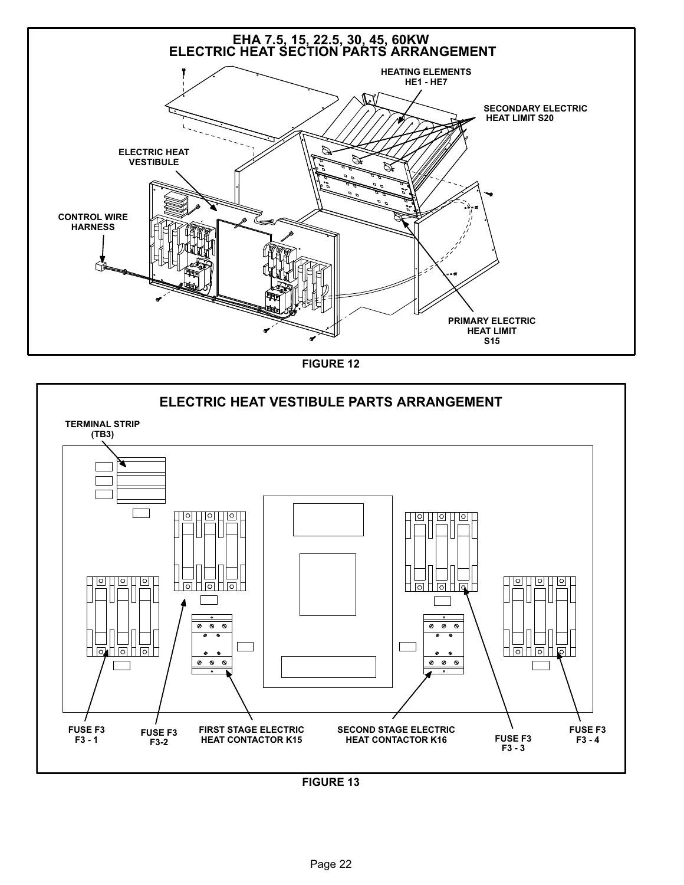<span id="page-21-0"></span>

FIGURE 12



FIGURE 13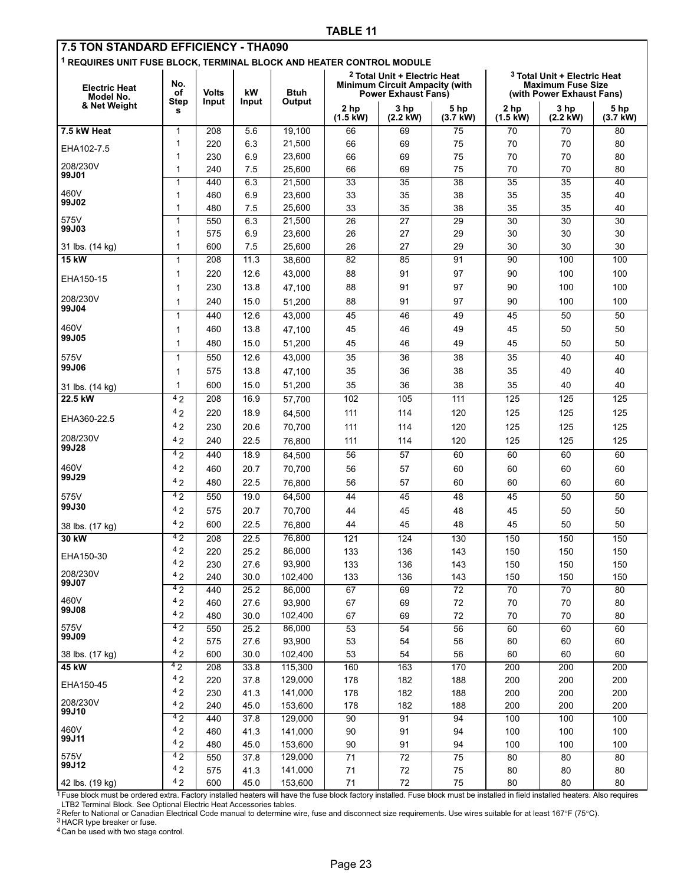<span id="page-22-0"></span>

| 7.5 TON STANDARD EFFICIENCY - THA090                                            |                  |              |              |                   |                            |                                                                                                                |                    |                            |                                                                                                  |                    |
|---------------------------------------------------------------------------------|------------------|--------------|--------------|-------------------|----------------------------|----------------------------------------------------------------------------------------------------------------|--------------------|----------------------------|--------------------------------------------------------------------------------------------------|--------------------|
| <sup>1</sup> REQUIRES UNIT FUSE BLOCK, TERMINAL BLOCK AND HEATER CONTROL MODULE |                  |              |              |                   |                            |                                                                                                                |                    |                            |                                                                                                  |                    |
| <b>Electric Heat</b><br>Model No.                                               | No.<br>οf        | <b>Volts</b> | kW           | <b>Btuh</b>       |                            | <sup>2</sup> Total Unit + Electric Heat<br><b>Minimum Circuit Ampacity (with</b><br><b>Power Exhaust Fans)</b> |                    |                            | <sup>3</sup> Total Unit + Electric Heat<br><b>Maximum Fuse Size</b><br>(with Power Exhaust Fans) |                    |
| & Net Weight                                                                    | <b>Step</b><br>s | Input        | Input        | Output            | 2 hp<br>$(1.5 \text{ kW})$ | 3 hp<br>$(2.2 \text{ kW})$                                                                                     | 5 hp<br>$(3.7$ kW) | 2 hp<br>$(1.5 \text{ kW})$ | 3 hp<br>$(2.2$ kW)                                                                               | 5 hp<br>$(3.7$ kW) |
| 7.5 kW Heat                                                                     | 1                | 208          | 5.6          | 19,100            | 66                         | 69                                                                                                             | 75                 | 70                         | 70                                                                                               | 80                 |
|                                                                                 | 1                | 220          | 6.3          | 21,500            | 66                         | 69                                                                                                             | 75                 | 70                         | 70                                                                                               | 80                 |
| EHA102-7.5                                                                      | 1                | 230          | 6.9          | 23,600            | 66                         | 69                                                                                                             | 75                 | 70                         | 70                                                                                               | 80                 |
| 208/230V<br>99J01                                                               | 1                | 240          | 7.5          | 25,600            | 66                         | 69                                                                                                             | 75                 | 70                         | 70                                                                                               | 80                 |
|                                                                                 | 1                | 440          | 6.3          | 21,500            | 33                         | 35                                                                                                             | 38                 | 35                         | 35                                                                                               | 40                 |
| 460V<br>99J02                                                                   | $\mathbf{1}$     | 460          | 6.9          | 23,600            | 33                         | 35                                                                                                             | 38                 | 35                         | 35                                                                                               | 40                 |
|                                                                                 | 1                | 480          | 7.5          | 25,600            | 33                         | 35                                                                                                             | 38                 | 35                         | 35                                                                                               | 40                 |
| 575V<br>99J03                                                                   | 1                | 550          | 6.3          | 21,500            | 26                         | 27                                                                                                             | 29                 | 30                         | 30                                                                                               | 30                 |
|                                                                                 | $\mathbf{1}$     | 575          | 6.9<br>7.5   | 23,600            | 26<br>26                   | 27<br>27                                                                                                       | 29<br>29           | 30                         | 30                                                                                               | 30                 |
| 31 lbs. (14 kg)<br><b>15 kW</b>                                                 | 1<br>1           | 600<br>208   | 11.3         | 25,600<br>38,600  | 82                         | 85                                                                                                             | $\overline{91}$    | 30<br>90                   | 30<br>100                                                                                        | 30<br>100          |
|                                                                                 | 1                | 220          | 12.6         | 43,000            | 88                         | 91                                                                                                             | 97                 | 90                         | 100                                                                                              | 100                |
| EHA150-15                                                                       | 1                | 230          | 13.8         | 47,100            | 88                         | 91                                                                                                             | 97                 | 90                         | 100                                                                                              | 100                |
| 208/230V                                                                        | 1                | 240          | 15.0         | 51,200            | 88                         | 91                                                                                                             | 97                 | 90                         | 100                                                                                              | 100                |
| 99J04                                                                           | $\mathbf 1$      | 440          | 12.6         | 43,000            | 45                         | 46                                                                                                             | 49                 | 45                         | 50                                                                                               | 50                 |
| 460V                                                                            | 1                | 460          | 13.8         | 47,100            | 45                         | 46                                                                                                             | 49                 | 45                         | 50                                                                                               | 50                 |
| 99J05                                                                           | 1                | 480          | 15.0         | 51,200            | 45                         | 46                                                                                                             | 49                 | 45                         | 50                                                                                               | 50                 |
| 575V                                                                            | $\mathbf 1$      | 550          | 12.6         | 43,000            | 35                         | 36                                                                                                             | 38                 | 35                         | 40                                                                                               | 40                 |
| 99J06                                                                           | 1                | 575          | 13.8         | 47,100            | 35                         | 36                                                                                                             | 38                 | 35                         | 40                                                                                               | 40                 |
|                                                                                 | $\mathbf{1}$     | 600          | 15.0         | 51,200            | 35                         | 36                                                                                                             | 38                 | 35                         | 40                                                                                               | 40                 |
| 31 lbs. (14 kg)<br>22.5 kW                                                      | 42               | 208          | 16.9         | 57,700            | 102                        | 105                                                                                                            | 111                | 125                        | 125                                                                                              | 125                |
|                                                                                 | 42               | 220          | 18.9         | 64,500            | 111                        | 114                                                                                                            | 120                | 125                        | 125                                                                                              | 125                |
| EHA360-22.5                                                                     | 42               | 230          | 20.6         | 70,700            | 111                        | 114                                                                                                            | 120                | 125                        | 125                                                                                              | 125                |
| 208/230V                                                                        | 42               | 240          | 22.5         | 76,800            | 111                        | 114                                                                                                            | 120                | 125                        | 125                                                                                              | 125                |
| 99J28                                                                           | 42               | 440          | 18.9         | 64,500            | 56                         | 57                                                                                                             | 60                 | 60                         | 60                                                                                               | 60                 |
| 460V                                                                            | 42               | 460          | 20.7         | 70,700            | 56                         | 57                                                                                                             | 60                 | 60                         | 60                                                                                               | 60                 |
| 99J29                                                                           | 42               | 480          | 22.5         | 76,800            | 56                         | 57                                                                                                             | 60                 | 60                         | 60                                                                                               | 60                 |
| 575V                                                                            | 42               | 550          | 19.0         | 64,500            | 44                         | 45                                                                                                             | 48                 | 45                         | 50                                                                                               | 50                 |
| 99J30                                                                           | 42               | 575          | 20.7         | 70,700            | 44                         | 45                                                                                                             | 48                 | 45                         | 50                                                                                               | 50                 |
| 38 lbs. (17 kg)                                                                 | 42               | 600          | 22.5         | 76,800            | 44                         | 45                                                                                                             | 48                 | 45                         | 50                                                                                               | 50                 |
| 30 kW                                                                           | 42               | 208          | 22.5         | 76,800            | 121                        | 124                                                                                                            | 130                | 150                        | 150                                                                                              | 150                |
|                                                                                 | 42               | 220          | 25.2         | 86,000            | 133                        | 136                                                                                                            | 143                | 150                        | 150                                                                                              | 150                |
| EHA150-30                                                                       | 42               | 230          | 27.6         | 93,900            | 133                        | 136                                                                                                            | 143                | 150                        | 150                                                                                              | 150                |
| 208/230V<br>99J07                                                               | 42               | 240          | 30.0         | 102,400           | 133                        | 136                                                                                                            | 143                | 150                        | 150                                                                                              | 150                |
|                                                                                 | 42               | 440          | 25.2         | 86,000            | 67                         | 69                                                                                                             | 72                 | 70                         | 70                                                                                               | 80                 |
| 460V<br>99J08                                                                   | 42               | 460          | 27.6         | 93,900            | 67                         | 69                                                                                                             | $72\,$             | 70                         | 70                                                                                               | 80                 |
|                                                                                 | 42               | 480          | 30.0         | 102,400           | 67                         | 69                                                                                                             | 72                 | 70                         | 70                                                                                               | 80                 |
| 575V<br>99J09                                                                   | 42<br>42         | 550<br>575   | 25.2<br>27.6 | 86,000            | 53                         | 54                                                                                                             | 56                 | 60                         | 60                                                                                               | 60                 |
| 38 lbs. (17 kg)                                                                 | 42               | 600          | 30.0         | 93,900<br>102,400 | 53<br>53                   | 54<br>54                                                                                                       | 56<br>56           | 60<br>60                   | 60<br>60                                                                                         | 60<br>60           |
| 45 kW                                                                           | 42               | 208          | 33.8         | 115,300           | 160                        | 163                                                                                                            | 170                | 200                        | 200                                                                                              | 200                |
|                                                                                 | 42               | 220          | 37.8         | 129,000           | 178                        | 182                                                                                                            | 188                | 200                        | 200                                                                                              | 200                |
| EHA150-45                                                                       | 42               | 230          | 41.3         | 141,000           | 178                        | 182                                                                                                            | 188                | 200                        | 200                                                                                              | 200                |
| 208/230V                                                                        | 42               | 240          | 45.0         | 153,600           | 178                        | 182                                                                                                            | 188                | 200                        | 200                                                                                              | 200                |
| 99J10                                                                           | 42               | 440          | 37.8         | 129,000           | 90                         | 91                                                                                                             | 94                 | 100                        | 100                                                                                              | 100                |
| 460V<br>99J11                                                                   | 42               | 460          | 41.3         | 141,000           | 90                         | 91                                                                                                             | 94                 | 100                        | 100                                                                                              | 100                |
|                                                                                 | 42               | 480          | 45.0         | 153,600           | 90                         | 91                                                                                                             | 94                 | 100                        | 100                                                                                              | 100                |
| 575V<br>99J12                                                                   | 42               | 550          | 37.8         | 129,000           | 71                         | 72                                                                                                             | 75                 | 80                         | 80                                                                                               | 80                 |
|                                                                                 | 42<br>42         | 575          | 41.3         | 141,000           | $71\,$                     | $72\,$                                                                                                         | 75                 | 80                         | 80                                                                                               | 80                 |
| 42 lbs. (19 kg)                                                                 |                  | 600          | 45.0         | 153,600           | $71$                       | $72\,$                                                                                                         | 75                 | 80                         | 80                                                                                               | 80                 |

<sup>1</sup> Fuse block must be ordered extra. Factory installed heaters will have the fuse block factory installed. Fuse block must be installed in field installed heaters. Also requires

LTB2 Terminal Block. See Optional Electric Heat Accessories tables.<br><sup>2</sup> Refer to National or Canadian Electrical Code manual to determine wire, fuse and disconnect size requirements. Use wires suitable for at least 167°F

3 HACR type breaker or fuse.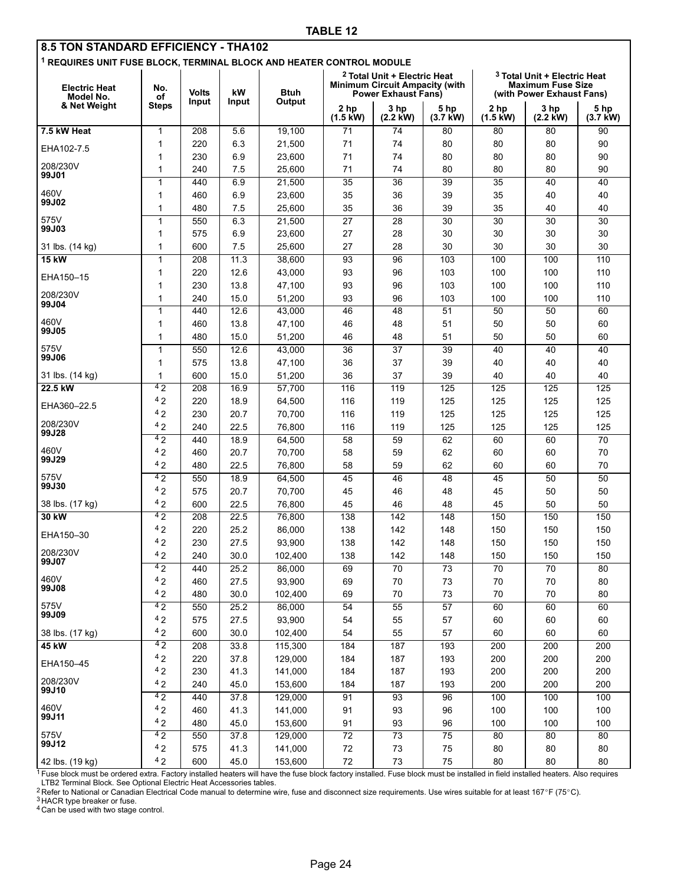| 8.5 TON STANDARD EFFICIENCY - THA102<br><sup>1</sup> REQUIRES UNIT FUSE BLOCK, TERMINAL BLOCK AND HEATER CONTROL MODULE |                           |                       |              |                       |                                                                                                                                                                                                                     |                    |                            |                                       |                    |                    |
|-------------------------------------------------------------------------------------------------------------------------|---------------------------|-----------------------|--------------|-----------------------|---------------------------------------------------------------------------------------------------------------------------------------------------------------------------------------------------------------------|--------------------|----------------------------|---------------------------------------|--------------------|--------------------|
| <b>Electric Heat</b><br>Model No.<br>& Net Weight                                                                       | No.<br>оf<br><b>Steps</b> | <b>Volts</b><br>Input | kW<br>Input  | <b>Btuh</b><br>Output | <sup>2</sup> Total Unit + Electric Heat<br><sup>3</sup> Total Unit + Electric Heat<br><b>Minimum Circuit Ampacity (with)</b><br><b>Maximum Fuse Size</b><br><b>Power Exhaust Fans)</b><br>(with Power Exhaust Fans) |                    |                            |                                       |                    |                    |
|                                                                                                                         |                           |                       |              |                       | 2 <sub>hp</sub><br>$(1.5 \text{ kW})$                                                                                                                                                                               | 3 hp<br>$(2.2$ kW) | 5 hp<br>$(3.7 \text{ kW})$ | 2 <sub>hp</sub><br>$(1.5 \text{ kW})$ | 3 hp<br>$(2.2$ kW) | 5 hp<br>$(3.7$ kW) |
| 7.5 kW Heat                                                                                                             | $\mathbf{1}$              | 208                   | 5.6          | 19,100                | 71                                                                                                                                                                                                                  | 74                 | 80                         | 80                                    | 80                 | 90                 |
| EHA102-7.5                                                                                                              | 1                         | 220                   | 6.3          | 21,500                | 71                                                                                                                                                                                                                  | 74                 | 80                         | 80                                    | 80                 | 90                 |
|                                                                                                                         | 1                         | 230                   | 6.9          | 23,600                | 71                                                                                                                                                                                                                  | 74                 | 80                         | 80                                    | 80                 | 90                 |
| 208/230V<br>99J01                                                                                                       | $\mathbf{1}$              | 240                   | 7.5          | 25,600                | 71                                                                                                                                                                                                                  | 74                 | 80                         | 80                                    | 80                 | 90                 |
|                                                                                                                         | $\mathbf{1}$              | 440                   | 6.9          | 21,500                | 35                                                                                                                                                                                                                  | 36                 | 39                         | 35                                    | 40                 | 40                 |
| 460V<br>99J02                                                                                                           | 1                         | 460                   | 6.9          | 23,600                | 35                                                                                                                                                                                                                  | 36                 | 39                         | 35                                    | 40                 | 40                 |
|                                                                                                                         | 1                         | 480                   | 7.5          | 25,600                | 35                                                                                                                                                                                                                  | 36                 | 39                         | 35                                    | 40                 | 40                 |
| 575V<br>99J03                                                                                                           | $\mathbf{1}$              | 550                   | 6.3          | 21,500                | 27                                                                                                                                                                                                                  | 28                 | 30                         | 30                                    | 30                 | 30                 |
|                                                                                                                         | 1                         | 575                   | 6.9          | 23,600                | 27                                                                                                                                                                                                                  | 28                 | 30                         | 30                                    | 30                 | 30                 |
| 31 lbs. (14 kg)                                                                                                         | 1                         | 600                   | 7.5          | 25,600                | 27                                                                                                                                                                                                                  | 28                 | 30                         | 30                                    | 30                 | 30                 |
| <b>15 kW</b>                                                                                                            | $\mathbf 1$               | 208                   | 11.3         | 38,600                | $\overline{93}$                                                                                                                                                                                                     | 96                 | 103                        | 100                                   | 100                | 110                |
| EHA150-15                                                                                                               | 1                         | 220                   | 12.6         | 43,000                | 93                                                                                                                                                                                                                  | 96                 | 103                        | 100                                   | 100                | 110                |
| 208/230V                                                                                                                | 1                         | 230                   | 13.8         | 47,100                | 93                                                                                                                                                                                                                  | 96                 | 103                        | 100                                   | 100                | 110                |
| 99J04                                                                                                                   | 1                         | 240                   | 15.0         | 51,200                | 93                                                                                                                                                                                                                  | 96                 | 103                        | 100                                   | 100                | 110                |
| 460V                                                                                                                    | $\mathbf{1}$              | 440                   | 12.6         | 43,000                | 46                                                                                                                                                                                                                  | 48                 | $\overline{51}$            | 50                                    | 50                 | 60                 |
| 99J05                                                                                                                   | $\mathbf{1}$              | 460                   | 13.8         | 47,100                | 46                                                                                                                                                                                                                  | 48                 | 51                         | 50                                    | 50                 | 60                 |
|                                                                                                                         | 1                         | 480                   | 15.0         | 51,200                | 46                                                                                                                                                                                                                  | 48                 | 51                         | 50                                    | 50                 | 60                 |
| 575V<br>99J06                                                                                                           | $\mathbf{1}$              | 550                   | 12.6         | 43,000                | 36                                                                                                                                                                                                                  | $\overline{37}$    | 39                         | 40                                    | 40                 | 40                 |
|                                                                                                                         | 1                         | 575                   | 13.8         | 47,100                | 36                                                                                                                                                                                                                  | 37                 | 39                         | 40                                    | 40                 | 40                 |
| 31 lbs. (14 kg)                                                                                                         | $\mathbf 1$               | 600                   | 15.0         | 51,200                | 36                                                                                                                                                                                                                  | 37                 | 39                         | 40                                    | 40                 | 40                 |
| 22.5 kW                                                                                                                 | 4 <sub>2</sub><br>42      | 208                   | 16.9         | 57,700                | 116                                                                                                                                                                                                                 | 119                | 125                        | 125                                   | 125                | 125                |
| EHA360-22.5                                                                                                             | 42                        | 220                   | 18.9         | 64,500                | 116                                                                                                                                                                                                                 | 119                | 125                        | 125                                   | 125                | 125                |
| 208/230V                                                                                                                | 42                        | 230                   | 20.7         | 70,700                | 116                                                                                                                                                                                                                 | 119                | 125                        | 125                                   | 125                | 125                |
| 99J28                                                                                                                   | 42                        | 240                   | 22.5<br>18.9 | 76,800<br>64,500      | 116<br>58                                                                                                                                                                                                           | 119<br>59          | 125<br>62                  | 125<br>60                             | 125<br>60          | 125<br>70          |
| 460V                                                                                                                    | 42                        | 440<br>460            | 20.7         | 70,700                | 58                                                                                                                                                                                                                  | 59                 | 62                         | 60                                    | 60                 | 70                 |
| 99J29                                                                                                                   | 42                        | 480                   | 22.5         | 76,800                | 58                                                                                                                                                                                                                  | 59                 | 62                         | 60                                    | 60                 | 70                 |
| 575V                                                                                                                    | $\overline{42}$           | 550                   | 18.9         | 64,500                | 45                                                                                                                                                                                                                  | 46                 | 48                         | 45                                    | 50                 | 50                 |
| 99J30                                                                                                                   | 42                        | 575                   | 20.7         | 70,700                | 45                                                                                                                                                                                                                  | 46                 | 48                         | 45                                    | 50                 | 50                 |
| 38 lbs. (17 kg)                                                                                                         | 42                        | 600                   | 22.5         | 76,800                | 45                                                                                                                                                                                                                  | 46                 | 48                         | 45                                    | 50                 | 50                 |
| 30 kW                                                                                                                   | 42                        | 208                   | 22.5         | 76,800                | 138                                                                                                                                                                                                                 | 142                | 148                        | 150                                   | 150                | 150                |
|                                                                                                                         | 42                        | 220                   | 25.2         | 86,000                | 138                                                                                                                                                                                                                 | 142                | 148                        | 150                                   | 150                | 150                |
| EHA150-30                                                                                                               | 4 <sub>2</sub>            | 230                   | 27.5         | 93,900                | 138                                                                                                                                                                                                                 | 142                | 148                        | 150                                   | 150                | 150                |
| 208/230V                                                                                                                | 42                        | 240                   | 30.0         | 102,400               | 138                                                                                                                                                                                                                 | 142                | 148                        | 150                                   | 150                | 150                |
| 99J07                                                                                                                   | 42                        | 440                   | 25.2         | 86,000                | 69                                                                                                                                                                                                                  | 70                 | 73                         | 70                                    | 70                 | 80                 |
| 460V                                                                                                                    | 42                        | 460                   | 27.5         | 93,900                | 69                                                                                                                                                                                                                  | 70                 | $73\,$                     | $70\,$                                | $70\,$             | 80                 |
| 99J08                                                                                                                   | 42                        | 480                   | 30.0         | 102,400               | 69                                                                                                                                                                                                                  | 70                 | 73                         | 70                                    | 70                 | 80                 |
| 575V                                                                                                                    | 42                        | 550                   | 25.2         | 86,000                | 54                                                                                                                                                                                                                  | 55                 | 57                         | 60                                    | 60                 | 60                 |
| 99J09                                                                                                                   | 42                        | 575                   | 27.5         | 93,900                | 54                                                                                                                                                                                                                  | 55                 | 57                         | 60                                    | 60                 | 60                 |
| 38 lbs. (17 kg)                                                                                                         | 42                        | 600                   | 30.0         | 102,400               | 54                                                                                                                                                                                                                  | 55                 | 57                         | 60                                    | 60                 | 60                 |
| 45 kW                                                                                                                   | 42                        | 208                   | 33.8         | 115,300               | 184                                                                                                                                                                                                                 | 187                | 193                        | 200                                   | 200                | 200                |
|                                                                                                                         | 42                        | 220                   | 37.8         | 129,000               | 184                                                                                                                                                                                                                 | 187                | 193                        | 200                                   | 200                | 200                |
| EHA150-45                                                                                                               | 42                        | 230                   | 41.3         | 141,000               | 184                                                                                                                                                                                                                 | 187                | 193                        | 200                                   | 200                | 200                |
| 208/230V                                                                                                                | 42                        | 240                   | 45.0         | 153,600               | 184                                                                                                                                                                                                                 | 187                | 193                        | 200                                   | 200                | 200                |
| 99J10                                                                                                                   | 42                        | 440                   | 37.8         | 129,000               | 91                                                                                                                                                                                                                  | 93                 | 96                         | 100                                   | 100                | 100                |
| 460V                                                                                                                    | 42                        | 460                   | 41.3         | 141,000               | 91                                                                                                                                                                                                                  | 93                 | 96                         | 100                                   | 100                | 100                |
| 99J11                                                                                                                   | 42                        | 480                   | 45.0         | 153,600               | 91                                                                                                                                                                                                                  | 93                 | 96                         | 100                                   | 100                | 100                |
| 575V                                                                                                                    | 42                        | 550                   | 37.8         | 129,000               | $\overline{72}$                                                                                                                                                                                                     | $\overline{73}$    | $\overline{75}$            | 80                                    | 80                 | 80                 |
| 99J12                                                                                                                   | 42                        | 575                   | 41.3         | 141,000               | $72\,$                                                                                                                                                                                                              | $73\,$             | ${\bf 75}$                 | 80                                    | 80                 | 80                 |
| 42 lbs. (19 kg)                                                                                                         | 42                        | 600                   | 45.0         | 153,600               | $72\,$                                                                                                                                                                                                              | 73                 | ${\bf 75}$                 | 80                                    | 80                 | 80                 |

<sup>1</sup> Fuse block must be ordered extra. Factory installed heaters will have the fuse block factory installed. Fuse block must be installed in field installed heaters. Also requires<br>LTB2 Terminal Block. See Optional Electric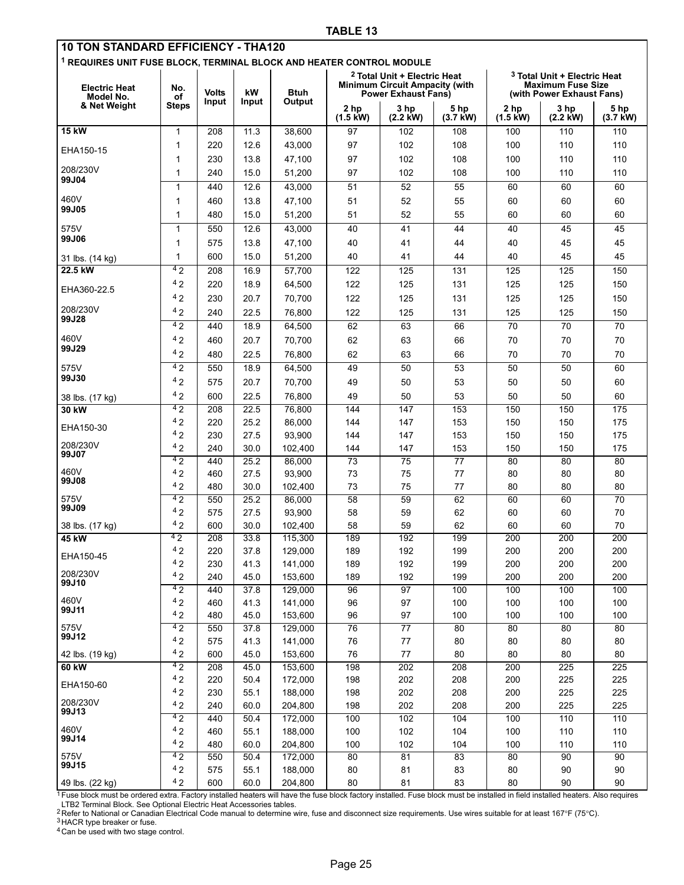| 10 TON STANDARD EFFICIENCY - THA120                                             |                |              |              |                    |                       |                                                                     |                        |                    |                                                       |                        |
|---------------------------------------------------------------------------------|----------------|--------------|--------------|--------------------|-----------------------|---------------------------------------------------------------------|------------------------|--------------------|-------------------------------------------------------|------------------------|
| <sup>1</sup> REQUIRES UNIT FUSE BLOCK, TERMINAL BLOCK AND HEATER CONTROL MODULE |                |              |              |                    |                       |                                                                     |                        |                    |                                                       |                        |
|                                                                                 |                |              |              |                    |                       | <sup>2</sup> Total Unit + Electric Heat                             |                        |                    | <sup>3</sup> Total Unit + Electric Heat               |                        |
| <b>Electric Heat</b><br>Model No.                                               | No.<br>οf      | <b>Volts</b> | kW           | <b>Btuh</b>        |                       | <b>Minimum Circuit Ampacity (with</b><br><b>Power Exhaust Fans)</b> |                        |                    | <b>Maximum Fuse Size</b><br>(with Power Exhaust Fans) |                        |
| & Net Weight                                                                    | <b>Steps</b>   | Input        | Input        | Output             | 2 hp                  | 3 hp                                                                | 5 hp                   | 2 <sub>hp</sub>    | 3 hp                                                  | 5 hp                   |
|                                                                                 |                |              |              |                    | $(1.5 \text{ kW})$    | $(2.2$ kW)                                                          | $(3.7$ kW)             | $(1.5 \text{ kW})$ | $(2.2$ kW)                                            | $(3.7$ kW)             |
| <b>15 kW</b>                                                                    | 1              | 208          | 11.3         | 38,600             | 97                    | 102                                                                 | 108                    | 100                | 110                                                   | 110                    |
| EHA150-15                                                                       | 1              | 220          | 12.6         | 43,000             | 97                    | 102                                                                 | 108                    | 100                | 110                                                   | 110                    |
|                                                                                 | 1              | 230          | 13.8         | 47,100             | 97                    | 102                                                                 | 108                    | 100                | 110                                                   | 110                    |
| 208/230V<br>99J04                                                               | 1              | 240          | 15.0         | 51,200             | 97                    | 102                                                                 | 108                    | 100                | 110                                                   | 110                    |
|                                                                                 | 1              | 440          | 12.6         | 43,000             | 51                    | 52                                                                  | 55                     | 60                 | 60                                                    | 60                     |
| 460V                                                                            | 1              | 460          | 13.8         | 47,100             | 51                    | 52                                                                  | 55                     | 60                 | 60                                                    | 60                     |
| 99J05                                                                           | 1              | 480          | 15.0         | 51,200             | 51                    | 52                                                                  | 55                     | 60                 | 60                                                    | 60                     |
| 575V                                                                            | 1              | 550          | 12.6         | 43,000             | 40                    | 41                                                                  | 44                     | 40                 | 45                                                    | 45                     |
| 99J06                                                                           | 1              | 575          | 13.8         | 47,100             | 40                    | 41                                                                  | 44                     | 40                 | 45                                                    | 45                     |
| 31 lbs. (14 kg)                                                                 | 1              | 600          | 15.0         | 51,200             | 40                    | 41                                                                  | 44                     | 40                 | 45                                                    | 45                     |
| 22.5 kW                                                                         | 42             | 208          | 16.9         | 57,700             | 122                   | 125                                                                 | 131                    | 125                | 125                                                   | 150                    |
| EHA360-22.5                                                                     | 42             | 220          | 18.9         | 64,500             | 122                   | 125                                                                 | 131                    | 125                | 125                                                   | 150                    |
|                                                                                 | 42             | 230          | 20.7         | 70,700             | 122                   | 125                                                                 | 131                    | 125                | 125                                                   | 150                    |
| 208/230V<br>99J28                                                               | 42             | 240          | 22.5         | 76,800             | 122                   | 125                                                                 | 131                    | 125                | 125                                                   | 150                    |
|                                                                                 | 4 <sub>2</sub> | 440          | 18.9         | 64,500             | 62                    | 63                                                                  | 66                     | 70                 | 70                                                    | 70                     |
| 460V                                                                            | 42             | 460          | 20.7         | 70,700             | 62                    | 63                                                                  | 66                     | 70                 | 70                                                    | 70                     |
| 99J29                                                                           | 42             | 480          | 22.5         | 76,800             | 62                    | 63                                                                  | 66                     | 70                 | 70                                                    | 70                     |
| 575V                                                                            | 42             | 550          | 18.9         | 64,500             | 49                    | 50                                                                  | 53                     | 50                 | 50                                                    | 60                     |
| 99J30                                                                           | 42             | 575          | 20.7         | 70,700             | 49                    | 50                                                                  | 53                     | 50                 | 50                                                    | 60                     |
| 38 lbs. (17 kg)                                                                 | 42             | 600          | 22.5         | 76,800             | 49                    | 50                                                                  | 53                     | 50                 | 50                                                    | 60                     |
| 30 kW                                                                           | 42             | 208          | 22.5         | 76,800             | 144                   | $\overline{147}$                                                    | 153                    | 150                | 150                                                   | 175                    |
| EHA150-30                                                                       | 42             | 220          | 25.2         | 86,000             | 144                   | 147                                                                 | 153                    | 150                | 150                                                   | 175                    |
| 208/230V                                                                        | 42             | 230          | 27.5         | 93,900             | 144                   | 147                                                                 | 153                    | 150                | 150                                                   | 175                    |
| 99J07                                                                           | 42<br>42       | 240          | 30.0         | 102,400            | 144                   | 147<br>$\overline{75}$                                              | 153<br>$\overline{77}$ | 150                | 150                                                   | 175<br>$\overline{80}$ |
| 460V                                                                            | 42             | 440<br>460   | 25.2<br>27.5 | 86,000<br>93,900   | $\overline{73}$<br>73 | 75                                                                  | 77                     | 80<br>80           | 80<br>80                                              | 80                     |
| 99J08                                                                           | 42             | 480          | 30.0         | 102,400            | 73                    | 75                                                                  | 77                     | 80                 | 80                                                    | 80                     |
| 575V                                                                            | 42             | 550          | 25.2         | 86,000             | 58                    | 59                                                                  | 62                     | 60                 | 60                                                    | 70                     |
| 99J09                                                                           | 42             | 575          | 27.5         | 93,900             | 58                    | 59                                                                  | 62                     | 60                 | 60                                                    | 70                     |
| 38 lbs. (17 kg)                                                                 | 42             | 600          | 30.0         | 102.400            | 58                    | 59                                                                  | 62                     | 60                 | 60                                                    | 70                     |
| 45 kW                                                                           | 42             | 208          | 33.8         | 115,300            | 189                   | 192                                                                 | 199                    | 200                | 200                                                   | 200                    |
| EHA150-45                                                                       | 42             | 220          | 37.8         | 129,000            | 189                   | 192                                                                 | 199                    | 200                | 200                                                   | 200                    |
|                                                                                 | 42             | 230          | 41.3         | 141,000            | 189                   | 192                                                                 | 199                    | 200                | 200                                                   | 200                    |
| 208/230V<br>99J10                                                               | 42             | 240          | 45.0         | 153,600            | 189                   | 192                                                                 | 199                    | 200                | 200                                                   | 200                    |
| 460V                                                                            | 42<br>42       | 440          | 37.8         | 129,000            | 96                    | 97                                                                  | 100                    | 100                | 100                                                   | 100                    |
| 99J11                                                                           | 42             | 460<br>480   | 41.3<br>45.0 | 141,000<br>153,600 | 96<br>96              | 97<br>97                                                            | 100<br>100             | 100<br>100         | 100<br>100                                            | 100<br>100             |
| 575V                                                                            | 42             | 550          | 37.8         | 129,000            | 76                    | 77                                                                  | 80                     | 80                 | 80                                                    | 80                     |
| 99J12                                                                           | 42             | 575          | 41.3         | 141,000            | 76                    | 77                                                                  | 80                     | 80                 | 80                                                    | 80                     |
| 42 lbs. (19 kg)                                                                 | 42             | 600          | 45.0         | 153,600            | 76                    | $77\,$                                                              | 80                     | 80                 | 80                                                    | 80                     |
| 60 kW                                                                           | 42             | 208          | 45.0         | 153,600            | 198                   | 202                                                                 | 208                    | 200                | 225                                                   | 225                    |
| EHA150-60                                                                       | 42             | 220          | 50.4         | 172,000            | 198                   | 202                                                                 | 208                    | 200                | 225                                                   | 225                    |
|                                                                                 | 42             | 230          | 55.1         | 188,000            | 198                   | 202                                                                 | 208                    | 200                | 225                                                   | 225                    |
| 208/230V<br>99J13                                                               | 42             | 240          | 60.0         | 204,800            | 198                   | 202                                                                 | 208                    | 200                | 225                                                   | 225                    |
|                                                                                 | 42             | 440          | 50.4         | 172,000            | 100                   | 102                                                                 | 104                    | 100                | 110                                                   | 110                    |
| 460V<br>99J14                                                                   | 42             | 460          | 55.1         | 188,000            | 100                   | 102                                                                 | 104                    | 100                | 110                                                   | 110                    |
| 575V                                                                            | 42             | 480          | 60.0         | 204,800            | 100                   | 102                                                                 | 104                    | 100                | 110                                                   | 110                    |
| 99J15                                                                           | 42<br>42       | 550<br>575   | 50.4<br>55.1 | 172,000<br>188,000 | 80<br>80              | 81<br>81                                                            | 83<br>83               | 80<br>80           | 90<br>90                                              | 90<br>90               |
| 49 lbs. (22 kg)                                                                 | 42             | 600          | 60.0         | 204,800            | 80                    | 81                                                                  | 83                     | 80                 | 90                                                    | 90                     |

<sup>1</sup> Fuse block must be ordered extra. Factory installed heaters will have the fuse block factory installed. Fuse block must be installed in field installed heaters. Also requires

LTB2 Terminal Block. See Optional Electric Heat Accessories tables.<br><sup>2</sup> Refer to National or Canadian Electrical Code manual to determine wire, fuse and disconnect size requirements. Use wires suitable for at least 167°F

3 HACR type breaker or fuse.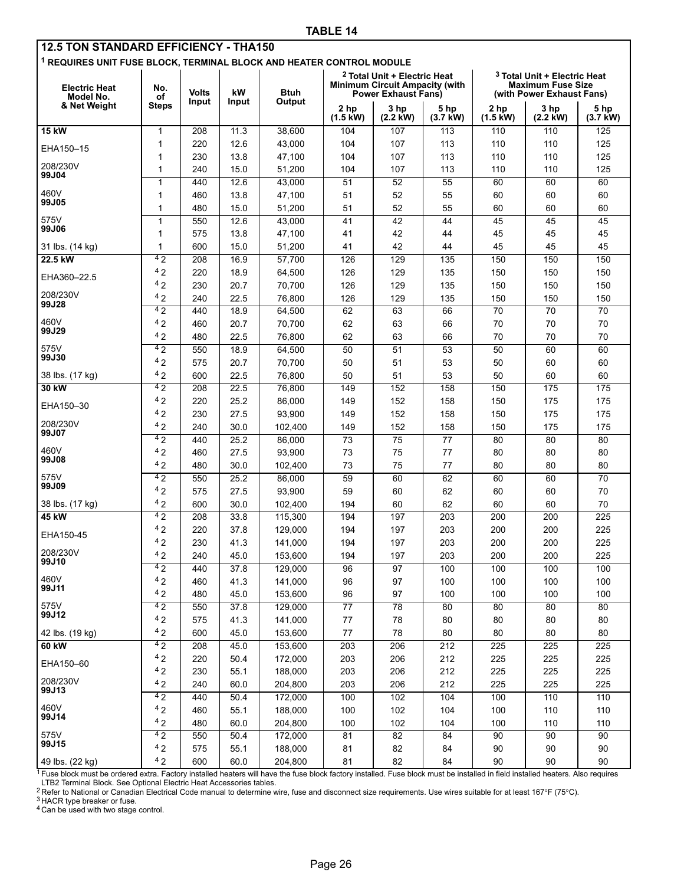| <b>12.5 TON STANDARD EFFICIENCY - THA150</b><br><sup>1</sup> REQUIRES UNIT FUSE BLOCK, TERMINAL BLOCK AND HEATER CONTROL MODULE |                |                       |             |                       |                                                                                                                                                                                                                     |                            |                    |                                       |                    |                    |
|---------------------------------------------------------------------------------------------------------------------------------|----------------|-----------------------|-------------|-----------------------|---------------------------------------------------------------------------------------------------------------------------------------------------------------------------------------------------------------------|----------------------------|--------------------|---------------------------------------|--------------------|--------------------|
| <b>Electric Heat</b><br>Model No.                                                                                               | No.<br>of      | <b>Volts</b><br>Input | kW<br>Input | <b>Btuh</b><br>Output | <sup>2</sup> Total Unit + Electric Heat<br><sup>3</sup> Total Unit + Electric Heat<br><b>Minimum Circuit Ampacity (with)</b><br><b>Maximum Fuse Size</b><br><b>Power Exhaust Fans)</b><br>(with Power Exhaust Fans) |                            |                    |                                       |                    |                    |
| & Net Weight                                                                                                                    | <b>Steps</b>   |                       |             |                       | 2 <sub>hp</sub><br>$(1.5 \text{ kW})$                                                                                                                                                                               | 3 hp<br>$(2.2 \text{ kW})$ | 5 hp<br>$(3.7$ kW) | 2 <sub>hp</sub><br>$(1.5 \text{ kW})$ | 3 hp<br>$(2.2$ kW) | 5 hp<br>$(3.7$ kW) |
| <b>15 kW</b>                                                                                                                    | $\mathbf{1}$   | 208                   | 11.3        | 38,600                | 104                                                                                                                                                                                                                 | 107                        | 113                | 110                                   | 110                | 125                |
| EHA150-15                                                                                                                       | 1              | 220                   | 12.6        | 43,000                | 104                                                                                                                                                                                                                 | 107                        | 113                | 110                                   | 110                | 125                |
|                                                                                                                                 | 1              | 230                   | 13.8        | 47,100                | 104                                                                                                                                                                                                                 | 107                        | 113                | 110                                   | 110                | 125                |
| 208/230V                                                                                                                        | 1              | 240                   | 15.0        | 51,200                | 104                                                                                                                                                                                                                 | 107                        | 113                | 110                                   | 110                | 125                |
| 99J04                                                                                                                           | 1              | 440                   | 12.6        | 43,000                | 51                                                                                                                                                                                                                  | 52                         | 55                 | 60                                    | 60                 | 60                 |
| 460V                                                                                                                            | 1              | 460                   | 13.8        | 47,100                | 51                                                                                                                                                                                                                  | 52                         | 55                 | 60                                    | 60                 | 60                 |
| 99J05                                                                                                                           | 1              | 480                   | 15.0        | 51,200                | 51                                                                                                                                                                                                                  | 52                         | 55                 | 60                                    | 60                 | 60                 |
| 575V                                                                                                                            | $\mathbf{1}$   | 550                   | 12.6        | 43,000                | 41                                                                                                                                                                                                                  | 42                         | 44                 | 45                                    | 45                 | 45                 |
| 99J06                                                                                                                           | 1              | 575                   | 13.8        | 47,100                | 41                                                                                                                                                                                                                  | 42                         | 44                 | 45                                    | 45                 | 45                 |
| 31 lbs. (14 kg)                                                                                                                 | 1              | 600                   | 15.0        | 51,200                | 41                                                                                                                                                                                                                  | 42                         | 44                 | 45                                    | 45                 | 45                 |
| 22.5 kW                                                                                                                         | 42             | 208                   | 16.9        | 57,700                | 126                                                                                                                                                                                                                 | 129                        | 135                | 150                                   | 150                | 150                |
|                                                                                                                                 | 42             | 220                   | 18.9        | 64,500                | 126                                                                                                                                                                                                                 | 129                        | 135                | 150                                   | 150                | 150                |
| EHA360-22.5                                                                                                                     | 42             | 230                   | 20.7        | 70,700                | 126                                                                                                                                                                                                                 | 129                        | 135                | 150                                   | 150                | 150                |
| 208/230V                                                                                                                        | 42             | 240                   | 22.5        | 76,800                | 126                                                                                                                                                                                                                 | 129                        | 135                | 150                                   | 150                | 150                |
| 99J28                                                                                                                           | 42             | 440                   | 18.9        | 64,500                | 62                                                                                                                                                                                                                  | 63                         | 66                 | $\overline{70}$                       | 70                 | $\overline{70}$    |
| 460V                                                                                                                            | 42             | 460                   | 20.7        | 70,700                | 62                                                                                                                                                                                                                  | 63                         | 66                 | 70                                    | 70                 | 70                 |
| 99J29                                                                                                                           | 42             | 480                   | 22.5        | 76,800                | 62                                                                                                                                                                                                                  | 63                         | 66                 | 70                                    | 70                 | 70                 |
| 575V                                                                                                                            | 42             | 550                   | 18.9        | 64,500                | $\overline{50}$                                                                                                                                                                                                     | 51                         | 53                 | 50                                    | 60                 | 60                 |
| 99J30                                                                                                                           | 42             | 575                   | 20.7        | 70,700                | 50                                                                                                                                                                                                                  | 51                         | 53                 | 50                                    | 60                 | 60                 |
| 38 lbs. (17 kg)                                                                                                                 | 42             | 600                   | 22.5        | 76,800                | 50                                                                                                                                                                                                                  | 51                         | 53                 | 50                                    | 60                 | 60                 |
| 30 kW                                                                                                                           | 4 <sub>2</sub> | 208                   | 22.5        | 76,800                | 149                                                                                                                                                                                                                 | 152                        | 158                | 150                                   | 175                | 175                |
|                                                                                                                                 | 42             | 220                   | 25.2        | 86,000                | 149                                                                                                                                                                                                                 | 152                        | 158                | 150                                   | 175                | 175                |
| EHA150-30                                                                                                                       | 42             | 230                   | 27.5        | 93,900                | 149                                                                                                                                                                                                                 | 152                        | 158                | 150                                   | 175                | 175                |
| 208/230V                                                                                                                        | 42             | 240                   | 30.0        | 102,400               | 149                                                                                                                                                                                                                 | 152                        | 158                | 150                                   | 175                | 175                |
| 99J07                                                                                                                           | 42             | 440                   | 25.2        | 86,000                | $\overline{73}$                                                                                                                                                                                                     | 75                         | $\overline{77}$    | 80                                    | 80                 | $\overline{80}$    |
| 460V                                                                                                                            | 42             | 460                   | 27.5        | 93,900                | 73                                                                                                                                                                                                                  | 75                         | 77                 | 80                                    | 80                 | 80                 |
| 99J08                                                                                                                           | 42             | 480                   | 30.0        | 102,400               | 73                                                                                                                                                                                                                  | 75                         | 77                 | 80                                    | 80                 | 80                 |
| 575V                                                                                                                            | 42             | 550                   | 25.2        | 86,000                | 59                                                                                                                                                                                                                  | 60                         | 62                 | 60                                    | 60                 | 70                 |
| 99J09                                                                                                                           | 42             | 575                   | 27.5        | 93,900                | 59                                                                                                                                                                                                                  | 60                         | 62                 | 60                                    | 60                 | 70                 |
| 38 lbs. (17 kg)                                                                                                                 | 42             | 600                   | 30.0        | 102,400               | 194                                                                                                                                                                                                                 | 60                         | 62                 | 60                                    | 60                 | 70                 |
| 45 kW                                                                                                                           | 42             | 208                   | 33.8        | 115,300               | 194                                                                                                                                                                                                                 | 197                        | 203                | 200                                   | 200                | $\overline{225}$   |
| EHA150-45                                                                                                                       | 42             | 220                   | 37.8        | 129,000               | 194                                                                                                                                                                                                                 | 197                        | 203                | 200                                   | 200                | 225                |
|                                                                                                                                 | 4 <sub>2</sub> | 230                   | 41.3        | 141,000               | 194                                                                                                                                                                                                                 | 197                        | 203                | 200                                   | 200                | 225                |
| 208/230V<br>99J10                                                                                                               | 42             | 240                   | 45.0        | 153,600               | 194                                                                                                                                                                                                                 | 197                        | 203                | 200                                   | 200                | 225                |
|                                                                                                                                 | 42             | 440                   | 37.8        | 129,000               | 96                                                                                                                                                                                                                  | 97                         | 100                | 100                                   | 100                | 100                |
| 460V                                                                                                                            | 42             | 460                   | 41.3        | 141,000               | 96                                                                                                                                                                                                                  | 97                         | 100                | 100                                   | 100                | 100                |
| 99J11                                                                                                                           | 42             | 480                   | 45.0        | 153,600               | 96                                                                                                                                                                                                                  | 97                         | 100                | 100                                   | 100                | 100                |
| 575V                                                                                                                            | 42             | 550                   | 37.8        | 129,000               | 77                                                                                                                                                                                                                  | 78                         | 80                 | 80                                    | 80                 | 80                 |
| 99J12                                                                                                                           | 42             | 575                   | 41.3        | 141,000               | 77                                                                                                                                                                                                                  | 78                         | 80                 | 80                                    | 80                 | 80                 |
| 42 lbs. (19 kg)                                                                                                                 | 42             | 600                   | 45.0        | 153,600               | $77\,$                                                                                                                                                                                                              | 78                         | 80                 | 80                                    | 80                 | 80                 |
| 60 kW                                                                                                                           | 42             | 208                   | 45.0        | 153,600               | 203                                                                                                                                                                                                                 | 206                        | 212                | 225                                   | 225                | 225                |
| EHA150-60                                                                                                                       | 42             | 220                   | 50.4        | 172,000               | 203                                                                                                                                                                                                                 | 206                        | 212                | 225                                   | 225                | 225                |
|                                                                                                                                 | 42             | 230                   | 55.1        | 188,000               | 203                                                                                                                                                                                                                 | 206                        | 212                | 225                                   | 225                | 225                |
| 208/230V<br>99J13                                                                                                               | 42             | 240                   | 60.0        | 204,800               | 203                                                                                                                                                                                                                 | 206                        | 212                | 225                                   | 225                | 225                |
|                                                                                                                                 | 42             | 440                   | 50.4        | 172,000               | 100                                                                                                                                                                                                                 | 102                        | 104                | 100                                   | 110                | 110                |
| 460V                                                                                                                            | 42             | 460                   | 55.1        | 188,000               | 100                                                                                                                                                                                                                 | 102                        | 104                | 100                                   | 110                | 110                |
| 99J14                                                                                                                           | 42             | 480                   | 60.0        | 204,800               | 100                                                                                                                                                                                                                 | 102                        | 104                | 100                                   | 110                | 110                |
| 575V                                                                                                                            | 42             | 550                   | 50.4        | 172,000               | 81                                                                                                                                                                                                                  | 82                         | 84                 | $90\,$                                | 90                 | 90                 |
| 99J15                                                                                                                           | 42             | 575                   | 55.1        | 188,000               | 81                                                                                                                                                                                                                  | 82                         | 84                 | 90                                    | 90                 | 90                 |
| 49 lbs. (22 kg)                                                                                                                 | 42             | 600                   | 60.0        | 204,800               | 81                                                                                                                                                                                                                  | 82                         | 84                 | 90                                    | 90                 | $90\,$             |

<sup>1</sup> Fuse block must be ordered extra. Factory installed heaters will have the fuse block factory installed. Fuse block must be installed in field installed heaters. Also requires<br>LTB2 Terminal Block. See Optional Electric

3 HACR type breaker or fuse.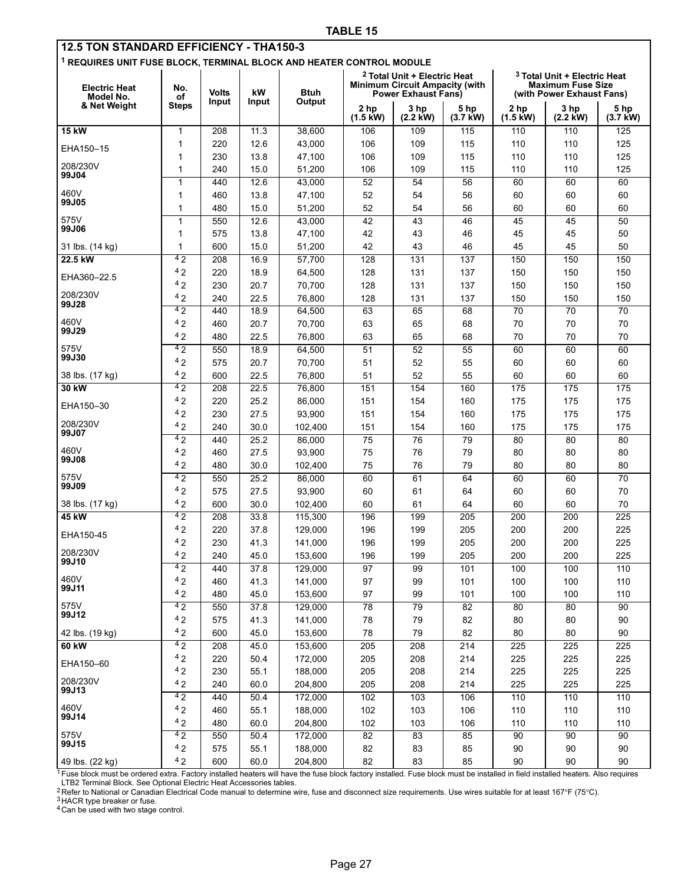<span id="page-26-0"></span>

| <b>12.5 TON STANDARD EFFICIENCY - THA150-3</b>                                  |                    |              |              |                    |                                                              |                                         |                    |                            |                                                       |                    |
|---------------------------------------------------------------------------------|--------------------|--------------|--------------|--------------------|--------------------------------------------------------------|-----------------------------------------|--------------------|----------------------------|-------------------------------------------------------|--------------------|
| <sup>1</sup> REQUIRES UNIT FUSE BLOCK, TERMINAL BLOCK AND HEATER CONTROL MODULE |                    |              |              |                    |                                                              |                                         |                    |                            |                                                       |                    |
|                                                                                 |                    |              |              |                    |                                                              | <sup>2</sup> Total Unit + Electric Heat |                    |                            | <sup>3</sup> Total Unit + Electric Heat               |                    |
| <b>Electric Heat</b>                                                            | No.                | <b>Volts</b> | kW           | Btuh               | <b>Minimum Circuit Ampacity (with</b><br>Power Exhaust Fans) |                                         |                    |                            | <b>Maximum Fuse Size</b><br>(with Power Exhaust Fans) |                    |
| Model No.<br>& Net Weight                                                       | οf<br><b>Steps</b> | Input        | Input        | Output             |                                                              |                                         |                    |                            |                                                       |                    |
|                                                                                 |                    |              |              |                    | 2 <sub>hp</sub><br>$(1.5 \text{ kW})$                        | 3 hp<br>$(2.2$ kW)                      | 5 hp<br>$(3.7$ kW) | 2 hp<br>$(1.5 \text{ kW})$ | 3 hp<br>$(2.2$ kW)                                    | 5 hp<br>$(3.7$ kW) |
| 15 kW                                                                           | 1                  | 208          | 11.3         | 38,600             | 106                                                          | 109                                     | 115                | 110                        | 110                                                   | 125                |
|                                                                                 | 1                  | 220          | 12.6         | 43,000             | 106                                                          | 109                                     | 115                | 110                        | 110                                                   | 125                |
| EHA150-15                                                                       | 1                  | 230          | 13.8         | 47,100             | 106                                                          | 109                                     | 115                | 110                        | 110                                                   | 125                |
| 208/230V                                                                        | $\mathbf 1$        | 240          | 15.0         | 51,200             | 106                                                          | 109                                     | 115                | 110                        | 110                                                   | 125                |
| 99J04                                                                           | 1                  | 440          | 12.6         | 43,000             | 52                                                           | 54                                      | 56                 | 60                         | 60                                                    | 60                 |
| 460V                                                                            | 1                  | 460          | 13.8         | 47,100             | 52                                                           | 54                                      | 56                 | 60                         | 60                                                    | 60                 |
| 99J05                                                                           | 1                  | 480          | 15.0         | 51,200             | 52                                                           | 54                                      | 56                 | 60                         | 60                                                    | 60                 |
| 575V<br>99J06                                                                   | 1                  | 550          | 12.6         | 43,000             | 42                                                           | 43                                      | 46                 | 45                         | 45                                                    | 50                 |
|                                                                                 | 1                  | 575          | 13.8         | 47,100             | 42                                                           | 43                                      | 46                 | 45                         | 45                                                    | 50                 |
| 31 lbs. (14 kg)                                                                 | 1                  | 600          | 15.0         | 51,200             | 42                                                           | 43                                      | 46                 | 45                         | 45                                                    | 50                 |
| 22.5 kW                                                                         | 42                 | 208          | 16.9         | 57,700             | 128                                                          | 131                                     | 137                | 150                        | 150                                                   | 150                |
| EHA360-22.5                                                                     | 42                 | 220          | 18.9         | 64,500             | 128                                                          | 131                                     | 137                | 150                        | 150                                                   | 150                |
| 208/230V                                                                        | 42                 | 230          | 20.7         | 70,700             | 128                                                          | 131                                     | 137                | 150                        | 150                                                   | 150                |
| 99J28                                                                           | 42                 | 240          | 22.5         | 76,800             | 128                                                          | 131                                     | 137                | 150                        | 150                                                   | 150                |
| 460V                                                                            | 42                 | 440          | 18.9         | 64,500             | 63                                                           | 65                                      | 68                 | 70                         | 70                                                    | 70                 |
| 99J29                                                                           | 42<br>42           | 460          | 20.7         | 70,700             | 63                                                           | 65                                      | 68                 | 70                         | 70                                                    | 70                 |
| 575V                                                                            | 42                 | 480          | 22.5         | 76,800<br>64.500   | 63                                                           | 65                                      | 68                 | 70                         | 70                                                    | 70                 |
| 99J30                                                                           | 42                 | 550<br>575   | 18.9<br>20.7 | 70,700             | 51<br>51                                                     | 52<br>52                                | 55<br>55           | 60<br>60                   | 60<br>60                                              | 60<br>60           |
|                                                                                 | 42                 | 600          | 22.5         | 76,800             | 51                                                           | 52                                      | 55                 | 60                         | 60                                                    | 60                 |
| 38 lbs. (17 kg)<br>30 kW                                                        | 4 <sub>2</sub>     | 208          | 22.5         | 76,800             | 151                                                          | 154                                     | 160                | 175                        | 175                                                   | 175                |
|                                                                                 | 42                 | 220          | 25.2         | 86,000             | 151                                                          | 154                                     | 160                | 175                        | 175                                                   | 175                |
| EHA150-30                                                                       | 42                 | 230          | 27.5         | 93,900             | 151                                                          | 154                                     | 160                | 175                        | 175                                                   | 175                |
| 208/230V                                                                        | 42                 | 240          | 30.0         | 102,400            | 151                                                          | 154                                     | 160                | 175                        | 175                                                   | 175                |
| 99J07                                                                           | 42                 | 440          | 25.2         | 86,000             | $\overline{75}$                                              | $\overline{76}$                         | 79                 | $\overline{80}$            | 80                                                    | 80                 |
| 460V                                                                            | 42                 | 460          | 27.5         | 93,900             | 75                                                           | 76                                      | 79                 | 80                         | 80                                                    | 80                 |
| 99J08                                                                           | 42                 | 480          | 30.0         | 102,400            | 75                                                           | 76                                      | 79                 | 80                         | 80                                                    | 80                 |
| 575V                                                                            | 42                 | 550          | 25.2         | 86,000             | 60                                                           | 61                                      | 64                 | 60                         | 60                                                    | 70                 |
| 99J09                                                                           | 42                 | 575          | 27.5         | 93,900             | 60                                                           | 61                                      | 64                 | 60                         | 60                                                    | 70                 |
| 38 lbs. (17 kg)                                                                 | 42                 | 600          | 30.0         | 102,400            | 60                                                           | 61                                      | 64                 | 60                         | 60                                                    | 70                 |
| 45 kW                                                                           | 42                 | 208          | 33.8         | 115.300            | 196                                                          | 199                                     | 205                | 200                        | 200                                                   | 225                |
| EHA150-45                                                                       | 42                 | 220          | 37.8         | 129,000            | 196                                                          | 199                                     | 205                | 200                        | 200                                                   | 225                |
|                                                                                 | 42                 | 230          | 41.3         | 141,000            | 196                                                          | 199                                     | 205                | 200                        | 200                                                   | 225                |
| 208/230V<br>99J10                                                               | 42                 | 240          | 45.0         | 153,600            | 196                                                          | 199                                     | 205                | 200                        | 200                                                   | 225                |
| 460V                                                                            | 42                 | 440          | 37.8         | 129,000            | 97                                                           | 99                                      | 101                | 100                        | 100                                                   | 110                |
| 99J11                                                                           | 42                 | 460          | 41.3         | 141,000            | 97                                                           | 99                                      | 101                | 100                        | 100                                                   | 110                |
| 575V                                                                            | 42<br>42           | 480          | 45.0         | 153,600            | 97                                                           | 99                                      | 101                | 100                        | 100                                                   | 110                |
| 99J12                                                                           | 42                 | 550          | 37.8         | 129,000            | 78                                                           | 79                                      | 82                 | 80                         | 80                                                    | 90                 |
| 42 lbs. (19 kg)                                                                 | 42                 | 575<br>600   | 41.3<br>45.0 | 141,000<br>153,600 | 78<br>78                                                     | 79<br>79                                | 82<br>82           | 80<br>80                   | 80<br>80                                              | 90<br>90           |
| 60 kW                                                                           | 42                 | 208          | 45.0         | 153,600            | 205                                                          | 208                                     | 214                | 225                        | 225                                                   | 225                |
|                                                                                 | 42                 | 220          | 50.4         | 172,000            | 205                                                          | 208                                     | 214                | 225                        | 225                                                   | 225                |
| EHA150-60                                                                       | 42                 | 230          | 55.1         | 188,000            | 205                                                          | 208                                     | 214                | 225                        | 225                                                   | 225                |
| 208/230V                                                                        | 42                 | 240          | 60.0         | 204,800            | 205                                                          | 208                                     | 214                | 225                        | 225                                                   | 225                |
| 99J13                                                                           | 42                 | 440          | 50.4         | 172,000            | 102                                                          | 103                                     | 106                | 110                        | 110                                                   | 110                |
| 460V                                                                            | 42                 | 460          | 55.1         | 188,000            | 102                                                          | 103                                     | 106                | 110                        | 110                                                   | 110                |
| 99J14                                                                           | 42                 | 480          | 60.0         | 204,800            | 102                                                          | 103                                     | 106                | 110                        | 110                                                   | 110                |
| 575V                                                                            | 42                 | 550          | 50.4         | 172,000            | $\overline{82}$                                              | 83                                      | 85                 | 90                         | 90                                                    | 90                 |
| 99J15                                                                           | 42                 | 575          | 55.1         | 188,000            | 82                                                           | 83                                      | 85                 | 90                         | 90                                                    | 90                 |
| 49 lbs. (22 kg)                                                                 | 42                 | 600          | 60.0         | 204,800            | 82                                                           | 83                                      | 85                 | 90                         | 90                                                    | 90                 |

<sup>1</sup> Fuse block must be ordered extra. Factory installed heaters will have the fuse block factory installed. Fuse block must be installed in field installed heaters. Also requires<br>LTB2 Terminal Block. See Optional Electric

3 HACR type breaker or fuse.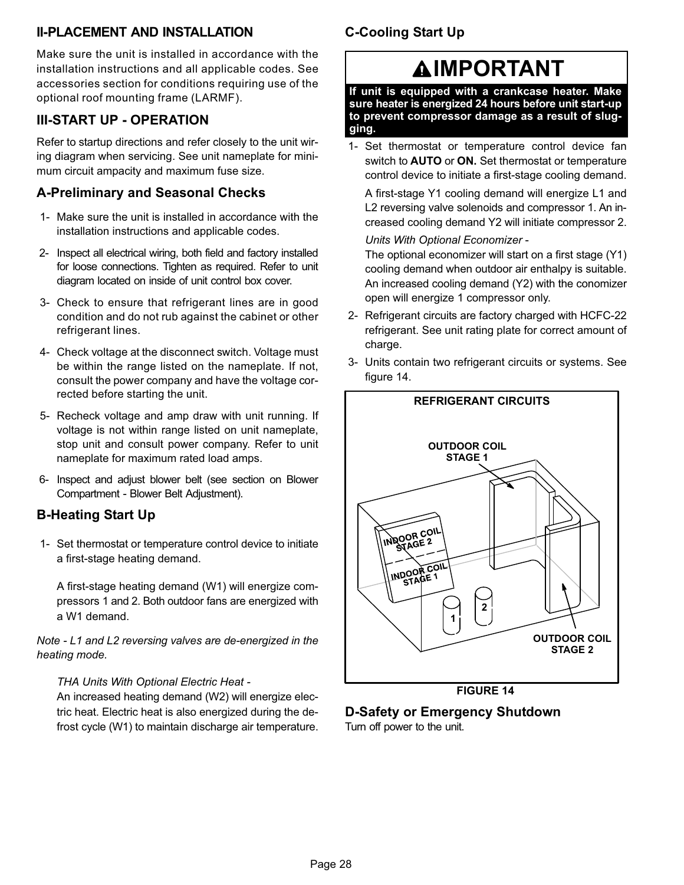## <span id="page-27-0"></span>II−PLACEMENT AND INSTALLATION

Make sure the unit is installed in accordance with the installation instructions and all applicable codes. See accessories section for conditions requiring use of the optional roof mounting frame (LARMF).

## III−START UP − OPERATION

Refer to startup directions and refer closely to the unit wiring diagram when servicing. See unit nameplate for minimum circuit ampacity and maximum fuse size.

## A−Preliminary and Seasonal Checks

- 1− Make sure the unit is installed in accordance with the installation instructions and applicable codes.
- 2− Inspect all electrical wiring, both field and factory installed for loose connections. Tighten as required. Refer to unit diagram located on inside of unit control box cover.
- 3− Check to ensure that refrigerant lines are in good condition and do not rub against the cabinet or other refrigerant lines.
- 4− Check voltage at the disconnect switch. Voltage must be within the range listed on the nameplate. If not, consult the power company and have the voltage corrected before starting the unit.
- 5− Recheck voltage and amp draw with unit running. If voltage is not within range listed on unit nameplate, stop unit and consult power company. Refer to unit nameplate for maximum rated load amps.
- 6− Inspect and adjust blower belt (see section on Blower Compartment − Blower Belt Adjustment).

## B−Heating Start Up

 1− Set thermostat or temperature control device to initiate a first−stage heating demand.

A first−stage heating demand (W1) will energize compressors 1 and 2. Both outdoor fans are energized with a W1 demand.

Note − L1 and L2 reversing valves are de−energized in the heating mode.

## THA Units With Optional Electric Heat −

An increased heating demand (W2) will energize electric heat. Electric heat is also energized during the defrost cycle (W1) to maintain discharge air temperature.

# C−Cooling Start Up

# **AIMPORTANT**

If unit is equipped with a crankcase heater. Make sure heater is energized 24 hours before unit start−up to prevent compressor damage as a result of slugging.

 1− Set thermostat or temperature control device fan switch to **AUTO** or **ON**. Set thermostat or temperature control device to initiate a first−stage cooling demand.

A first−stage Y1 cooling demand will energize L1 and L2 reversing valve solenoids and compressor 1. An increased cooling demand Y2 will initiate compressor 2.

Units With Optional Economizer −

The optional economizer will start on a first stage (Y1) cooling demand when outdoor air enthalpy is suitable. An increased cooling demand (Y2) with the conomizer open will energize 1 compressor only.

- 2− Refrigerant circuits are factory charged with HCFC−22 refrigerant. See unit rating plate for correct amount of charge.
- 3− Units contain two refrigerant circuits or systems. See figure 14.



FIGURE 14

## D−Safety or Emergency Shutdown

Turn off power to the unit.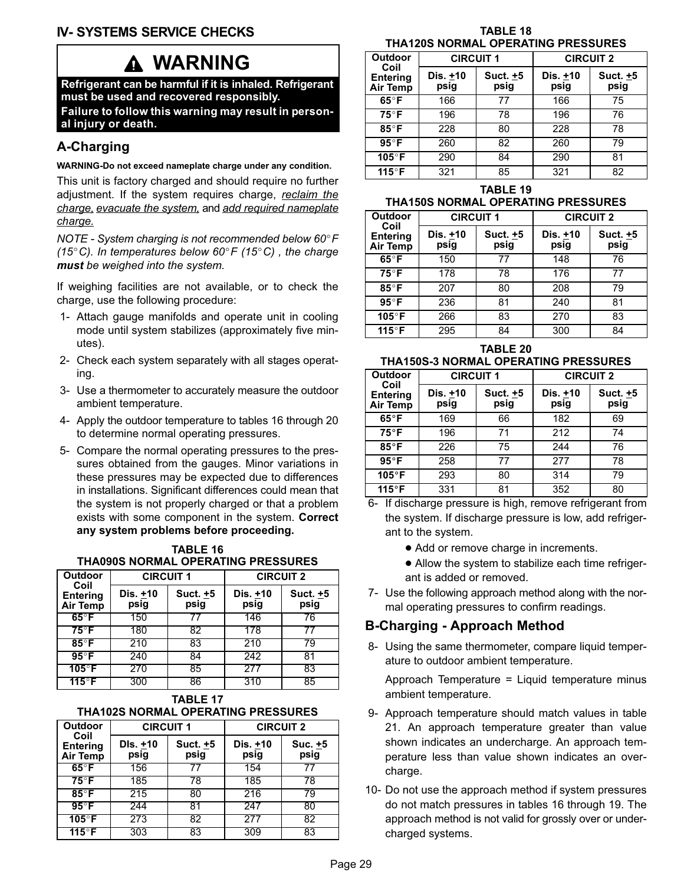# WARNING

<span id="page-28-0"></span>Refrigerant can be harmful if it is inhaled. Refrigerant must be used and recovered responsibly.

Failure to follow this warning may result in personal injury or death.

## A−Charging

WARNING−Do not exceed nameplate charge under any condition.

This unit is factory charged and should require no further adjustment. If the system requires charge, reclaim the charge, evacuate the system, and add required nameplate charge.

NOTE - System charging is not recommended below 60°F (15°C). In temperatures below 60°F (15°C), the charge must be weighed into the system.

If weighing facilities are not available, or to check the charge, use the following procedure:

- 1− Attach gauge manifolds and operate unit in cooling mode until system stabilizes (approximately five minutes).
- 2− Check each system separately with all stages operating.
- 3− Use a thermometer to accurately measure the outdoor ambient temperature.
- 4− Apply the outdoor temperature to tables 16 through 20 to determine normal operating pressures.
- 5− Compare the normal operating pressures to the pressures obtained from the gauges. Minor variations in these pressures may be expected due to differences in installations. Significant differences could mean that the system is not properly charged or that a problem exists with some component in the system. Correct any system problems before proceeding.

| <b>TABLE 16</b>                    |
|------------------------------------|
| THA090S NORMAL OPERATING PRESSURES |

| <b>Outdoor</b>                             | <b>CIRCUIT 1</b> |                  | <b>CIRCUIT 2</b> |                  |  |  |
|--------------------------------------------|------------------|------------------|------------------|------------------|--|--|
| Coil<br><b>Entering</b><br><b>Air Temp</b> | Dis. +10<br>psig | Suct. +5<br>psig | Dis. +10<br>psig | Suct. +5<br>psig |  |  |
| $65^{\circ}$ F                             | 150              | 77               | 146              | 76               |  |  |
| $75^\circ$ F                               | 180              | 82               | 178              | 77               |  |  |
| $85^\circ$ F                               | 210              | 83               | 210              | 79               |  |  |
| $95^{\circ}$ F                             | 240              | 84               | 242              | 81               |  |  |
| $105^\circ$ F                              | 270              | 85               | 277              | 83               |  |  |
| $115^{\circ}$ F                            | 300              | 86               | 310              | 85               |  |  |

TABLE 17 THA102S NORMAL OPERATING PRESSURES

| <b>Outdoor</b>                             | <b>CIRCUIT 1</b> |                  | <b>CIRCUIT 2</b> |                 |  |  |
|--------------------------------------------|------------------|------------------|------------------|-----------------|--|--|
| Coil<br><b>Entering</b><br><b>Air Temp</b> | DIs. +10<br>psig | Suct. +5<br>psig | Dis. +10<br>psig | Suc. +5<br>psig |  |  |
| $65^{\circ}$ F                             | 156              |                  | 154              |                 |  |  |
| $75^\circ$ F                               | 185              | 78               | 185              | 78              |  |  |
| $85^\circ$ F                               | 215              | 80               | 216              | 79              |  |  |
| $95^\circ F$                               | 244              | 81               | 247              | 80              |  |  |
| $105^\circ F$                              | 273              | 82               | 277              | 82              |  |  |
| $115^{\circ}$ F                            | 303              | 83               | 309              | 83              |  |  |

TABLE 18 THA120S NORMAL OPERATING PRESSURES

| <b>Outdoor</b>                             | <b>CIRCUIT 1</b> |                  | <b>CIRCUIT 2</b> |                  |  |  |
|--------------------------------------------|------------------|------------------|------------------|------------------|--|--|
| Coil<br><b>Entering</b><br><b>Air Temp</b> | Dis. +10<br>psig | Suct. +5<br>psig | Dis. +10<br>psig | Suct. +5<br>psig |  |  |
| $65^{\circ}$ F                             | 166              | 77               | 166              | 75               |  |  |
| $75^\circ$ F                               | 196              | 78               | 196              | 76               |  |  |
| 85°F                                       | 228              | 80               | 228              | 78               |  |  |
| $95^\circ$ F                               | 260              | 82               | 260              | 79               |  |  |
| 105°F                                      | 290              | 84               | 290              | 81               |  |  |
| 115°F                                      | 321              | 85               | 321              | 82               |  |  |

TABLE 19 THA150S NORMAL OPERATING PRESSURES

| <b>Outdoor</b>                      | <b>CIRCUIT 1</b> |                  | <b>CIRCUIT 2</b> |                  |
|-------------------------------------|------------------|------------------|------------------|------------------|
| Coil<br><b>Entering</b><br>Air Temp | Dis. +10<br>psig | Suct. +5<br>psig | Dis. +10<br>psig | Suct. +5<br>psig |
| $65^{\circ}$ F                      | 150              | 77               | 148              | 76               |
| 75°F                                | 178              | 78               | 176              | 77               |
| 85°F                                | 207              | 80               | 208              | 79               |
| $95^{\circ}$ F                      | 236              | 81               | 240              | 81               |
| 105°F                               | 266              | 83               | 270              | 83               |
| 115°F                               | 295              | 84               | 300              | 84               |

TABLE 20

# THA150S−3 NORMAL OPERATING PRESSURES

| <b>Outdoor</b>                             | <b>CIRCUIT 1</b>   |                  | <b>CIRCUIT 2</b> |                    |
|--------------------------------------------|--------------------|------------------|------------------|--------------------|
| Coil<br><b>Entering</b><br><b>Air Temp</b> | Dis. $±10$<br>psig | Suct. +5<br>psig | Dis. +10<br>psig | Suct. $±5$<br>psig |
| $65^{\circ}$ F                             | 169                | 66               | 182              | 69                 |
| $75^{\circ}$ F                             | 196                | 71               | 212              | 74                 |
| $85^{\circ}$ F                             | 226                | 75               | 244              | 76                 |
| $95^{\circ}$ F                             | 258                | 77               | 277              | 78                 |
| 105°F                                      | 293                | 80               | 314              | 79                 |
| 115°F                                      | 331                | 81               | 352              | 80                 |

- 6− If discharge pressure is high, remove refrigerant from the system. If discharge pressure is low, add refrigerant to the system.
	- Add or remove charge in increments.
	- Allow the system to stabilize each time refrigerant is added or removed.
- 7− Use the following approach method along with the normal operating pressures to confirm readings.

## B−Charging − Approach Method

 8− Using the same thermometer, compare liquid temperature to outdoor ambient temperature.

Approach Temperature = Liquid temperature minus ambient temperature.

- 9− Approach temperature should match values in table [21](#page-29-0). An approach temperature greater than value shown indicates an undercharge. An approach temperature less than value shown indicates an overcharge.
- 10− Do not use the approach method if system pressures do not match pressures in tables 16 through 19. The approach method is not valid for grossly over or undercharged systems.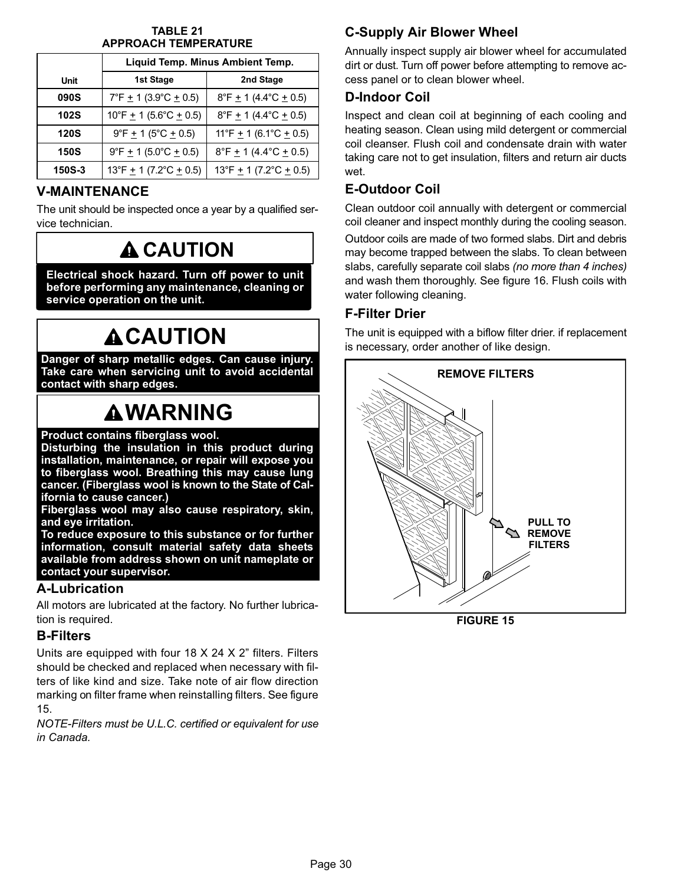#### TABLE 21 APPROACH TEMPERATURE

<span id="page-29-0"></span>

|               |                                                    | Liquid Temp. Minus Ambient Temp.                   |
|---------------|----------------------------------------------------|----------------------------------------------------|
| Unit          | 1st Stage                                          | 2nd Stage                                          |
| <b>090S</b>   | $7^{\circ}$ F $\pm$ 1 (3.9 $^{\circ}$ C $\pm$ 0.5) | $8^{\circ}$ F $\pm$ 1 (4.4 $^{\circ}$ C $\pm$ 0.5) |
| <b>102S</b>   | $10^{\circ}$ F $\pm$ 1 (5.6°C $\pm$ 0.5)           | $8^{\circ}$ F $\pm$ 1 (4.4 $^{\circ}$ C $\pm$ 0.5) |
| <b>120S</b>   | $9^{\circ}$ F $\pm$ 1 (5 $^{\circ}$ C $\pm$ 0.5)   | 11°F $\pm$ 1 (6.1°C $\pm$ 0.5)                     |
| <b>150S</b>   | $9^{\circ}F + 1$ (5.0°C + 0.5)                     | $8^{\circ}$ F $\pm$ 1 (4.4 $^{\circ}$ C $\pm$ 0.5) |
| <b>150S-3</b> | 13°F $\pm$ 1 (7.2°C $\pm$ 0.5)                     | 13°F $\pm$ 1 (7.2°C $\pm$ 0.5)                     |

## V−MAINTENANCE

The unit should be inspected once a year by a qualified service technician.

# **A CAUTION**

Electrical shock hazard. Turn off power to unit before performing any maintenance, cleaning or service operation on the unit.

# **ACAUTION**

Danger of sharp metallic edges. Can cause injury. Take care when servicing unit to avoid accidental contact with sharp edges.

# **AWARNING**

Product contains fiberglass wool.

Disturbing the insulation in this product during installation, maintenance, or repair will expose you to fiberglass wool. Breathing this may cause lung cancer. (Fiberglass wool is known to the State of California to cause cancer.)

Fiberglass wool may also cause respiratory, skin, and eye irritation.

To reduce exposure to this substance or for further information, consult material safety data sheets available from address shown on unit nameplate or contact your supervisor.

## A−Lubrication

All motors are lubricated at the factory. No further lubrication is required.

## B−Filters

Units are equipped with four 18 X 24 X 2" filters. Filters should be checked and replaced when necessary with filters of like kind and size. Take note of air flow direction marking on filter frame when reinstalling filters. See figure 15.

NOTE−Filters must be U.L.C. certified or equivalent for use in Canada.

# C−Supply Air Blower Wheel

Annually inspect supply air blower wheel for accumulated dirt or dust. Turn off power before attempting to remove access panel or to clean blower wheel.

## D−Indoor Coil

Inspect and clean coil at beginning of each cooling and heating season. Clean using mild detergent or commercial coil cleanser. Flush coil and condensate drain with water taking care not to get insulation, filters and return air ducts wet.

# E−Outdoor Coil

Clean outdoor coil annually with detergent or commercial coil cleaner and inspect monthly during the cooling season.

Outdoor coils are made of two formed slabs. Dirt and debris may become trapped between the slabs. To clean between slabs, carefully separate coil slabs (no more than 4 inches) and wash them thoroughly. See figure [16.](#page-30-0) Flush coils with water following cleaning.

## F−Filter Drier

The unit is equipped with a biflow filter drier. if replacement is necessary, order another of like design.



FIGURE 15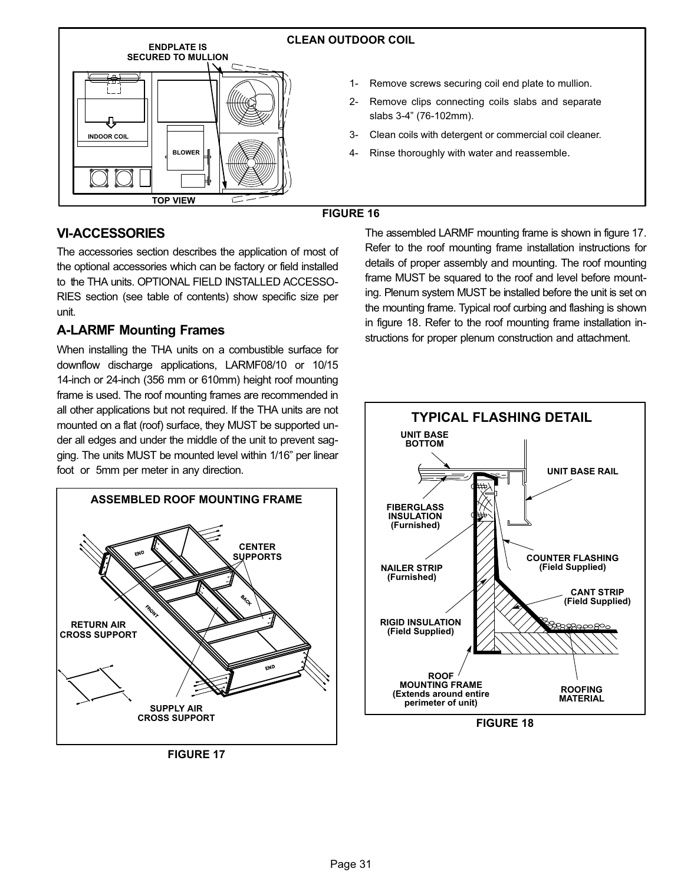<span id="page-30-0"></span>

## VI−ACCESSORIES

The accessories section describes the application of most of the optional accessories which can be factory or field installed to the THA units. OPTIONAL FIELD INSTALLED ACCESSO-RIES section (see table of contents) show specific size per unit.

## A−LARMF Mounting Frames

When installing the THA units on a combustible surface for downflow discharge applications, LARMF08/10 or 10/15 14-inch or 24-inch (356 mm or 610mm) height roof mounting frame is used. The roof mounting frames are recommended in all other applications but not required. If the THA units are not mounted on a flat (roof) surface, they MUST be supported under all edges and under the middle of the unit to prevent sagging. The units MUST be mounted level within 1/16" per linear foot or 5mm per meter in any direction.



FIGURE 17

The assembled LARMF mounting frame is shown in figure 17. Refer to the roof mounting frame installation instructions for details of proper assembly and mounting. The roof mounting frame MUST be squared to the roof and level before mounting. Plenum system MUST be installed before the unit is set on the mounting frame. Typical roof curbing and flashing is shown in figure 18. Refer to the roof mounting frame installation instructions for proper plenum construction and attachment.

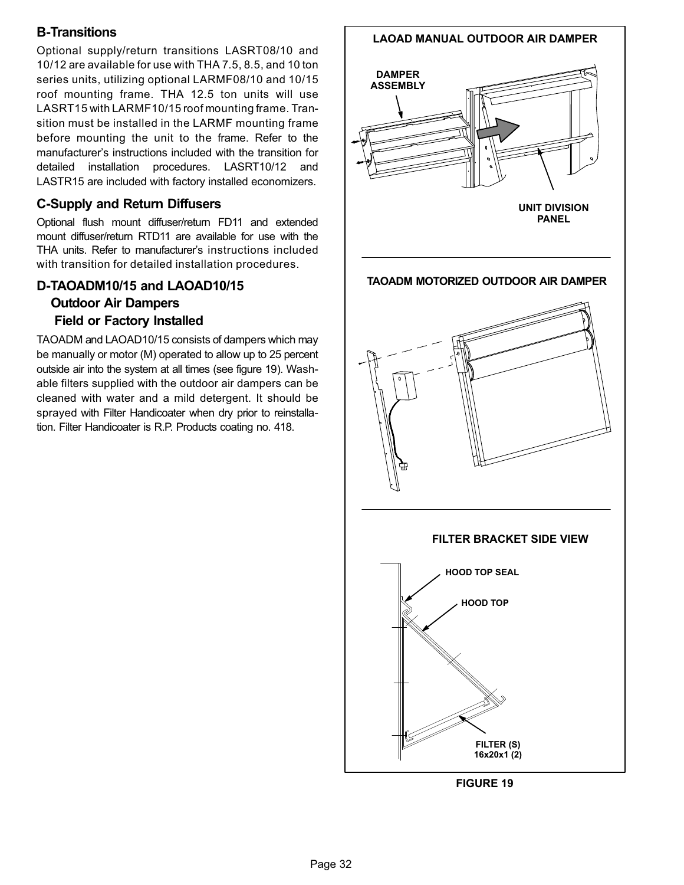## B−Transitions

Optional supply/return transitions LASRT08/10 and 10/12 are available for use with THA 7.5, 8.5, and 10 ton series units, utilizing optional LARMF08/10 and 10/15 roof mounting frame. THA 12.5 ton units will use LASRT15 with LARMF10/15 roof mounting frame. Transition must be installed in the LARMF mounting frame before mounting the unit to the frame. Refer to the manufacturer's instructions included with the transition for detailed installation procedures. LASRT10/12 and LASTR15 are included with factory installed economizers.

## C−Supply and Return Diffusers

Optional flush mount diffuser/return FD11 and extended mount diffuser/return RTD11 are available for use with the THA units. Refer to manufacturer's instructions included with transition for detailed installation procedures.

## D−TAOADM10/15 and LAOAD10/15

## Outdoor Air Dampers

## Field or Factory Installed

TAOADM and LAOAD10/15 consists of dampers which may be manually or motor (M) operated to allow up to 25 percent outside air into the system at all times (see figure 19). Washable filters supplied with the outdoor air dampers can be cleaned with water and a mild detergent. It should be sprayed with Filter Handicoater when dry prior to reinstallation. Filter Handicoater is R.P. Products coating no. 418.

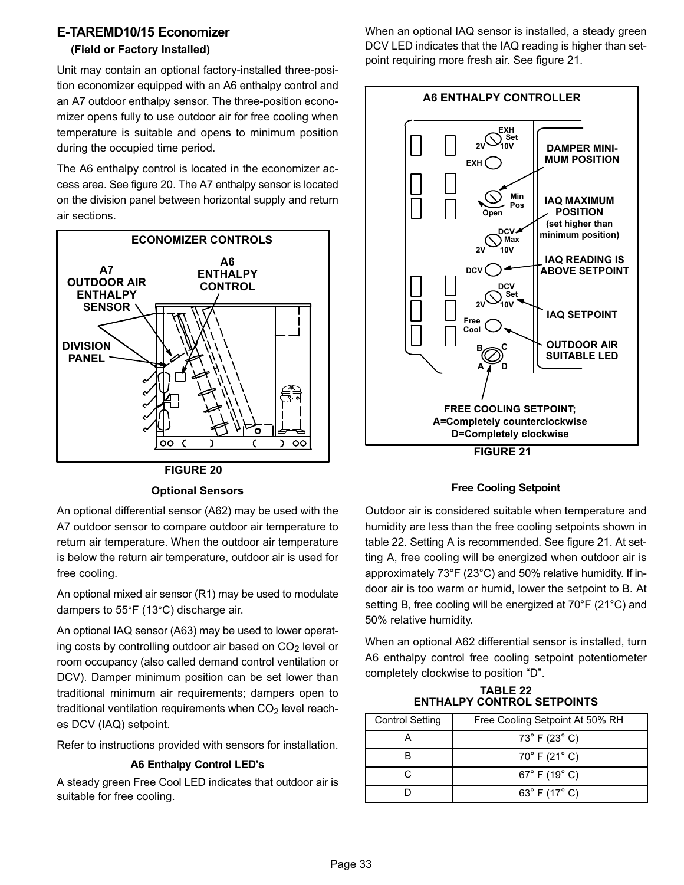## <span id="page-32-0"></span>E−TAREMD10/15 Economizer

### (Field or Factory Installed)

Unit may contain an optional factory−installed three−position economizer equipped with an A6 enthalpy control and an A7 outdoor enthalpy sensor. The three−position economizer opens fully to use outdoor air for free cooling when temperature is suitable and opens to minimum position during the occupied time period.

The A6 enthalpy control is located in the economizer access area. See figure 20. The A7 enthalpy sensor is located on the division panel between horizontal supply and return air sections.



FIGURE 20

#### Optional Sensors

An optional differential sensor (A62) may be used with the A7 outdoor sensor to compare outdoor air temperature to return air temperature. When the outdoor air temperature is below the return air temperature, outdoor air is used for free cooling.

An optional mixed air sensor (R1) may be used to modulate dampers to 55°F (13°C) discharge air.

An optional IAQ sensor (A63) may be used to lower operating costs by controlling outdoor air based on  $CO<sub>2</sub>$  level or room occupancy (also called demand control ventilation or DCV). Damper minimum position can be set lower than traditional minimum air requirements; dampers open to traditional ventilation requirements when  $CO<sub>2</sub>$  level reaches DCV (IAQ) setpoint.

Refer to instructions provided with sensors for installation.

#### A6 Enthalpy Control LED's

A steady green Free Cool LED indicates that outdoor air is suitable for free cooling.

When an optional IAQ sensor is installed, a steady green DCV LED indicates that the IAQ reading is higher than setpoint requiring more fresh air. See figure 21.



#### Free Cooling Setpoint

Outdoor air is considered suitable when temperature and humidity are less than the free cooling setpoints shown in table 22. Setting A is recommended. See figure 21. At setting A, free cooling will be energized when outdoor air is approximately 73°F (23°C) and 50% relative humidity. If indoor air is too warm or humid, lower the setpoint to B. At setting B, free cooling will be energized at 70°F (21°C) and 50% relative humidity.

When an optional A62 differential sensor is installed, turn A6 enthalpy control free cooling setpoint potentiometer completely clockwise to position "D".

TABLE 22 ENTHALPY CONTROL SETPOINTS

| <b>Control Setting</b> | Free Cooling Setpoint At 50% RH   |
|------------------------|-----------------------------------|
|                        | $73^{\circ}$ F (23 $^{\circ}$ C)  |
|                        | $70^{\circ}$ F (21 $^{\circ}$ C)  |
|                        | $67^{\circ}$ F (19 $^{\circ}$ C)  |
|                        | 63 $^{\circ}$ F (17 $^{\circ}$ C) |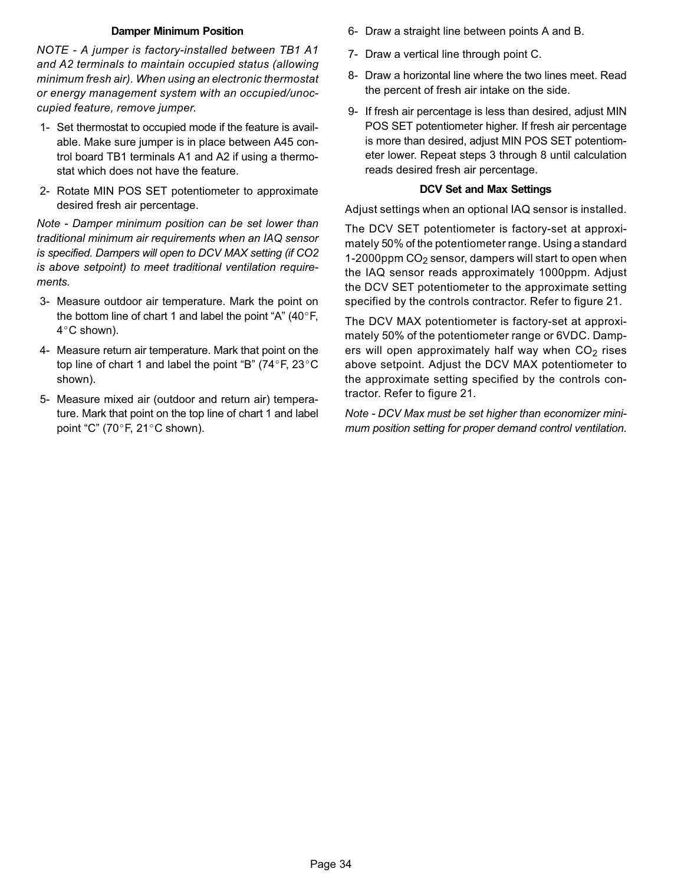#### Damper Minimum Position

NOTE − A jumper is factory−installed between TB1 A1 and A2 terminals to maintain occupied status (allowing minimum fresh air). When using an electronic thermostat or energy management system with an occupied/unoccupied feature, remove jumper.

- 1− Set thermostat to occupied mode if the feature is available. Make sure jumper is in place between A45 control board TB1 terminals A1 and A2 if using a thermostat which does not have the feature.
- 2− Rotate MIN POS SET potentiometer to approximate desired fresh air percentage.

Note − Damper minimum position can be set lower than traditional minimum air requirements when an IAQ sensor is specified. Dampers will open to DCV MAX setting (if CO2 is above setpoint) to meet traditional ventilation requirements.

- 3− Measure outdoor air temperature. Mark the point on the bottom line of chart 1 and label the point "A" (40°F, 4°C shown).
- 4− Measure return air temperature. Mark that point on the top line of chart 1 and label the point "B" (74°F, 23°C shown).
- 5− Measure mixed air (outdoor and return air) temperature. Mark that point on the top line of chart 1 and label point "C" (70 $^{\circ}$ F, 21 $^{\circ}$ C shown).
- 6− Draw a straight line between points A and B.
- 7− Draw a vertical line through point C.
- 8− Draw a horizontal line where the two lines meet. Read the percent of fresh air intake on the side.
- 9- If fresh air percentage is less than desired, adjust MIN POS SET potentiometer higher. If fresh air percentage is more than desired, adjust MIN POS SET potentiometer lower. Repeat steps 3 through 8 until calculation reads desired fresh air percentage.

#### DCV Set and Max Settings

Adjust settings when an optional IAQ sensor is installed.

The DCV SET potentiometer is factory−set at approximately 50% of the potentiometer range. Using a standard 1−2000ppm CO2 sensor, dampers will start to open when the IAQ sensor reads approximately 1000ppm. Adjust the DCV SET potentiometer to the approximate setting specified by the controls contractor. Refer to figure [21.](#page-32-0)

The DCV MAX potentiometer is factory−set at approximately 50% of the potentiometer range or 6VDC. Dampers will open approximately half way when  $CO<sub>2</sub>$  rises above setpoint. Adjust the DCV MAX potentiometer to the approximate setting specified by the controls contractor. Refer to figure [21.](#page-32-0)

Note − DCV Max must be set higher than economizer minimum position setting for proper demand control ventilation.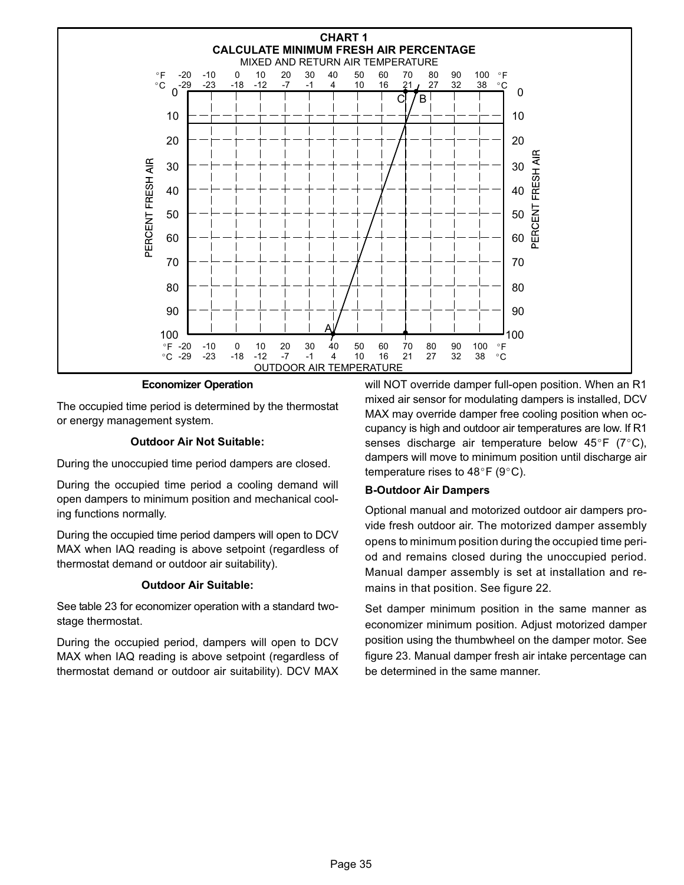

Economizer Operation

The occupied time period is determined by the thermostat or energy management system.

#### Outdoor Air Not Suitable:

During the unoccupied time period dampers are closed.

During the occupied time period a cooling demand will open dampers to minimum position and mechanical cooling functions normally.

During the occupied time period dampers will open to DCV MAX when IAQ reading is above setpoint (regardless of thermostat demand or outdoor air suitability).

#### Outdoor Air Suitable:

See table [23](#page-35-0) for economizer operation with a standard two− stage thermostat.

During the occupied period, dampers will open to DCV MAX when IAQ reading is above setpoint (regardless of thermostat demand or outdoor air suitability). DCV MAX will NOT override damper full−open position. When an R1 mixed air sensor for modulating dampers is installed, DCV MAX may override damper free cooling position when occupancy is high and outdoor air temperatures are low. If R1 senses discharge air temperature below 45°F (7°C), dampers will move to minimum position until discharge air temperature rises to  $48^{\circ}$ F (9°C).

#### B−Outdoor Air Dampers

Optional manual and motorized outdoor air dampers provide fresh outdoor air. The motorized damper assembly opens to minimum position during the occupied time period and remains closed during the unoccupied period. Manual damper assembly is set at installation and remains in that position. See figure [22](#page-35-0).

Set damper minimum position in the same manner as economizer minimum position. Adjust motorized damper position using the thumbwheel on the damper motor. See figure [23.](#page-35-0) Manual damper fresh air intake percentage can be determined in the same manner.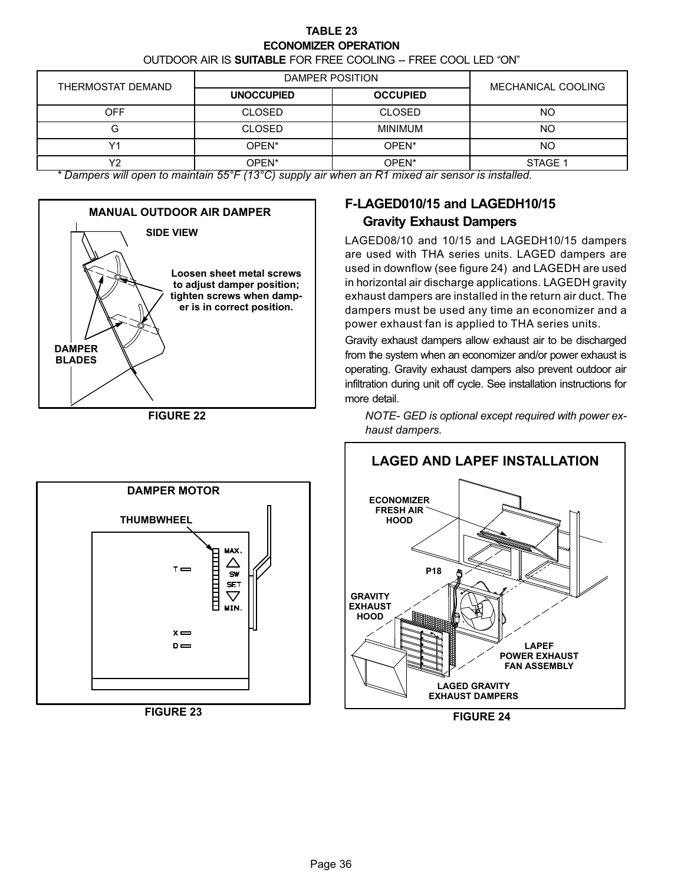#### TABLE 23 ECONOMIZER OPERATION

OUTDOOR AIR IS SUITABLE FOR FREE COOLING -- FREE COOL LED "ON"

<span id="page-35-0"></span>

|                      | DAMPER POSITION        |                 |                    |
|----------------------|------------------------|-----------------|--------------------|
| THERMOSTAT DEMAND    | <b>UNOCCUPIED</b>      | <b>OCCUPIED</b> | MECHANICAL COOLING |
| <b>OFF</b>           | <b>CLOSED</b>          | <b>CLOSED</b>   | NO                 |
|                      | <b>CLOSED</b>          | <b>MINIMUM</b>  | NO                 |
| $\sqrt{4}$           | OPEN <sup>*</sup>      | OPEN*           | NO                 |
| vo<br>. .<br>. .<br> | OPEN*<br>F F 0 F 11000 | OPEN*           | STAGE 1<br>.       |

\* Dampers will open to maintain 55°F (13°C) supply air when an R1 mixed air sensor is installed.



FIGURE 22



FIGURE 23

## F−LAGED010/15 and LAGEDH10/15 Gravity Exhaust Dampers

LAGED08/10 and 10/15 and LAGEDH10/15 dampers are used with THA series units. LAGED dampers are used in downflow (see figure 24) and LAGEDH are used in horizontal air discharge applications. LAGEDH gravity exhaust dampers are installed in the return air duct. The dampers must be used any time an economizer and a power exhaust fan is applied to THA series units.

Gravity exhaust dampers allow exhaust air to be discharged from the system when an economizer and/or power exhaust is operating. Gravity exhaust dampers also prevent outdoor air infiltration during unit off cycle. See installation instructions for more detail.

NOTE− GED is optional except required with power exhaust dampers.



FIGURE 24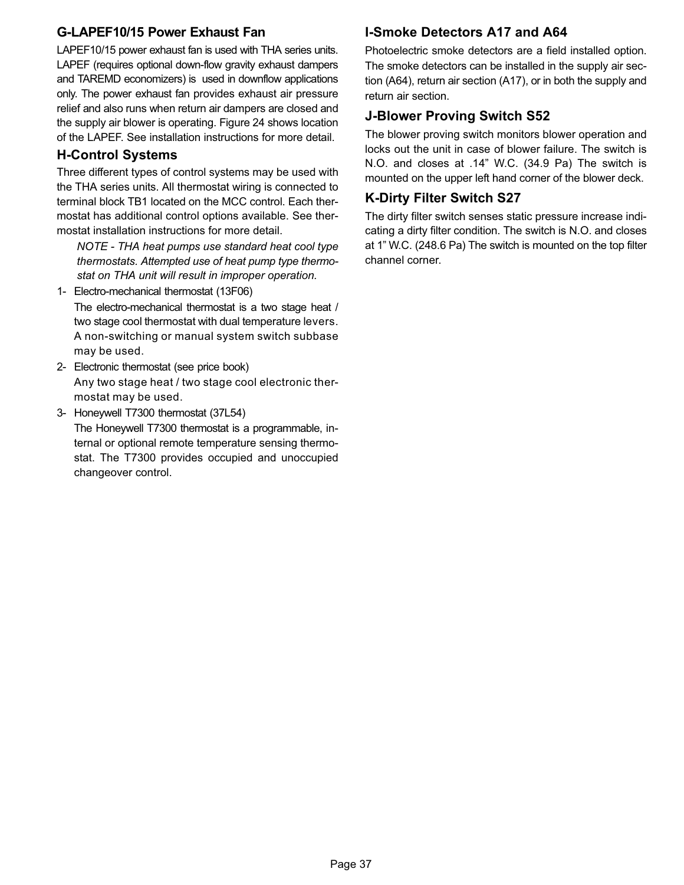## G−LAPEF10/15 Power Exhaust Fan

LAPEF10/15 power exhaust fan is used with THA series units. LAPEF (requires optional down-flow gravity exhaust dampers and TAREMD economizers) is used in downflow applications only. The power exhaust fan provides exhaust air pressure relief and also runs when return air dampers are closed and the supply air blower is operating. Figure [24](#page-35-0) shows location of the LAPEF. See installation instructions for more detail.

## H−Control Systems

Three different types of control systems may be used with the THA series units. All thermostat wiring is connected to terminal block TB1 located on the MCC control. Each thermostat has additional control options available. See thermostat installation instructions for more detail.

NOTE − THA heat pumps use standard heat cool type thermostats. Attempted use of heat pump type thermostat on THA unit will result in improper operation.

1− Electro-mechanical thermostat (13F06)

The electro-mechanical thermostat is a two stage heat / two stage cool thermostat with dual temperature levers. A non-switching or manual system switch subbase may be used.

- 2− Electronic thermostat (see price book) Any two stage heat / two stage cool electronic thermostat may be used.
- 3− Honeywell T7300 thermostat (37L54) The Honeywell T7300 thermostat is a programmable, internal or optional remote temperature sensing thermostat. The T7300 provides occupied and unoccupied changeover control.

## I−Smoke Detectors A17 and A64

Photoelectric smoke detectors are a field installed option. The smoke detectors can be installed in the supply air section (A64), return air section (A17), or in both the supply and return air section.

## J−Blower Proving Switch S52

The blower proving switch monitors blower operation and locks out the unit in case of blower failure. The switch is N.O. and closes at .14" W.C. (34.9 Pa) The switch is mounted on the upper left hand corner of the blower deck.

## K−Dirty Filter Switch S27

The dirty filter switch senses static pressure increase indicating a dirty filter condition. The switch is N.O. and closes at 1" W.C. (248.6 Pa) The switch is mounted on the top filter channel corner.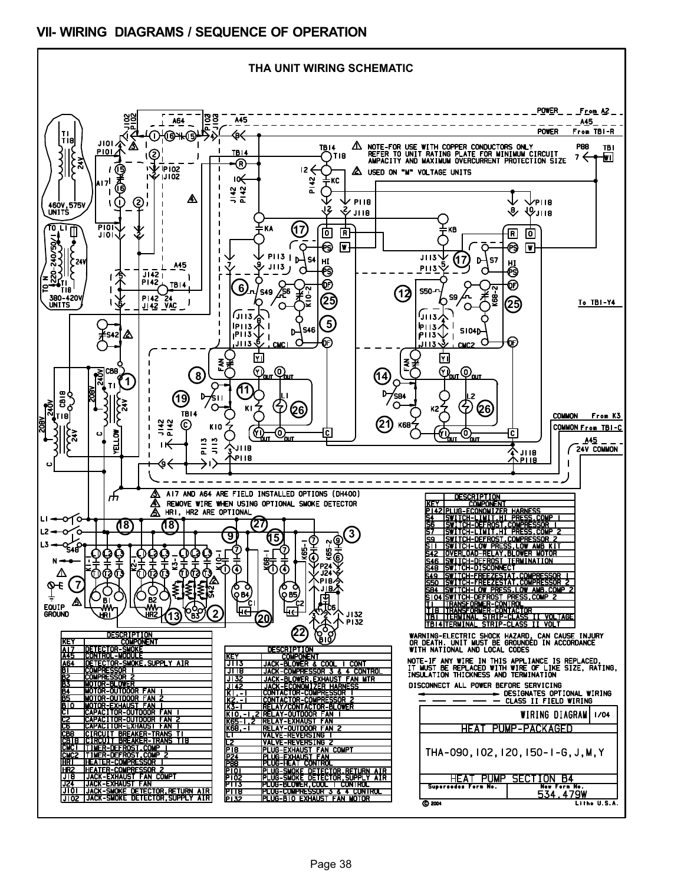## <span id="page-37-0"></span>VII− WIRING DIAGRAMS / SEQUENCE OF OPERATION

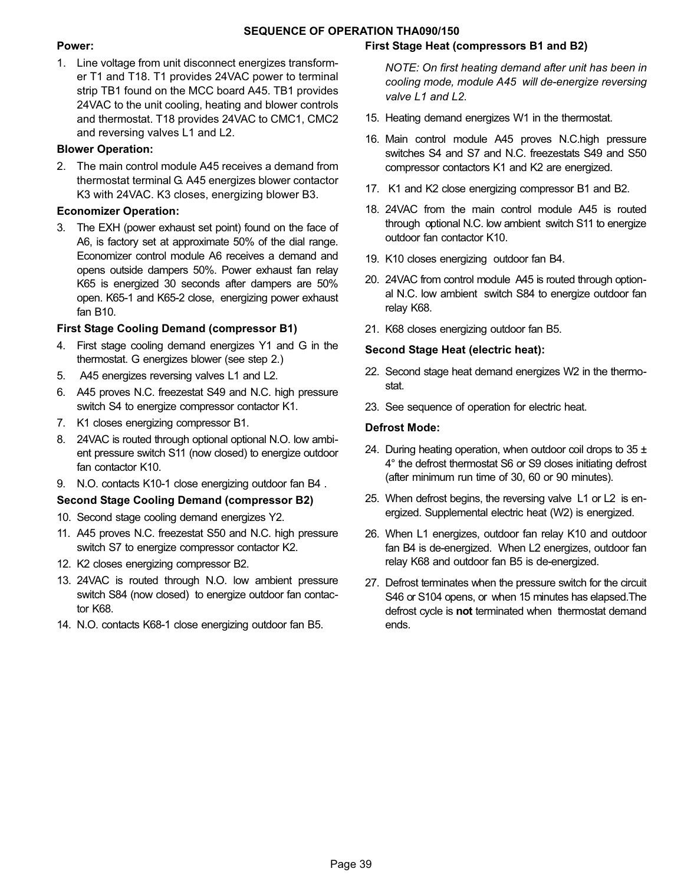#### SEQUENCE OF OPERATION THA090/150

#### Power:

1. Line voltage from unit disconnect energizes transformer T1 and T18. T1 provides 24VAC power to terminal strip TB1 found on the MCC board A45. TB1 provides 24VAC to the unit cooling, heating and blower controls and thermostat. T18 provides 24VAC to CMC1, CMC2 and reversing valves L1 and L2.

#### Blower Operation:

2. The main control module A45 receives a demand from thermostat terminal G. A45 energizes blower contactor K3 with 24VAC. K3 closes, energizing blower B3.

#### Economizer Operation:

3. The EXH (power exhaust set point) found on the face of A6, is factory set at approximate 50% of the dial range. Economizer control module A6 receives a demand and opens outside dampers 50%. Power exhaust fan relay K65 is energized 30 seconds after dampers are 50% open. K65−1 and K65−2 close, energizing power exhaust fan B10.

#### First Stage Cooling Demand (compressor B1)

- 4. First stage cooling demand energizes Y1 and G in the thermostat. G energizes blower (see step 2.)
- 5. A45 energizes reversing valves L1 and L2.
- 6. A45 proves N.C. freezestat S49 and N.C. high pressure switch S4 to energize compressor contactor K1.
- 7. K1 closes energizing compressor B1.
- 8. 24VAC is routed through optional optional N.O. low ambient pressure switch S11 (now closed) to energize outdoor fan contactor K10.
- 9. N.O. contacts K10-1 close energizing outdoor fan B4.

#### Second Stage Cooling Demand (compressor B2)

- 10. Second stage cooling demand energizes Y2.
- 11. A45 proves N.C. freezestat S50 and N.C. high pressure switch S7 to energize compressor contactor K2.
- 12. K2 closes energizing compressor B2.
- 13. 24VAC is routed through N.O. low ambient pressure switch S84 (now closed) to energize outdoor fan contactor K68.
- 14. N.O. contacts K68−1 close energizing outdoor fan B5.

#### First Stage Heat (compressors B1 and B2)

NOTE: On first heating demand after unit has been in cooling mode, module A45 will de−energize reversing valve L1 and L2.

- 15. Heating demand energizes W1 in the thermostat.
- 16. Main control module A45 proves N.C.high pressure switches S4 and S7 and N.C. freezestats S49 and S50 compressor contactors K1 and K2 are energized.
- 17. K1 and K2 close energizing compressor B1 and B2.
- 18. 24VAC from the main control module A45 is routed through optional N.C. low ambient switch S11 to energize outdoor fan contactor K10.
- 19. K10 closes energizing outdoor fan B4.
- 20. 24VAC from control module A45 is routed through optional N.C. low ambient switch S84 to energize outdoor fan relay K68.
- 21. K68 closes energizing outdoor fan B5.

#### Second Stage Heat (electric heat):

- 22. Second stage heat demand energizes W2 in the thermostat.
- 23. See sequence of operation for electric heat.

#### Defrost Mode:

- 24. During heating operation, when outdoor coil drops to  $35 \pm$ 4° the defrost thermostat S6 or S9 closes initiating defrost (after minimum run time of 30, 60 or 90 minutes).
- 25. When defrost begins, the reversing valve L1 or L2 is energized. Supplemental electric heat (W2) is energized.
- 26. When L1 energizes, outdoor fan relay K10 and outdoor fan B4 is de−energized. When L2 energizes, outdoor fan relay K68 and outdoor fan B5 is de−energized.
- 27. Defrost terminates when the pressure switch for the circuit S46 or S104 opens, or when 15 minutes has elapsed.The defrost cycle is **not** terminated when thermostat demand ends.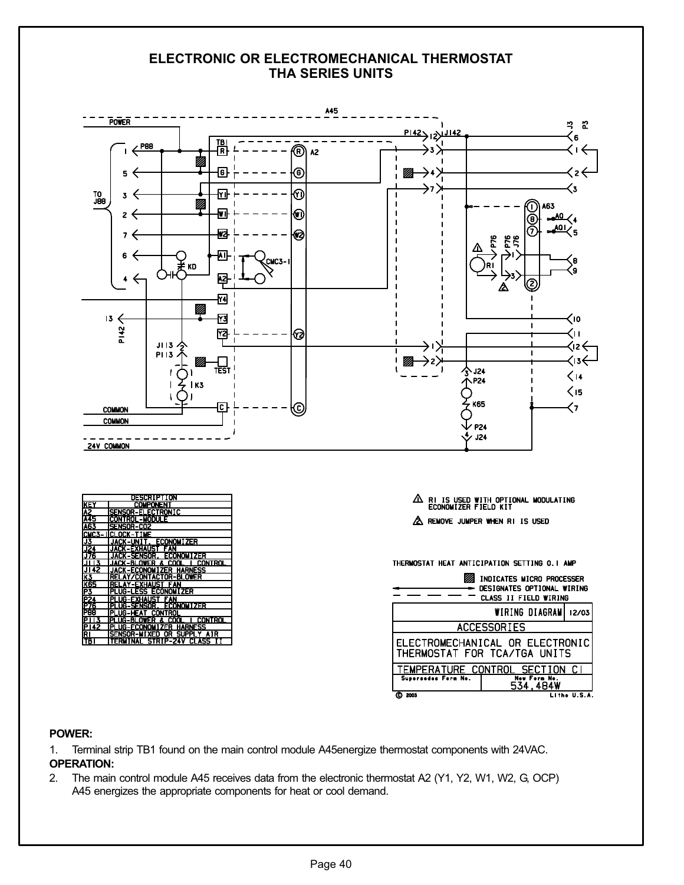#### ELECTRONIC OR ELECTROMECHANICAL THERMOSTAT THA SERIES UNITS



#### POWER:

- 1. Terminal strip TB1 found on the main control module A45energize thermostat components with 24VAC. OPERATION:
- 2. The main control module A45 receives data from the electronic thermostat A2 (Y1, Y2, W1, W2, G, OCP) A45 energizes the appropriate components for heat or cool demand.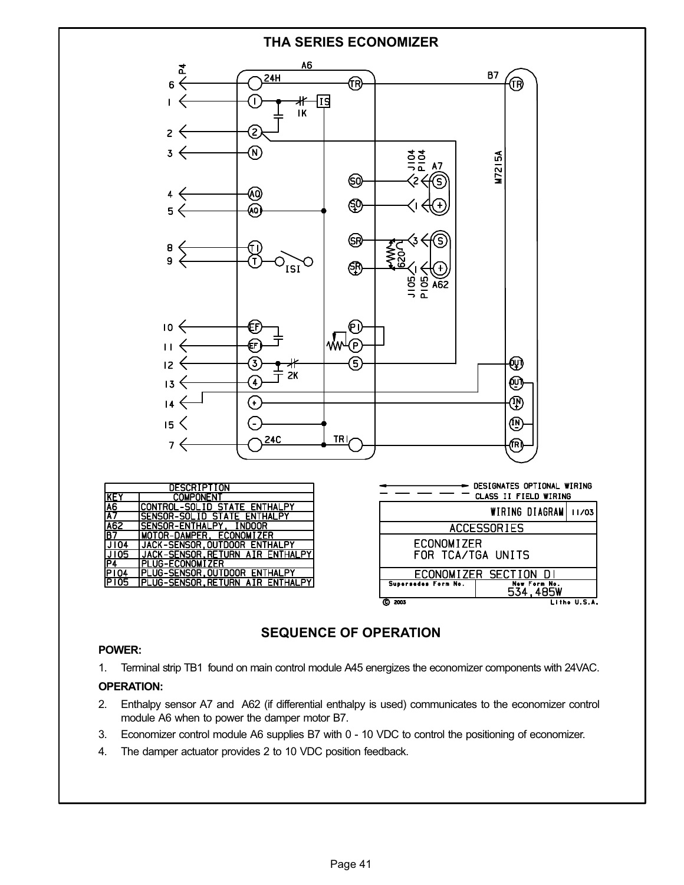

## SEQUENCE OF OPERATION

#### POWER:

1. Terminal strip TB1 found on main control module A45 energizes the economizer components with 24VAC.

#### OPERATION:

- 2. Enthalpy sensor A7 and A62 (if differential enthalpy is used) communicates to the economizer control module A6 when to power the damper motor B7.
- 3. Economizer control module A6 supplies B7 with 0 − 10 VDC to control the positioning of economizer.
- 4. The damper actuator provides 2 to 10 VDC position feedback.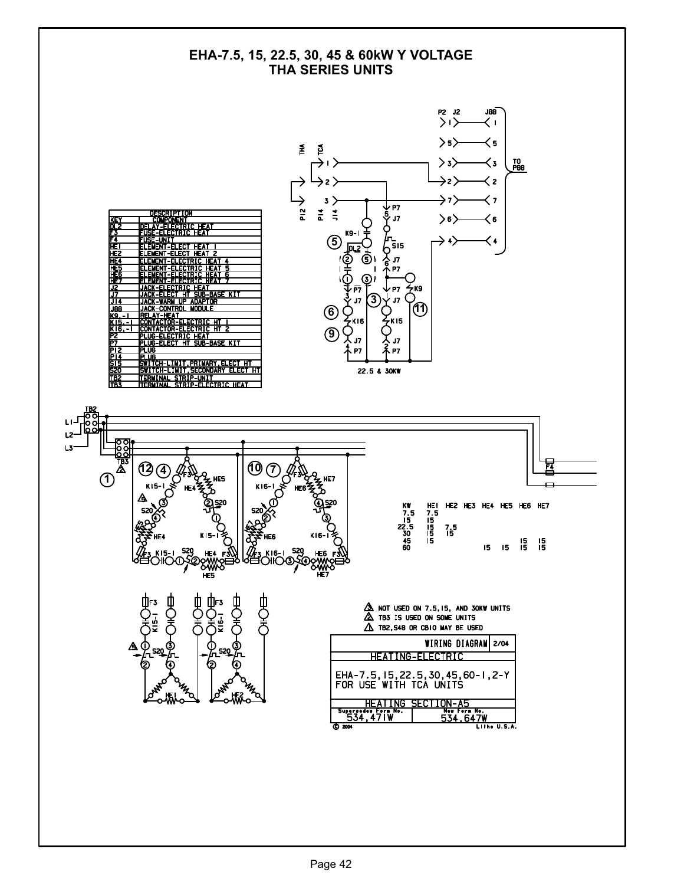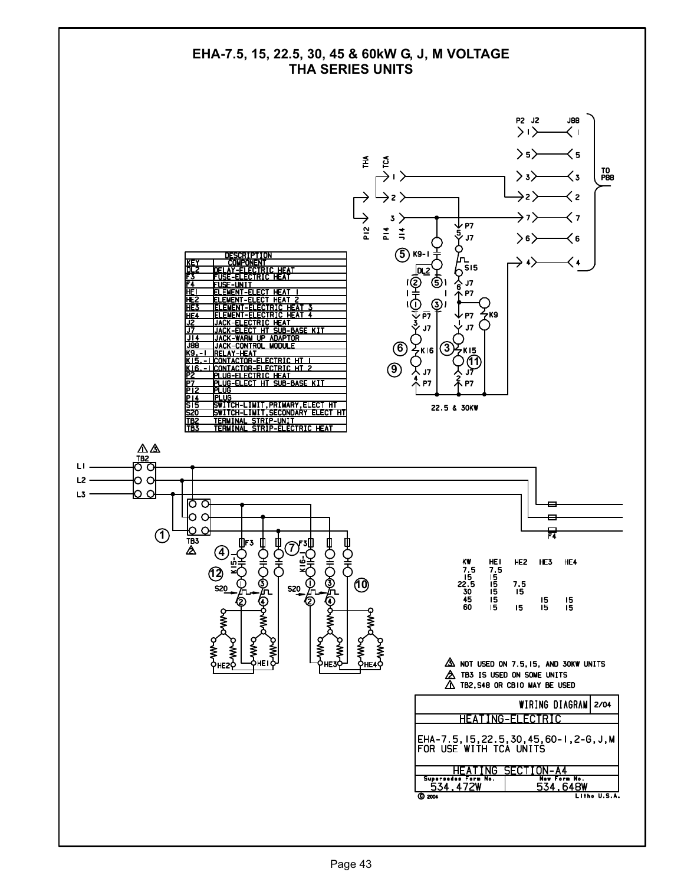